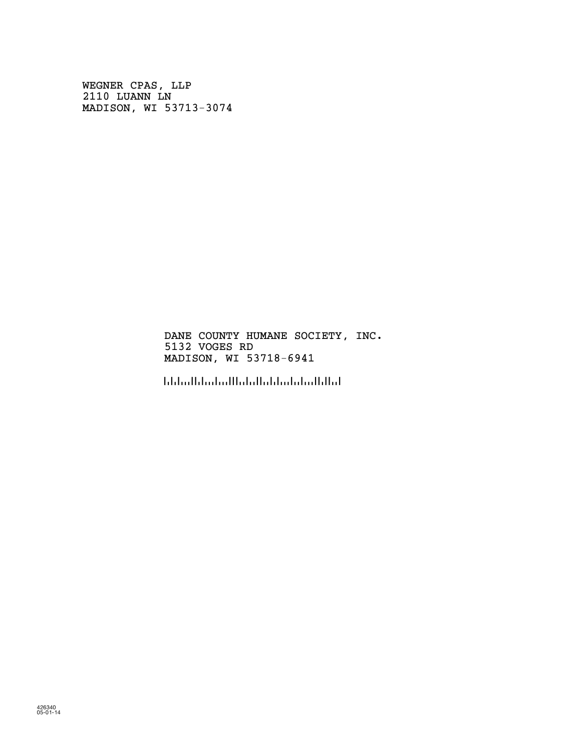WEGNER CPAS, LLP 2110 LUANN LN MADISON, WI 53713-3074

> DANE COUNTY HUMANE SOCIETY, INC. 5132 VOGES RD MADISON, WI 53718-6941

!5371869416!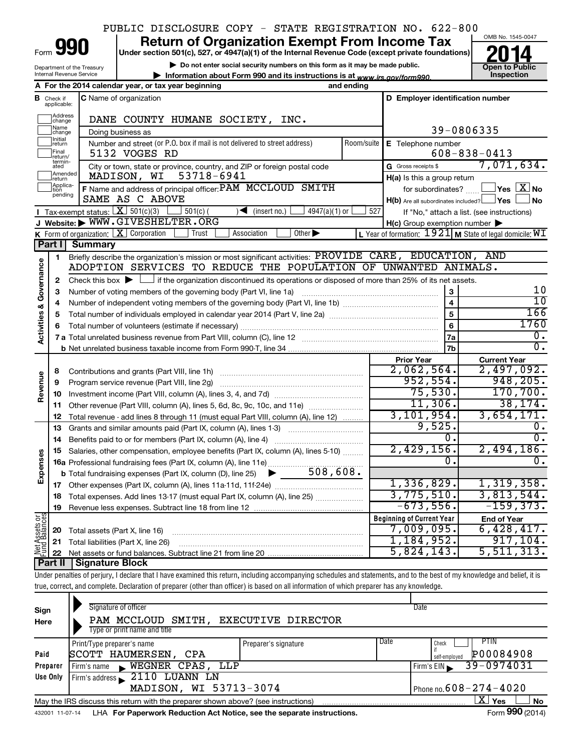# PUBLIC DISCLOSURE COPY - STATE REGISTRATION NO. 622-800

Form

# **Under section 501(c), 527, or 4947(a)(1) of the Internal Revenue Code (except private foundations) 990 Return of Organization Exempt From Income Tax 1990 2014**<br>
Under section 501(c), 527, or 4947(a)(1) of the Internal Revenue Code (except private foundations) **2014**

**| Do not enter social security numbers on this form as it may be made public. | Information about Form 990 and its instructions is at Inspection**



Department of the Treasury Internal Revenue Service

| internal Revenue Service |                                                     | $>$ Information about Form 990 and its instructions is at $_{\rm{www.irs.}~\alpha o v/form990}$ |            |                                          | mspe |
|--------------------------|-----------------------------------------------------|-------------------------------------------------------------------------------------------------|------------|------------------------------------------|------|
|                          | A For the 2014 calendar year, or tax year beginning |                                                                                                 | and ending |                                          |      |
| <b>B</b> Check if        | <b>IC</b> Name of organization                      |                                                                                                 |            | <b>ID Emplover identification number</b> |      |

|                                    | <b>CHECK IT</b><br>applicable: | G Naffle of Organization                                                                                                                    |            | o Empioyer identification number                        |                                                           |
|------------------------------------|--------------------------------|---------------------------------------------------------------------------------------------------------------------------------------------|------------|---------------------------------------------------------|-----------------------------------------------------------|
|                                    | Address<br>change              | DANE COUNTY HUMANE SOCIETY, INC.                                                                                                            |            |                                                         |                                                           |
|                                    | Name<br>change                 | Doing business as                                                                                                                           |            |                                                         | 39-0806335                                                |
|                                    | Initial<br>return              | Number and street (or P.O. box if mail is not delivered to street address)                                                                  | Room/suite | E Telephone number                                      |                                                           |
|                                    | Final<br> return/              | 5132 VOGES RD                                                                                                                               |            |                                                         | $608 - 838 - 0413$                                        |
|                                    | termin-<br>ated                | City or town, state or province, country, and ZIP or foreign postal code                                                                    |            | G Gross receipts \$                                     | 7,071,634.                                                |
|                                    | Amended<br>return              | 53718-6941<br>MADISON, WI                                                                                                                   |            | $H(a)$ is this a group return                           |                                                           |
|                                    | Applica-                       | F Name and address of principal officer: PAM MCCLOUD SMITH                                                                                  |            | for subordinates?                                       | $\Box$ Yes $[\overline{\mathrm{X}}]$ No                   |
|                                    | pending                        | SAME AS C ABOVE                                                                                                                             |            | $H(b)$ Are all subordinates included? $\Box$ Yes $\Box$ | ⊿No                                                       |
|                                    |                                | Tax-exempt status: $X \overline{301(c)(3)}$<br>$\sqrt{\frac{1}{1}}$ (insert no.)<br>$501(c)$ (<br>$4947(a)(1)$ or                           | 527        |                                                         | If "No," attach a list. (see instructions)                |
|                                    |                                | J Website: WWW.GIVESHELTER.ORG                                                                                                              |            | $H(c)$ Group exemption number $\blacktriangleright$     |                                                           |
|                                    |                                | K Form of organization: $X$ Corporation<br>Other $\blacktriangleright$<br>Trust<br>Association                                              |            |                                                         | L Year of formation: $1921$ M State of legal domicile: WI |
|                                    | Part I                         | Summary                                                                                                                                     |            |                                                         |                                                           |
|                                    | 1                              | Briefly describe the organization's mission or most significant activities: PROVIDE CARE, EDUCATION, AND                                    |            |                                                         |                                                           |
| <b>Activities &amp; Governance</b> |                                | ADOPTION SERVICES TO REDUCE THE POPULATION OF UNWANTED ANIMALS.                                                                             |            |                                                         |                                                           |
|                                    | 2                              | Check this box $\blacktriangleright$ $\Box$ if the organization discontinued its operations or disposed of more than 25% of its net assets. |            |                                                         |                                                           |
|                                    | 3                              | Number of voting members of the governing body (Part VI, line 1a)                                                                           |            | 3                                                       | 10                                                        |
|                                    | 4                              |                                                                                                                                             |            | $\overline{\mathbf{4}}$                                 | 10<br>166                                                 |
|                                    | 5                              |                                                                                                                                             |            | $\overline{5}$                                          | 1760                                                      |
|                                    | 6                              |                                                                                                                                             |            | 6                                                       | $\overline{0}$ .                                          |
|                                    |                                |                                                                                                                                             |            | 7a                                                      | $\overline{0}$ .                                          |
|                                    |                                |                                                                                                                                             |            | 7 <sub>b</sub>                                          |                                                           |
|                                    |                                |                                                                                                                                             |            | <b>Prior Year</b><br>2,062,564.                         | <b>Current Year</b><br>2,497,092.                         |
|                                    | 8<br>9                         | Program service revenue (Part VIII, line 2g)                                                                                                |            | 952,554.                                                | 948, 205.                                                 |
| Revenue                            | 10                             |                                                                                                                                             |            | 75,530.                                                 | 170, 700.                                                 |
|                                    | 11                             | Other revenue (Part VIII, column (A), lines 5, 6d, 8c, 9c, 10c, and 11e)                                                                    |            | 11,306.                                                 | 38, 174.                                                  |
|                                    | 12                             | Total revenue - add lines 8 through 11 (must equal Part VIII, column (A), line 12)                                                          |            | 3, 101, 954.                                            | 3,654,171.                                                |
|                                    | 13                             | Grants and similar amounts paid (Part IX, column (A), lines 1-3)                                                                            |            | 9,525.                                                  | О.                                                        |
|                                    | 14                             |                                                                                                                                             |            | 0.                                                      | $\overline{0}$ .                                          |
|                                    | 15                             | Salaries, other compensation, employee benefits (Part IX, column (A), lines 5-10)                                                           |            | 2,429,156.                                              | 2,494,186.                                                |
|                                    |                                |                                                                                                                                             |            | 0.                                                      | 0.                                                        |
| Expenses                           |                                |                                                                                                                                             |            |                                                         |                                                           |
|                                    |                                |                                                                                                                                             |            | 1,336,829.                                              | 1,319,358.                                                |
|                                    | 18                             | Total expenses. Add lines 13-17 (must equal Part IX, column (A), line 25)                                                                   |            | 3,775,510.                                              | 3,813,544.                                                |
|                                    | 19                             |                                                                                                                                             |            | $-673,556.$                                             | $-159, 373.$                                              |
| $\frac{5}{6}$                      |                                |                                                                                                                                             |            | <b>Beginning of Current Year</b>                        | <b>End of Year</b>                                        |
| Assets<br>dBalanc                  | 20                             | Total assets (Part X, line 16)                                                                                                              |            | 7,009,095.                                              | 6,428,417.                                                |
|                                    | 21                             | Total liabilities (Part X, line 26)                                                                                                         |            | 1, 184, 952.                                            | 917, 104.                                                 |
| Net<br>Fund                        | 22                             |                                                                                                                                             |            | 5,824,143.                                              | 5, 511, 313.                                              |
|                                    |                                | <b>Part II   Signature Block</b>                                                                                                            |            |                                                         |                                                           |

Under penalties of perjury, I declare that I have examined this return, including accompanying schedules and statements, and to the best of my knowledge and belief, it is true, correct, and complete. Declaration of preparer (other than officer) is based on all information of which preparer has any knowledge.

| Sign<br>Here                                                                                                 | Signature of officer<br>PAM MCCLOUD SMITH, EXECUTIVE DIRECTOR<br>Type or print name and title |                      | Date                                                |  |  |  |
|--------------------------------------------------------------------------------------------------------------|-----------------------------------------------------------------------------------------------|----------------------|-----------------------------------------------------|--|--|--|
| Paid                                                                                                         | Print/Type preparer's name<br>SCOTT HAUMERSEN,<br><b>CPA</b>                                  | Preparer's signature | Date<br>PTIN<br>Check<br>P00084908<br>self-emploved |  |  |  |
| Preparer                                                                                                     | WEGNER CPAS, LLP<br>Firm's name<br>$\blacksquare$                                             |                      | 39-0974031<br>Firm's EIN                            |  |  |  |
| Use Only                                                                                                     | 2110 LUANN LN<br>Firm's address                                                               |                      |                                                     |  |  |  |
|                                                                                                              | MADISON, WI 53713-3074                                                                        |                      | Phone no. $608 - 274 - 4020$                        |  |  |  |
| x<br>Yes<br>No<br>May the IRS discuss this return with the preparer shown above? (see instructions)          |                                                                                               |                      |                                                     |  |  |  |
| Form 990 (2014)<br>LHA For Paperwork Reduction Act Notice, see the separate instructions.<br>432001 11-07-14 |                                                                                               |                      |                                                     |  |  |  |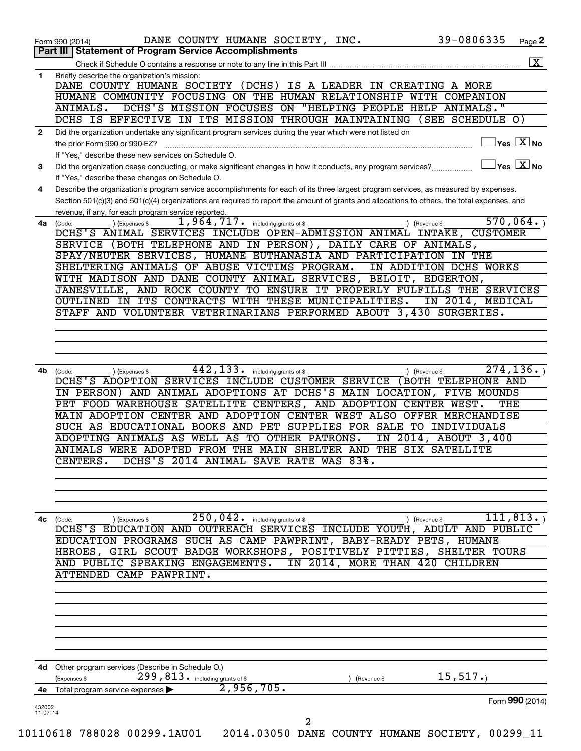|              | 39-0806335<br>DANE COUNTY HUMANE SOCIETY, INC.<br>Page 2<br>Form 990 (2014)<br>Part III   Statement of Program Service Accomplishments                                                                                                                                                                                                                                                                                                                                                         |
|--------------|------------------------------------------------------------------------------------------------------------------------------------------------------------------------------------------------------------------------------------------------------------------------------------------------------------------------------------------------------------------------------------------------------------------------------------------------------------------------------------------------|
|              | $\boxed{\textbf{X}}$                                                                                                                                                                                                                                                                                                                                                                                                                                                                           |
| $\mathbf{1}$ | Briefly describe the organization's mission:                                                                                                                                                                                                                                                                                                                                                                                                                                                   |
|              | DANE COUNTY HUMANE SOCIETY (DCHS) IS A LEADER IN CREATING A MORE<br>HUMANE COMMUNITY FOCUSING ON THE HUMAN RELATIONSHIP WITH COMPANION                                                                                                                                                                                                                                                                                                                                                         |
|              | DCHS'S MISSION FOCUSES ON "HELPING PEOPLE HELP ANIMALS."<br>ANIMALS.                                                                                                                                                                                                                                                                                                                                                                                                                           |
|              | DCHS IS EFFECTIVE IN ITS MISSION THROUGH MAINTAINING<br>(SEE SCHEDULE O)                                                                                                                                                                                                                                                                                                                                                                                                                       |
| $\mathbf{2}$ | Did the organization undertake any significant program services during the year which were not listed on                                                                                                                                                                                                                                                                                                                                                                                       |
|              | $ {\mathsf Y}\mathsf{es}\ \boxed{{\mathsf X}}$ No<br>the prior Form 990 or 990-EZ?                                                                                                                                                                                                                                                                                                                                                                                                             |
|              | If "Yes," describe these new services on Schedule O.                                                                                                                                                                                                                                                                                                                                                                                                                                           |
| 3            | $\mathsf{Yes} \mathrel{\overline{X}} \mathsf{No}$<br>Did the organization cease conducting, or make significant changes in how it conducts, any program services?                                                                                                                                                                                                                                                                                                                              |
|              | If "Yes," describe these changes on Schedule O.                                                                                                                                                                                                                                                                                                                                                                                                                                                |
| 4            | Describe the organization's program service accomplishments for each of its three largest program services, as measured by expenses.<br>Section 501(c)(3) and 501(c)(4) organizations are required to report the amount of grants and allocations to others, the total expenses, and                                                                                                                                                                                                           |
|              | revenue, if any, for each program service reported.                                                                                                                                                                                                                                                                                                                                                                                                                                            |
| 4a           | 570,064.<br>1,964,717.<br>including grants of \$<br>) (Expenses \$<br>(Code:<br>) (Revenue \$                                                                                                                                                                                                                                                                                                                                                                                                  |
|              | DCHS'S ANIMAL SERVICES INCLUDE OPEN-ADMISSION ANIMAL INTAKE,<br><b>CUSTOMER</b>                                                                                                                                                                                                                                                                                                                                                                                                                |
|              | SERVICE (BOTH TELEPHONE AND IN PERSON), DAILY CARE OF ANIMALS,                                                                                                                                                                                                                                                                                                                                                                                                                                 |
|              | SPAY/NEUTER SERVICES, HUMANE EUTHANASIA AND PARTICIPATION IN THE                                                                                                                                                                                                                                                                                                                                                                                                                               |
|              | SHELTERING ANIMALS OF ABUSE VICTIMS PROGRAM.<br>IN ADDITION DCHS WORKS<br>WITH MADISON AND DANE COUNTY ANIMAL SERVICES, BELOIT, EDGERTON,                                                                                                                                                                                                                                                                                                                                                      |
|              | JANESVILLE, AND ROCK COUNTY TO ENSURE IT PROPERLY FULFILLS THE SERVICES                                                                                                                                                                                                                                                                                                                                                                                                                        |
|              | OUTLINED IN ITS CONTRACTS WITH THESE MUNICIPALITIES.<br>IN 2014, MEDICAL                                                                                                                                                                                                                                                                                                                                                                                                                       |
|              | STAFF AND VOLUNTEER VETERINARIANS PERFORMED ABOUT 3,430 SURGERIES.                                                                                                                                                                                                                                                                                                                                                                                                                             |
|              |                                                                                                                                                                                                                                                                                                                                                                                                                                                                                                |
|              |                                                                                                                                                                                                                                                                                                                                                                                                                                                                                                |
|              |                                                                                                                                                                                                                                                                                                                                                                                                                                                                                                |
| 4b           | 442,133.<br>274, 136.<br>including grants of \$                                                                                                                                                                                                                                                                                                                                                                                                                                                |
|              | IN PERSON) AND ANIMAL ADOPTIONS AT DCHS'S MAIN LOCATION, FIVE MOUNDS<br>PET FOOD WAREHOUSE SATELLITE CENTERS, AND ADOPTION CENTER WEST.<br>THE<br>MAIN ADOPTION CENTER AND ADOPTION CENTER WEST ALSO OFFER MERCHANDISE<br>SUCH AS EDUCATIONAL BOOKS AND PET SUPPLIES FOR SALE TO INDIVIDUALS<br>ADOPTING ANIMALS AS WELL AS TO OTHER PATRONS.<br>IN 2014, ABOUT 3,400<br>ANIMALS WERE ADOPTED FROM THE MAIN SHELTER AND THE SIX SATELLITE<br>CENTERS.<br>DCHS'S 2014 ANIMAL SAVE RATE WAS 83%. |
| 4c           | $250,042$ including grants of \$<br>111, 813.<br>) (Revenue \$<br>) (Expenses \$<br>(Code:                                                                                                                                                                                                                                                                                                                                                                                                     |
|              | DCHS'S EDUCATION AND OUTREACH SERVICES INCLUDE YOUTH, ADULT AND PUBLIC                                                                                                                                                                                                                                                                                                                                                                                                                         |
|              | EDUCATION PROGRAMS SUCH AS CAMP PAWPRINT, BABY-READY PETS, HUMANE                                                                                                                                                                                                                                                                                                                                                                                                                              |
|              | HEROES, GIRL SCOUT BADGE WORKSHOPS, POSITIVELY PITTIES, SHELTER TOURS<br>AND PUBLIC SPEAKING ENGAGEMENTS.<br>IN 2014, MORE THAN 420 CHILDREN                                                                                                                                                                                                                                                                                                                                                   |
|              | ATTENDED CAMP PAWPRINT.                                                                                                                                                                                                                                                                                                                                                                                                                                                                        |
|              |                                                                                                                                                                                                                                                                                                                                                                                                                                                                                                |
|              |                                                                                                                                                                                                                                                                                                                                                                                                                                                                                                |
|              |                                                                                                                                                                                                                                                                                                                                                                                                                                                                                                |
|              |                                                                                                                                                                                                                                                                                                                                                                                                                                                                                                |
|              |                                                                                                                                                                                                                                                                                                                                                                                                                                                                                                |
|              |                                                                                                                                                                                                                                                                                                                                                                                                                                                                                                |
|              | 4d Other program services (Describe in Schedule O.)                                                                                                                                                                                                                                                                                                                                                                                                                                            |
|              | 299, 813. including grants of \$<br>15, 517.<br>(Expenses \$<br>Revenue \$                                                                                                                                                                                                                                                                                                                                                                                                                     |
|              | 2,956,705.                                                                                                                                                                                                                                                                                                                                                                                                                                                                                     |
|              |                                                                                                                                                                                                                                                                                                                                                                                                                                                                                                |
| 432002       | 4e Total program service expenses ><br>Form 990 (2014)                                                                                                                                                                                                                                                                                                                                                                                                                                         |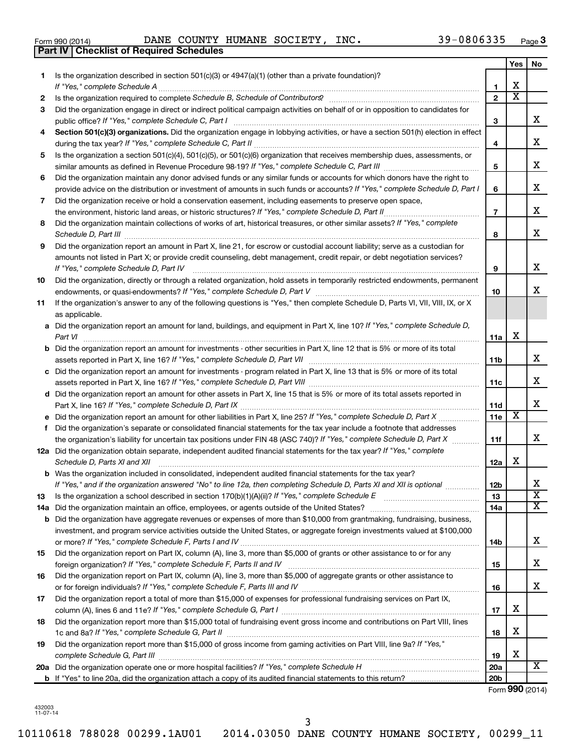| Form 990 (2014) |  |  |
|-----------------|--|--|
|                 |  |  |

**Part IV Checklist of Required Schedules**

Form 990 (2014) Page DANE COUNTY HUMANE SOCIETY, INC. 39-0806335

|    |                                                                                                                                                                                                                                                   |                 | <b>Yes</b>              | No                      |
|----|---------------------------------------------------------------------------------------------------------------------------------------------------------------------------------------------------------------------------------------------------|-----------------|-------------------------|-------------------------|
| 1  | Is the organization described in section 501(c)(3) or $4947(a)(1)$ (other than a private foundation)?                                                                                                                                             |                 |                         |                         |
|    | If "Yes," complete Schedule A                                                                                                                                                                                                                     | 1               | х                       |                         |
| 2  |                                                                                                                                                                                                                                                   | $\overline{2}$  | $\overline{\textbf{x}}$ |                         |
| З  | Did the organization engage in direct or indirect political campaign activities on behalf of or in opposition to candidates for                                                                                                                   | З               |                         | x                       |
| 4  | Section 501(c)(3) organizations. Did the organization engage in lobbying activities, or have a section 501(h) election in effect                                                                                                                  |                 |                         |                         |
|    |                                                                                                                                                                                                                                                   | 4               |                         | x                       |
| 5  | Is the organization a section 501(c)(4), 501(c)(5), or 501(c)(6) organization that receives membership dues, assessments, or                                                                                                                      |                 |                         |                         |
|    |                                                                                                                                                                                                                                                   | 5               |                         | x                       |
| 6  | Did the organization maintain any donor advised funds or any similar funds or accounts for which donors have the right to                                                                                                                         |                 |                         |                         |
|    | provide advice on the distribution or investment of amounts in such funds or accounts? If "Yes," complete Schedule D, Part I                                                                                                                      | 6               |                         | x                       |
| 7  | Did the organization receive or hold a conservation easement, including easements to preserve open space,                                                                                                                                         |                 |                         |                         |
|    | the environment, historic land areas, or historic structures? If "Yes," complete Schedule D, Part II                                                                                                                                              | $\overline{7}$  |                         | x                       |
| 8  | Did the organization maintain collections of works of art, historical treasures, or other similar assets? If "Yes," complete                                                                                                                      | 8               |                         | x                       |
| 9  | Did the organization report an amount in Part X, line 21, for escrow or custodial account liability; serve as a custodian for                                                                                                                     |                 |                         |                         |
|    | amounts not listed in Part X; or provide credit counseling, debt management, credit repair, or debt negotiation services?<br>If "Yes," complete Schedule D, Part IV                                                                               | 9               |                         | x                       |
| 10 | Did the organization, directly or through a related organization, hold assets in temporarily restricted endowments, permanent                                                                                                                     |                 |                         |                         |
|    |                                                                                                                                                                                                                                                   | 10              |                         | х                       |
| 11 | If the organization's answer to any of the following questions is "Yes," then complete Schedule D, Parts VI, VII, VIII, IX, or X<br>as applicable.                                                                                                |                 |                         |                         |
|    | a Did the organization report an amount for land, buildings, and equipment in Part X, line 10? If "Yes," complete Schedule D,                                                                                                                     |                 |                         |                         |
|    | Part VI                                                                                                                                                                                                                                           | 11a             | х                       |                         |
|    | <b>b</b> Did the organization report an amount for investments - other securities in Part X, line 12 that is 5% or more of its total                                                                                                              |                 |                         |                         |
|    |                                                                                                                                                                                                                                                   | 11b             |                         | X                       |
|    | c Did the organization report an amount for investments - program related in Part X, line 13 that is 5% or more of its total                                                                                                                      |                 |                         |                         |
|    |                                                                                                                                                                                                                                                   | 11c             |                         | X                       |
|    | d Did the organization report an amount for other assets in Part X, line 15 that is 5% or more of its total assets reported in                                                                                                                    |                 |                         | X                       |
|    |                                                                                                                                                                                                                                                   | 11d             | х                       |                         |
|    | e Did the organization report an amount for other liabilities in Part X, line 25? If "Yes," complete Schedule D, Part X                                                                                                                           | 11e             |                         |                         |
| f  | Did the organization's separate or consolidated financial statements for the tax year include a footnote that addresses<br>the organization's liability for uncertain tax positions under FIN 48 (ASC 740)? If "Yes," complete Schedule D, Part X | 11f             |                         | x                       |
|    | 12a Did the organization obtain separate, independent audited financial statements for the tax year? If "Yes," complete                                                                                                                           |                 |                         |                         |
|    | Schedule D, Parts XI and XII                                                                                                                                                                                                                      | 12a             | х                       |                         |
|    | <b>b</b> Was the organization included in consolidated, independent audited financial statements for the tax year?                                                                                                                                |                 |                         |                         |
|    | If "Yes," and if the organization answered "No" to line 12a, then completing Schedule D, Parts XI and XII is optional                                                                                                                             | 12D             |                         | 4                       |
| 13 |                                                                                                                                                                                                                                                   | 13              |                         | $\overline{\mathbf{X}}$ |
|    | 14a Did the organization maintain an office, employees, or agents outside of the United States?                                                                                                                                                   | 14a             |                         | х                       |
|    | <b>b</b> Did the organization have aggregate revenues or expenses of more than \$10,000 from grantmaking, fundraising, business,                                                                                                                  |                 |                         |                         |
|    | investment, and program service activities outside the United States, or aggregate foreign investments valued at \$100,000                                                                                                                        |                 |                         |                         |
|    |                                                                                                                                                                                                                                                   | 14b             |                         | x                       |
| 15 | Did the organization report on Part IX, column (A), line 3, more than \$5,000 of grants or other assistance to or for any                                                                                                                         |                 |                         |                         |
|    |                                                                                                                                                                                                                                                   | 15              |                         | x                       |
| 16 | Did the organization report on Part IX, column (A), line 3, more than \$5,000 of aggregate grants or other assistance to                                                                                                                          |                 |                         |                         |
|    |                                                                                                                                                                                                                                                   | 16              |                         | x                       |
| 17 | Did the organization report a total of more than \$15,000 of expenses for professional fundraising services on Part IX,                                                                                                                           | 17              | х                       |                         |
| 18 | Did the organization report more than \$15,000 total of fundraising event gross income and contributions on Part VIII, lines                                                                                                                      |                 |                         |                         |
|    |                                                                                                                                                                                                                                                   | 18              | х                       |                         |
| 19 | Did the organization report more than \$15,000 of gross income from gaming activities on Part VIII, line 9a? If "Yes,"                                                                                                                            | 19              | х                       |                         |
|    | 20a Did the organization operate one or more hospital facilities? If "Yes," complete Schedule H                                                                                                                                                   | 20a             |                         | x                       |
|    |                                                                                                                                                                                                                                                   | 20 <sub>b</sub> |                         |                         |

Form (2014) **990**

432003 11-07-14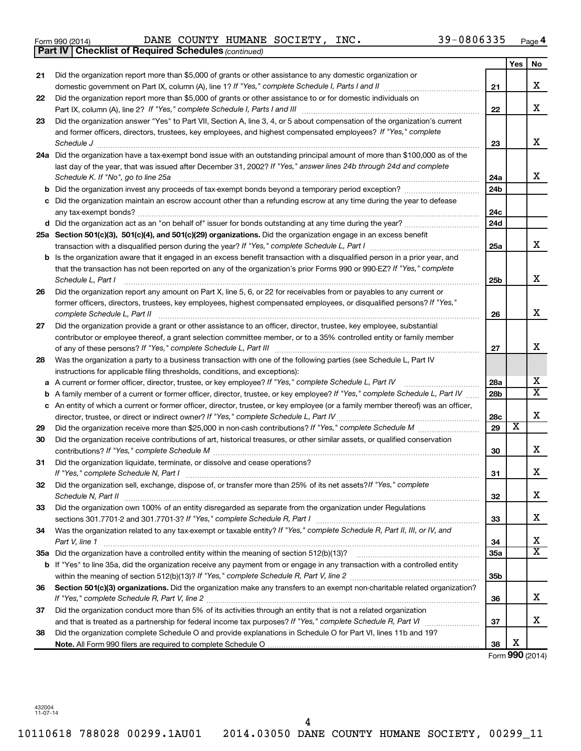|  | Form 990 (2014) |
|--|-----------------|
|  |                 |

Form 990 (2014) Page DANE COUNTY HUMANE SOCIETY, INC. 39-0806335

|    | <b>Part IV   Checklist of Required Schedules (continued)</b>                                                                      |                 |                         |                       |
|----|-----------------------------------------------------------------------------------------------------------------------------------|-----------------|-------------------------|-----------------------|
|    |                                                                                                                                   |                 | Yes                     | No                    |
| 21 | Did the organization report more than \$5,000 of grants or other assistance to any domestic organization or                       |                 |                         |                       |
|    |                                                                                                                                   | 21              |                         | x                     |
| 22 | Did the organization report more than \$5,000 of grants or other assistance to or for domestic individuals on                     |                 |                         |                       |
|    |                                                                                                                                   | 22              |                         | x                     |
| 23 | Did the organization answer "Yes" to Part VII, Section A, line 3, 4, or 5 about compensation of the organization's current        |                 |                         |                       |
|    | and former officers, directors, trustees, key employees, and highest compensated employees? If "Yes," complete                    |                 |                         |                       |
|    |                                                                                                                                   | 23              |                         | X                     |
|    | 24a Did the organization have a tax-exempt bond issue with an outstanding principal amount of more than \$100,000 as of the       |                 |                         |                       |
|    | last day of the year, that was issued after December 31, 2002? If "Yes," answer lines 24b through 24d and complete                |                 |                         |                       |
|    | Schedule K. If "No", go to line 25a                                                                                               | 24a             |                         | x                     |
| b  |                                                                                                                                   | 24 <sub>b</sub> |                         |                       |
|    | Did the organization maintain an escrow account other than a refunding escrow at any time during the year to defease              |                 |                         |                       |
|    |                                                                                                                                   | 24c             |                         |                       |
|    |                                                                                                                                   | 24 <sub>d</sub> |                         |                       |
|    | 25a Section 501(c)(3), 501(c)(4), and 501(c)(29) organizations. Did the organization engage in an excess benefit                  |                 |                         |                       |
|    |                                                                                                                                   | 25a             |                         | X                     |
| b  | Is the organization aware that it engaged in an excess benefit transaction with a disqualified person in a prior year, and        |                 |                         |                       |
|    | that the transaction has not been reported on any of the organization's prior Forms 990 or 990-EZ? If "Yes," complete             |                 |                         |                       |
|    | Schedule L, Part I                                                                                                                | 25b             |                         | x                     |
| 26 | Did the organization report any amount on Part X, line 5, 6, or 22 for receivables from or payables to any current or             |                 |                         |                       |
|    | former officers, directors, trustees, key employees, highest compensated employees, or disqualified persons? If "Yes,"            |                 |                         |                       |
|    | complete Schedule L, Part II                                                                                                      | 26              |                         | x                     |
| 27 | Did the organization provide a grant or other assistance to an officer, director, trustee, key employee, substantial              |                 |                         |                       |
|    | contributor or employee thereof, a grant selection committee member, or to a 35% controlled entity or family member               |                 |                         |                       |
|    |                                                                                                                                   | 27              |                         | X                     |
| 28 | Was the organization a party to a business transaction with one of the following parties (see Schedule L, Part IV                 |                 |                         |                       |
|    | instructions for applicable filing thresholds, conditions, and exceptions):                                                       |                 |                         |                       |
| а  | A current or former officer, director, trustee, or key employee? If "Yes," complete Schedule L, Part IV                           | 28a             |                         | x                     |
| b  | A family member of a current or former officer, director, trustee, or key employee? If "Yes," complete Schedule L, Part IV        | 28 <sub>b</sub> |                         | $\overline{\text{X}}$ |
|    | c An entity of which a current or former officer, director, trustee, or key employee (or a family member thereof) was an officer, |                 |                         |                       |
|    | director, trustee, or direct or indirect owner? If "Yes," complete Schedule L, Part IV                                            | 28c             |                         | х                     |
| 29 |                                                                                                                                   | 29              | $\overline{\textbf{x}}$ |                       |
| 30 | Did the organization receive contributions of art, historical treasures, or other similar assets, or qualified conservation       |                 |                         |                       |
|    |                                                                                                                                   | 30              |                         | х                     |
| 31 | Did the organization liquidate, terminate, or dissolve and cease operations?                                                      |                 |                         |                       |
|    |                                                                                                                                   | 31              |                         | ▵                     |
| 32 | Did the organization sell, exchange, dispose of, or transfer more than 25% of its net assets?/f "Yes," complete                   |                 |                         |                       |
|    |                                                                                                                                   | 32              |                         | x                     |
| 33 | Did the organization own 100% of an entity disregarded as separate from the organization under Regulations                        |                 |                         |                       |
|    |                                                                                                                                   | 33              |                         | х                     |
| 34 | Was the organization related to any tax-exempt or taxable entity? If "Yes," complete Schedule R, Part II, III, or IV, and         |                 |                         |                       |
|    | Part V, line 1                                                                                                                    | 34              |                         | х                     |
|    |                                                                                                                                   | 35a             |                         | $\overline{\text{X}}$ |
|    | b If "Yes" to line 35a, did the organization receive any payment from or engage in any transaction with a controlled entity       |                 |                         |                       |
|    |                                                                                                                                   | 35 <sub>b</sub> |                         |                       |
| 36 | Section 501(c)(3) organizations. Did the organization make any transfers to an exempt non-charitable related organization?        |                 |                         |                       |
|    |                                                                                                                                   | 36              |                         | x                     |
| 37 | Did the organization conduct more than 5% of its activities through an entity that is not a related organization                  |                 |                         |                       |
|    |                                                                                                                                   | 37              |                         | x                     |
| 38 | Did the organization complete Schedule O and provide explanations in Schedule O for Part VI, lines 11b and 19?                    |                 |                         |                       |
|    |                                                                                                                                   | 38              | х                       |                       |

Form (2014) **990**

432004 11-07-14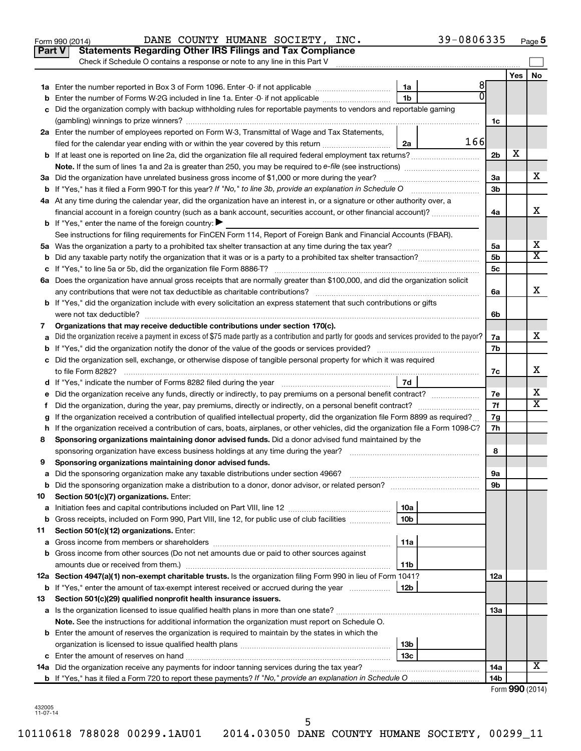| Yes<br>8<br>1a<br>ΩI<br>1 <sub>b</sub><br>Enter the number of Forms W-2G included in line 1a. Enter -0- if not applicable<br>Did the organization comply with backup withholding rules for reportable payments to vendors and reportable gaming<br>1c<br>2a Enter the number of employees reported on Form W-3, Transmittal of Wage and Tax Statements,<br>166<br>filed for the calendar year ending with or within the year covered by this return <i>manumumumum</i><br>2a<br>х<br>2 <sub>b</sub><br>х<br>3a Did the organization have unrelated business gross income of \$1,000 or more during the year?<br>За<br>3 <sub>b</sub><br>4a At any time during the calendar year, did the organization have an interest in, or a signature or other authority over, a<br>х<br>financial account in a foreign country (such as a bank account, securities account, or other financial account)?<br>4a<br><b>b</b> If "Yes," enter the name of the foreign country: $\blacktriangleright$<br>See instructions for filing requirements for FinCEN Form 114, Report of Foreign Bank and Financial Accounts (FBAR).<br>X<br>5a<br>X<br>5 <sub>b</sub><br>b<br>5с<br>6a Does the organization have annual gross receipts that are normally greater than \$100,000, and did the organization solicit<br>х<br>6a<br><b>b</b> If "Yes," did the organization include with every solicitation an express statement that such contributions or gifts<br>were not tax deductible?<br>6b<br>Organizations that may receive deductible contributions under section 170(c).<br>7<br>х<br>Did the organization receive a payment in excess of \$75 made partly as a contribution and partly for goods and services provided to the payor?<br>7a<br>7b<br>c Did the organization sell, exchange, or otherwise dispose of tangible personal property for which it was required<br>х<br>7с<br>7d<br>x<br>7е<br>х<br>7f<br>Did the organization, during the year, pay premiums, directly or indirectly, on a personal benefit contract?<br>Ť.<br>If the organization received a contribution of qualified intellectual property, did the organization file Form 8899 as required?<br>7g<br>g<br>7h<br>If the organization received a contribution of cars, boats, airplanes, or other vehicles, did the organization file a Form 1098-C?<br>h<br>Sponsoring organizations maintaining donor advised funds. Did a donor advised fund maintained by the<br>8<br>8<br>Sponsoring organizations maintaining donor advised funds.<br>9<br>9а<br>Did the sponsoring organization make a distribution to a donor, donor advisor, or related person?<br>9b<br>b<br>Section 501(c)(7) organizations. Enter:<br>10<br>10a<br>а<br>Gross receipts, included on Form 990, Part VIII, line 12, for public use of club facilities<br>10 <sub>b</sub><br>b<br>Section 501(c)(12) organizations. Enter:<br>11<br>11a<br>Gross income from members or shareholders<br>а<br>Gross income from other sources (Do not net amounts due or paid to other sources against<br>b<br>amounts due or received from them.)<br>11b<br>12a Section 4947(a)(1) non-exempt charitable trusts. Is the organization filing Form 990 in lieu of Form 1041?<br>12a<br>12b<br>If "Yes," enter the amount of tax-exempt interest received or accrued during the year<br>b<br>Section 501(c)(29) qualified nonprofit health insurance issuers.<br>13<br>13a<br>а<br>Note. See the instructions for additional information the organization must report on Schedule O.<br><b>b</b> Enter the amount of reserves the organization is required to maintain by the states in which the<br>13b<br>13c<br>c<br>х<br>14a Did the organization receive any payments for indoor tanning services during the tax year?<br>14a<br>14 <sub>b</sub> | Part V<br><b>Statements Regarding Other IRS Filings and Tax Compliance</b><br>Check if Schedule O contains a response or note to any line in this Part V |  |  |    |
|----------------------------------------------------------------------------------------------------------------------------------------------------------------------------------------------------------------------------------------------------------------------------------------------------------------------------------------------------------------------------------------------------------------------------------------------------------------------------------------------------------------------------------------------------------------------------------------------------------------------------------------------------------------------------------------------------------------------------------------------------------------------------------------------------------------------------------------------------------------------------------------------------------------------------------------------------------------------------------------------------------------------------------------------------------------------------------------------------------------------------------------------------------------------------------------------------------------------------------------------------------------------------------------------------------------------------------------------------------------------------------------------------------------------------------------------------------------------------------------------------------------------------------------------------------------------------------------------------------------------------------------------------------------------------------------------------------------------------------------------------------------------------------------------------------------------------------------------------------------------------------------------------------------------------------------------------------------------------------------------------------------------------------------------------------------------------------------------------------------------------------------------------------------------------------------------------------------------------------------------------------------------------------------------------------------------------------------------------------------------------------------------------------------------------------------------------------------------------------------------------------------------------------------------------------------------------------------------------------------------------------------------------------------------------------------------------------------------------------------------------------------------------------------------------------------------------------------------------------------------------------------------------------------------------------------------------------------------------------------------------------------------------------------------------------------------------------------------------------------------------------------------------------------------------------------------------------------------------------------------------------------------------------------------------------------------------------------------------------------------------------------------------------------------------------------------------------------------------------------------------------------------------------------------------------------------------------------------------------------------------------------------------------------------------------------------------------------------------------------------------------------------------|----------------------------------------------------------------------------------------------------------------------------------------------------------|--|--|----|
|                                                                                                                                                                                                                                                                                                                                                                                                                                                                                                                                                                                                                                                                                                                                                                                                                                                                                                                                                                                                                                                                                                                                                                                                                                                                                                                                                                                                                                                                                                                                                                                                                                                                                                                                                                                                                                                                                                                                                                                                                                                                                                                                                                                                                                                                                                                                                                                                                                                                                                                                                                                                                                                                                                                                                                                                                                                                                                                                                                                                                                                                                                                                                                                                                                                                                                                                                                                                                                                                                                                                                                                                                                                                                                                                                                            |                                                                                                                                                          |  |  | No |
|                                                                                                                                                                                                                                                                                                                                                                                                                                                                                                                                                                                                                                                                                                                                                                                                                                                                                                                                                                                                                                                                                                                                                                                                                                                                                                                                                                                                                                                                                                                                                                                                                                                                                                                                                                                                                                                                                                                                                                                                                                                                                                                                                                                                                                                                                                                                                                                                                                                                                                                                                                                                                                                                                                                                                                                                                                                                                                                                                                                                                                                                                                                                                                                                                                                                                                                                                                                                                                                                                                                                                                                                                                                                                                                                                                            |                                                                                                                                                          |  |  |    |
|                                                                                                                                                                                                                                                                                                                                                                                                                                                                                                                                                                                                                                                                                                                                                                                                                                                                                                                                                                                                                                                                                                                                                                                                                                                                                                                                                                                                                                                                                                                                                                                                                                                                                                                                                                                                                                                                                                                                                                                                                                                                                                                                                                                                                                                                                                                                                                                                                                                                                                                                                                                                                                                                                                                                                                                                                                                                                                                                                                                                                                                                                                                                                                                                                                                                                                                                                                                                                                                                                                                                                                                                                                                                                                                                                                            |                                                                                                                                                          |  |  |    |
|                                                                                                                                                                                                                                                                                                                                                                                                                                                                                                                                                                                                                                                                                                                                                                                                                                                                                                                                                                                                                                                                                                                                                                                                                                                                                                                                                                                                                                                                                                                                                                                                                                                                                                                                                                                                                                                                                                                                                                                                                                                                                                                                                                                                                                                                                                                                                                                                                                                                                                                                                                                                                                                                                                                                                                                                                                                                                                                                                                                                                                                                                                                                                                                                                                                                                                                                                                                                                                                                                                                                                                                                                                                                                                                                                                            |                                                                                                                                                          |  |  |    |
|                                                                                                                                                                                                                                                                                                                                                                                                                                                                                                                                                                                                                                                                                                                                                                                                                                                                                                                                                                                                                                                                                                                                                                                                                                                                                                                                                                                                                                                                                                                                                                                                                                                                                                                                                                                                                                                                                                                                                                                                                                                                                                                                                                                                                                                                                                                                                                                                                                                                                                                                                                                                                                                                                                                                                                                                                                                                                                                                                                                                                                                                                                                                                                                                                                                                                                                                                                                                                                                                                                                                                                                                                                                                                                                                                                            |                                                                                                                                                          |  |  |    |
|                                                                                                                                                                                                                                                                                                                                                                                                                                                                                                                                                                                                                                                                                                                                                                                                                                                                                                                                                                                                                                                                                                                                                                                                                                                                                                                                                                                                                                                                                                                                                                                                                                                                                                                                                                                                                                                                                                                                                                                                                                                                                                                                                                                                                                                                                                                                                                                                                                                                                                                                                                                                                                                                                                                                                                                                                                                                                                                                                                                                                                                                                                                                                                                                                                                                                                                                                                                                                                                                                                                                                                                                                                                                                                                                                                            |                                                                                                                                                          |  |  |    |
|                                                                                                                                                                                                                                                                                                                                                                                                                                                                                                                                                                                                                                                                                                                                                                                                                                                                                                                                                                                                                                                                                                                                                                                                                                                                                                                                                                                                                                                                                                                                                                                                                                                                                                                                                                                                                                                                                                                                                                                                                                                                                                                                                                                                                                                                                                                                                                                                                                                                                                                                                                                                                                                                                                                                                                                                                                                                                                                                                                                                                                                                                                                                                                                                                                                                                                                                                                                                                                                                                                                                                                                                                                                                                                                                                                            |                                                                                                                                                          |  |  |    |
|                                                                                                                                                                                                                                                                                                                                                                                                                                                                                                                                                                                                                                                                                                                                                                                                                                                                                                                                                                                                                                                                                                                                                                                                                                                                                                                                                                                                                                                                                                                                                                                                                                                                                                                                                                                                                                                                                                                                                                                                                                                                                                                                                                                                                                                                                                                                                                                                                                                                                                                                                                                                                                                                                                                                                                                                                                                                                                                                                                                                                                                                                                                                                                                                                                                                                                                                                                                                                                                                                                                                                                                                                                                                                                                                                                            |                                                                                                                                                          |  |  |    |
|                                                                                                                                                                                                                                                                                                                                                                                                                                                                                                                                                                                                                                                                                                                                                                                                                                                                                                                                                                                                                                                                                                                                                                                                                                                                                                                                                                                                                                                                                                                                                                                                                                                                                                                                                                                                                                                                                                                                                                                                                                                                                                                                                                                                                                                                                                                                                                                                                                                                                                                                                                                                                                                                                                                                                                                                                                                                                                                                                                                                                                                                                                                                                                                                                                                                                                                                                                                                                                                                                                                                                                                                                                                                                                                                                                            |                                                                                                                                                          |  |  |    |
|                                                                                                                                                                                                                                                                                                                                                                                                                                                                                                                                                                                                                                                                                                                                                                                                                                                                                                                                                                                                                                                                                                                                                                                                                                                                                                                                                                                                                                                                                                                                                                                                                                                                                                                                                                                                                                                                                                                                                                                                                                                                                                                                                                                                                                                                                                                                                                                                                                                                                                                                                                                                                                                                                                                                                                                                                                                                                                                                                                                                                                                                                                                                                                                                                                                                                                                                                                                                                                                                                                                                                                                                                                                                                                                                                                            |                                                                                                                                                          |  |  |    |
|                                                                                                                                                                                                                                                                                                                                                                                                                                                                                                                                                                                                                                                                                                                                                                                                                                                                                                                                                                                                                                                                                                                                                                                                                                                                                                                                                                                                                                                                                                                                                                                                                                                                                                                                                                                                                                                                                                                                                                                                                                                                                                                                                                                                                                                                                                                                                                                                                                                                                                                                                                                                                                                                                                                                                                                                                                                                                                                                                                                                                                                                                                                                                                                                                                                                                                                                                                                                                                                                                                                                                                                                                                                                                                                                                                            |                                                                                                                                                          |  |  |    |
|                                                                                                                                                                                                                                                                                                                                                                                                                                                                                                                                                                                                                                                                                                                                                                                                                                                                                                                                                                                                                                                                                                                                                                                                                                                                                                                                                                                                                                                                                                                                                                                                                                                                                                                                                                                                                                                                                                                                                                                                                                                                                                                                                                                                                                                                                                                                                                                                                                                                                                                                                                                                                                                                                                                                                                                                                                                                                                                                                                                                                                                                                                                                                                                                                                                                                                                                                                                                                                                                                                                                                                                                                                                                                                                                                                            |                                                                                                                                                          |  |  |    |
|                                                                                                                                                                                                                                                                                                                                                                                                                                                                                                                                                                                                                                                                                                                                                                                                                                                                                                                                                                                                                                                                                                                                                                                                                                                                                                                                                                                                                                                                                                                                                                                                                                                                                                                                                                                                                                                                                                                                                                                                                                                                                                                                                                                                                                                                                                                                                                                                                                                                                                                                                                                                                                                                                                                                                                                                                                                                                                                                                                                                                                                                                                                                                                                                                                                                                                                                                                                                                                                                                                                                                                                                                                                                                                                                                                            |                                                                                                                                                          |  |  |    |
|                                                                                                                                                                                                                                                                                                                                                                                                                                                                                                                                                                                                                                                                                                                                                                                                                                                                                                                                                                                                                                                                                                                                                                                                                                                                                                                                                                                                                                                                                                                                                                                                                                                                                                                                                                                                                                                                                                                                                                                                                                                                                                                                                                                                                                                                                                                                                                                                                                                                                                                                                                                                                                                                                                                                                                                                                                                                                                                                                                                                                                                                                                                                                                                                                                                                                                                                                                                                                                                                                                                                                                                                                                                                                                                                                                            |                                                                                                                                                          |  |  |    |
|                                                                                                                                                                                                                                                                                                                                                                                                                                                                                                                                                                                                                                                                                                                                                                                                                                                                                                                                                                                                                                                                                                                                                                                                                                                                                                                                                                                                                                                                                                                                                                                                                                                                                                                                                                                                                                                                                                                                                                                                                                                                                                                                                                                                                                                                                                                                                                                                                                                                                                                                                                                                                                                                                                                                                                                                                                                                                                                                                                                                                                                                                                                                                                                                                                                                                                                                                                                                                                                                                                                                                                                                                                                                                                                                                                            |                                                                                                                                                          |  |  |    |
|                                                                                                                                                                                                                                                                                                                                                                                                                                                                                                                                                                                                                                                                                                                                                                                                                                                                                                                                                                                                                                                                                                                                                                                                                                                                                                                                                                                                                                                                                                                                                                                                                                                                                                                                                                                                                                                                                                                                                                                                                                                                                                                                                                                                                                                                                                                                                                                                                                                                                                                                                                                                                                                                                                                                                                                                                                                                                                                                                                                                                                                                                                                                                                                                                                                                                                                                                                                                                                                                                                                                                                                                                                                                                                                                                                            |                                                                                                                                                          |  |  |    |
|                                                                                                                                                                                                                                                                                                                                                                                                                                                                                                                                                                                                                                                                                                                                                                                                                                                                                                                                                                                                                                                                                                                                                                                                                                                                                                                                                                                                                                                                                                                                                                                                                                                                                                                                                                                                                                                                                                                                                                                                                                                                                                                                                                                                                                                                                                                                                                                                                                                                                                                                                                                                                                                                                                                                                                                                                                                                                                                                                                                                                                                                                                                                                                                                                                                                                                                                                                                                                                                                                                                                                                                                                                                                                                                                                                            |                                                                                                                                                          |  |  |    |
|                                                                                                                                                                                                                                                                                                                                                                                                                                                                                                                                                                                                                                                                                                                                                                                                                                                                                                                                                                                                                                                                                                                                                                                                                                                                                                                                                                                                                                                                                                                                                                                                                                                                                                                                                                                                                                                                                                                                                                                                                                                                                                                                                                                                                                                                                                                                                                                                                                                                                                                                                                                                                                                                                                                                                                                                                                                                                                                                                                                                                                                                                                                                                                                                                                                                                                                                                                                                                                                                                                                                                                                                                                                                                                                                                                            |                                                                                                                                                          |  |  |    |
|                                                                                                                                                                                                                                                                                                                                                                                                                                                                                                                                                                                                                                                                                                                                                                                                                                                                                                                                                                                                                                                                                                                                                                                                                                                                                                                                                                                                                                                                                                                                                                                                                                                                                                                                                                                                                                                                                                                                                                                                                                                                                                                                                                                                                                                                                                                                                                                                                                                                                                                                                                                                                                                                                                                                                                                                                                                                                                                                                                                                                                                                                                                                                                                                                                                                                                                                                                                                                                                                                                                                                                                                                                                                                                                                                                            |                                                                                                                                                          |  |  |    |
|                                                                                                                                                                                                                                                                                                                                                                                                                                                                                                                                                                                                                                                                                                                                                                                                                                                                                                                                                                                                                                                                                                                                                                                                                                                                                                                                                                                                                                                                                                                                                                                                                                                                                                                                                                                                                                                                                                                                                                                                                                                                                                                                                                                                                                                                                                                                                                                                                                                                                                                                                                                                                                                                                                                                                                                                                                                                                                                                                                                                                                                                                                                                                                                                                                                                                                                                                                                                                                                                                                                                                                                                                                                                                                                                                                            |                                                                                                                                                          |  |  |    |
|                                                                                                                                                                                                                                                                                                                                                                                                                                                                                                                                                                                                                                                                                                                                                                                                                                                                                                                                                                                                                                                                                                                                                                                                                                                                                                                                                                                                                                                                                                                                                                                                                                                                                                                                                                                                                                                                                                                                                                                                                                                                                                                                                                                                                                                                                                                                                                                                                                                                                                                                                                                                                                                                                                                                                                                                                                                                                                                                                                                                                                                                                                                                                                                                                                                                                                                                                                                                                                                                                                                                                                                                                                                                                                                                                                            |                                                                                                                                                          |  |  |    |
|                                                                                                                                                                                                                                                                                                                                                                                                                                                                                                                                                                                                                                                                                                                                                                                                                                                                                                                                                                                                                                                                                                                                                                                                                                                                                                                                                                                                                                                                                                                                                                                                                                                                                                                                                                                                                                                                                                                                                                                                                                                                                                                                                                                                                                                                                                                                                                                                                                                                                                                                                                                                                                                                                                                                                                                                                                                                                                                                                                                                                                                                                                                                                                                                                                                                                                                                                                                                                                                                                                                                                                                                                                                                                                                                                                            |                                                                                                                                                          |  |  |    |
|                                                                                                                                                                                                                                                                                                                                                                                                                                                                                                                                                                                                                                                                                                                                                                                                                                                                                                                                                                                                                                                                                                                                                                                                                                                                                                                                                                                                                                                                                                                                                                                                                                                                                                                                                                                                                                                                                                                                                                                                                                                                                                                                                                                                                                                                                                                                                                                                                                                                                                                                                                                                                                                                                                                                                                                                                                                                                                                                                                                                                                                                                                                                                                                                                                                                                                                                                                                                                                                                                                                                                                                                                                                                                                                                                                            |                                                                                                                                                          |  |  |    |
|                                                                                                                                                                                                                                                                                                                                                                                                                                                                                                                                                                                                                                                                                                                                                                                                                                                                                                                                                                                                                                                                                                                                                                                                                                                                                                                                                                                                                                                                                                                                                                                                                                                                                                                                                                                                                                                                                                                                                                                                                                                                                                                                                                                                                                                                                                                                                                                                                                                                                                                                                                                                                                                                                                                                                                                                                                                                                                                                                                                                                                                                                                                                                                                                                                                                                                                                                                                                                                                                                                                                                                                                                                                                                                                                                                            |                                                                                                                                                          |  |  |    |
|                                                                                                                                                                                                                                                                                                                                                                                                                                                                                                                                                                                                                                                                                                                                                                                                                                                                                                                                                                                                                                                                                                                                                                                                                                                                                                                                                                                                                                                                                                                                                                                                                                                                                                                                                                                                                                                                                                                                                                                                                                                                                                                                                                                                                                                                                                                                                                                                                                                                                                                                                                                                                                                                                                                                                                                                                                                                                                                                                                                                                                                                                                                                                                                                                                                                                                                                                                                                                                                                                                                                                                                                                                                                                                                                                                            |                                                                                                                                                          |  |  |    |
|                                                                                                                                                                                                                                                                                                                                                                                                                                                                                                                                                                                                                                                                                                                                                                                                                                                                                                                                                                                                                                                                                                                                                                                                                                                                                                                                                                                                                                                                                                                                                                                                                                                                                                                                                                                                                                                                                                                                                                                                                                                                                                                                                                                                                                                                                                                                                                                                                                                                                                                                                                                                                                                                                                                                                                                                                                                                                                                                                                                                                                                                                                                                                                                                                                                                                                                                                                                                                                                                                                                                                                                                                                                                                                                                                                            |                                                                                                                                                          |  |  |    |
|                                                                                                                                                                                                                                                                                                                                                                                                                                                                                                                                                                                                                                                                                                                                                                                                                                                                                                                                                                                                                                                                                                                                                                                                                                                                                                                                                                                                                                                                                                                                                                                                                                                                                                                                                                                                                                                                                                                                                                                                                                                                                                                                                                                                                                                                                                                                                                                                                                                                                                                                                                                                                                                                                                                                                                                                                                                                                                                                                                                                                                                                                                                                                                                                                                                                                                                                                                                                                                                                                                                                                                                                                                                                                                                                                                            |                                                                                                                                                          |  |  |    |
|                                                                                                                                                                                                                                                                                                                                                                                                                                                                                                                                                                                                                                                                                                                                                                                                                                                                                                                                                                                                                                                                                                                                                                                                                                                                                                                                                                                                                                                                                                                                                                                                                                                                                                                                                                                                                                                                                                                                                                                                                                                                                                                                                                                                                                                                                                                                                                                                                                                                                                                                                                                                                                                                                                                                                                                                                                                                                                                                                                                                                                                                                                                                                                                                                                                                                                                                                                                                                                                                                                                                                                                                                                                                                                                                                                            |                                                                                                                                                          |  |  |    |
|                                                                                                                                                                                                                                                                                                                                                                                                                                                                                                                                                                                                                                                                                                                                                                                                                                                                                                                                                                                                                                                                                                                                                                                                                                                                                                                                                                                                                                                                                                                                                                                                                                                                                                                                                                                                                                                                                                                                                                                                                                                                                                                                                                                                                                                                                                                                                                                                                                                                                                                                                                                                                                                                                                                                                                                                                                                                                                                                                                                                                                                                                                                                                                                                                                                                                                                                                                                                                                                                                                                                                                                                                                                                                                                                                                            |                                                                                                                                                          |  |  |    |
|                                                                                                                                                                                                                                                                                                                                                                                                                                                                                                                                                                                                                                                                                                                                                                                                                                                                                                                                                                                                                                                                                                                                                                                                                                                                                                                                                                                                                                                                                                                                                                                                                                                                                                                                                                                                                                                                                                                                                                                                                                                                                                                                                                                                                                                                                                                                                                                                                                                                                                                                                                                                                                                                                                                                                                                                                                                                                                                                                                                                                                                                                                                                                                                                                                                                                                                                                                                                                                                                                                                                                                                                                                                                                                                                                                            |                                                                                                                                                          |  |  |    |
|                                                                                                                                                                                                                                                                                                                                                                                                                                                                                                                                                                                                                                                                                                                                                                                                                                                                                                                                                                                                                                                                                                                                                                                                                                                                                                                                                                                                                                                                                                                                                                                                                                                                                                                                                                                                                                                                                                                                                                                                                                                                                                                                                                                                                                                                                                                                                                                                                                                                                                                                                                                                                                                                                                                                                                                                                                                                                                                                                                                                                                                                                                                                                                                                                                                                                                                                                                                                                                                                                                                                                                                                                                                                                                                                                                            |                                                                                                                                                          |  |  |    |
|                                                                                                                                                                                                                                                                                                                                                                                                                                                                                                                                                                                                                                                                                                                                                                                                                                                                                                                                                                                                                                                                                                                                                                                                                                                                                                                                                                                                                                                                                                                                                                                                                                                                                                                                                                                                                                                                                                                                                                                                                                                                                                                                                                                                                                                                                                                                                                                                                                                                                                                                                                                                                                                                                                                                                                                                                                                                                                                                                                                                                                                                                                                                                                                                                                                                                                                                                                                                                                                                                                                                                                                                                                                                                                                                                                            |                                                                                                                                                          |  |  |    |
|                                                                                                                                                                                                                                                                                                                                                                                                                                                                                                                                                                                                                                                                                                                                                                                                                                                                                                                                                                                                                                                                                                                                                                                                                                                                                                                                                                                                                                                                                                                                                                                                                                                                                                                                                                                                                                                                                                                                                                                                                                                                                                                                                                                                                                                                                                                                                                                                                                                                                                                                                                                                                                                                                                                                                                                                                                                                                                                                                                                                                                                                                                                                                                                                                                                                                                                                                                                                                                                                                                                                                                                                                                                                                                                                                                            |                                                                                                                                                          |  |  |    |
|                                                                                                                                                                                                                                                                                                                                                                                                                                                                                                                                                                                                                                                                                                                                                                                                                                                                                                                                                                                                                                                                                                                                                                                                                                                                                                                                                                                                                                                                                                                                                                                                                                                                                                                                                                                                                                                                                                                                                                                                                                                                                                                                                                                                                                                                                                                                                                                                                                                                                                                                                                                                                                                                                                                                                                                                                                                                                                                                                                                                                                                                                                                                                                                                                                                                                                                                                                                                                                                                                                                                                                                                                                                                                                                                                                            |                                                                                                                                                          |  |  |    |
|                                                                                                                                                                                                                                                                                                                                                                                                                                                                                                                                                                                                                                                                                                                                                                                                                                                                                                                                                                                                                                                                                                                                                                                                                                                                                                                                                                                                                                                                                                                                                                                                                                                                                                                                                                                                                                                                                                                                                                                                                                                                                                                                                                                                                                                                                                                                                                                                                                                                                                                                                                                                                                                                                                                                                                                                                                                                                                                                                                                                                                                                                                                                                                                                                                                                                                                                                                                                                                                                                                                                                                                                                                                                                                                                                                            |                                                                                                                                                          |  |  |    |
|                                                                                                                                                                                                                                                                                                                                                                                                                                                                                                                                                                                                                                                                                                                                                                                                                                                                                                                                                                                                                                                                                                                                                                                                                                                                                                                                                                                                                                                                                                                                                                                                                                                                                                                                                                                                                                                                                                                                                                                                                                                                                                                                                                                                                                                                                                                                                                                                                                                                                                                                                                                                                                                                                                                                                                                                                                                                                                                                                                                                                                                                                                                                                                                                                                                                                                                                                                                                                                                                                                                                                                                                                                                                                                                                                                            |                                                                                                                                                          |  |  |    |
|                                                                                                                                                                                                                                                                                                                                                                                                                                                                                                                                                                                                                                                                                                                                                                                                                                                                                                                                                                                                                                                                                                                                                                                                                                                                                                                                                                                                                                                                                                                                                                                                                                                                                                                                                                                                                                                                                                                                                                                                                                                                                                                                                                                                                                                                                                                                                                                                                                                                                                                                                                                                                                                                                                                                                                                                                                                                                                                                                                                                                                                                                                                                                                                                                                                                                                                                                                                                                                                                                                                                                                                                                                                                                                                                                                            |                                                                                                                                                          |  |  |    |
|                                                                                                                                                                                                                                                                                                                                                                                                                                                                                                                                                                                                                                                                                                                                                                                                                                                                                                                                                                                                                                                                                                                                                                                                                                                                                                                                                                                                                                                                                                                                                                                                                                                                                                                                                                                                                                                                                                                                                                                                                                                                                                                                                                                                                                                                                                                                                                                                                                                                                                                                                                                                                                                                                                                                                                                                                                                                                                                                                                                                                                                                                                                                                                                                                                                                                                                                                                                                                                                                                                                                                                                                                                                                                                                                                                            |                                                                                                                                                          |  |  |    |
|                                                                                                                                                                                                                                                                                                                                                                                                                                                                                                                                                                                                                                                                                                                                                                                                                                                                                                                                                                                                                                                                                                                                                                                                                                                                                                                                                                                                                                                                                                                                                                                                                                                                                                                                                                                                                                                                                                                                                                                                                                                                                                                                                                                                                                                                                                                                                                                                                                                                                                                                                                                                                                                                                                                                                                                                                                                                                                                                                                                                                                                                                                                                                                                                                                                                                                                                                                                                                                                                                                                                                                                                                                                                                                                                                                            |                                                                                                                                                          |  |  |    |
|                                                                                                                                                                                                                                                                                                                                                                                                                                                                                                                                                                                                                                                                                                                                                                                                                                                                                                                                                                                                                                                                                                                                                                                                                                                                                                                                                                                                                                                                                                                                                                                                                                                                                                                                                                                                                                                                                                                                                                                                                                                                                                                                                                                                                                                                                                                                                                                                                                                                                                                                                                                                                                                                                                                                                                                                                                                                                                                                                                                                                                                                                                                                                                                                                                                                                                                                                                                                                                                                                                                                                                                                                                                                                                                                                                            |                                                                                                                                                          |  |  |    |
|                                                                                                                                                                                                                                                                                                                                                                                                                                                                                                                                                                                                                                                                                                                                                                                                                                                                                                                                                                                                                                                                                                                                                                                                                                                                                                                                                                                                                                                                                                                                                                                                                                                                                                                                                                                                                                                                                                                                                                                                                                                                                                                                                                                                                                                                                                                                                                                                                                                                                                                                                                                                                                                                                                                                                                                                                                                                                                                                                                                                                                                                                                                                                                                                                                                                                                                                                                                                                                                                                                                                                                                                                                                                                                                                                                            |                                                                                                                                                          |  |  |    |
|                                                                                                                                                                                                                                                                                                                                                                                                                                                                                                                                                                                                                                                                                                                                                                                                                                                                                                                                                                                                                                                                                                                                                                                                                                                                                                                                                                                                                                                                                                                                                                                                                                                                                                                                                                                                                                                                                                                                                                                                                                                                                                                                                                                                                                                                                                                                                                                                                                                                                                                                                                                                                                                                                                                                                                                                                                                                                                                                                                                                                                                                                                                                                                                                                                                                                                                                                                                                                                                                                                                                                                                                                                                                                                                                                                            |                                                                                                                                                          |  |  |    |
|                                                                                                                                                                                                                                                                                                                                                                                                                                                                                                                                                                                                                                                                                                                                                                                                                                                                                                                                                                                                                                                                                                                                                                                                                                                                                                                                                                                                                                                                                                                                                                                                                                                                                                                                                                                                                                                                                                                                                                                                                                                                                                                                                                                                                                                                                                                                                                                                                                                                                                                                                                                                                                                                                                                                                                                                                                                                                                                                                                                                                                                                                                                                                                                                                                                                                                                                                                                                                                                                                                                                                                                                                                                                                                                                                                            |                                                                                                                                                          |  |  |    |
|                                                                                                                                                                                                                                                                                                                                                                                                                                                                                                                                                                                                                                                                                                                                                                                                                                                                                                                                                                                                                                                                                                                                                                                                                                                                                                                                                                                                                                                                                                                                                                                                                                                                                                                                                                                                                                                                                                                                                                                                                                                                                                                                                                                                                                                                                                                                                                                                                                                                                                                                                                                                                                                                                                                                                                                                                                                                                                                                                                                                                                                                                                                                                                                                                                                                                                                                                                                                                                                                                                                                                                                                                                                                                                                                                                            |                                                                                                                                                          |  |  |    |
|                                                                                                                                                                                                                                                                                                                                                                                                                                                                                                                                                                                                                                                                                                                                                                                                                                                                                                                                                                                                                                                                                                                                                                                                                                                                                                                                                                                                                                                                                                                                                                                                                                                                                                                                                                                                                                                                                                                                                                                                                                                                                                                                                                                                                                                                                                                                                                                                                                                                                                                                                                                                                                                                                                                                                                                                                                                                                                                                                                                                                                                                                                                                                                                                                                                                                                                                                                                                                                                                                                                                                                                                                                                                                                                                                                            |                                                                                                                                                          |  |  |    |
|                                                                                                                                                                                                                                                                                                                                                                                                                                                                                                                                                                                                                                                                                                                                                                                                                                                                                                                                                                                                                                                                                                                                                                                                                                                                                                                                                                                                                                                                                                                                                                                                                                                                                                                                                                                                                                                                                                                                                                                                                                                                                                                                                                                                                                                                                                                                                                                                                                                                                                                                                                                                                                                                                                                                                                                                                                                                                                                                                                                                                                                                                                                                                                                                                                                                                                                                                                                                                                                                                                                                                                                                                                                                                                                                                                            |                                                                                                                                                          |  |  |    |
|                                                                                                                                                                                                                                                                                                                                                                                                                                                                                                                                                                                                                                                                                                                                                                                                                                                                                                                                                                                                                                                                                                                                                                                                                                                                                                                                                                                                                                                                                                                                                                                                                                                                                                                                                                                                                                                                                                                                                                                                                                                                                                                                                                                                                                                                                                                                                                                                                                                                                                                                                                                                                                                                                                                                                                                                                                                                                                                                                                                                                                                                                                                                                                                                                                                                                                                                                                                                                                                                                                                                                                                                                                                                                                                                                                            |                                                                                                                                                          |  |  |    |
|                                                                                                                                                                                                                                                                                                                                                                                                                                                                                                                                                                                                                                                                                                                                                                                                                                                                                                                                                                                                                                                                                                                                                                                                                                                                                                                                                                                                                                                                                                                                                                                                                                                                                                                                                                                                                                                                                                                                                                                                                                                                                                                                                                                                                                                                                                                                                                                                                                                                                                                                                                                                                                                                                                                                                                                                                                                                                                                                                                                                                                                                                                                                                                                                                                                                                                                                                                                                                                                                                                                                                                                                                                                                                                                                                                            |                                                                                                                                                          |  |  |    |
|                                                                                                                                                                                                                                                                                                                                                                                                                                                                                                                                                                                                                                                                                                                                                                                                                                                                                                                                                                                                                                                                                                                                                                                                                                                                                                                                                                                                                                                                                                                                                                                                                                                                                                                                                                                                                                                                                                                                                                                                                                                                                                                                                                                                                                                                                                                                                                                                                                                                                                                                                                                                                                                                                                                                                                                                                                                                                                                                                                                                                                                                                                                                                                                                                                                                                                                                                                                                                                                                                                                                                                                                                                                                                                                                                                            |                                                                                                                                                          |  |  |    |
|                                                                                                                                                                                                                                                                                                                                                                                                                                                                                                                                                                                                                                                                                                                                                                                                                                                                                                                                                                                                                                                                                                                                                                                                                                                                                                                                                                                                                                                                                                                                                                                                                                                                                                                                                                                                                                                                                                                                                                                                                                                                                                                                                                                                                                                                                                                                                                                                                                                                                                                                                                                                                                                                                                                                                                                                                                                                                                                                                                                                                                                                                                                                                                                                                                                                                                                                                                                                                                                                                                                                                                                                                                                                                                                                                                            |                                                                                                                                                          |  |  |    |
|                                                                                                                                                                                                                                                                                                                                                                                                                                                                                                                                                                                                                                                                                                                                                                                                                                                                                                                                                                                                                                                                                                                                                                                                                                                                                                                                                                                                                                                                                                                                                                                                                                                                                                                                                                                                                                                                                                                                                                                                                                                                                                                                                                                                                                                                                                                                                                                                                                                                                                                                                                                                                                                                                                                                                                                                                                                                                                                                                                                                                                                                                                                                                                                                                                                                                                                                                                                                                                                                                                                                                                                                                                                                                                                                                                            |                                                                                                                                                          |  |  |    |
|                                                                                                                                                                                                                                                                                                                                                                                                                                                                                                                                                                                                                                                                                                                                                                                                                                                                                                                                                                                                                                                                                                                                                                                                                                                                                                                                                                                                                                                                                                                                                                                                                                                                                                                                                                                                                                                                                                                                                                                                                                                                                                                                                                                                                                                                                                                                                                                                                                                                                                                                                                                                                                                                                                                                                                                                                                                                                                                                                                                                                                                                                                                                                                                                                                                                                                                                                                                                                                                                                                                                                                                                                                                                                                                                                                            |                                                                                                                                                          |  |  |    |
|                                                                                                                                                                                                                                                                                                                                                                                                                                                                                                                                                                                                                                                                                                                                                                                                                                                                                                                                                                                                                                                                                                                                                                                                                                                                                                                                                                                                                                                                                                                                                                                                                                                                                                                                                                                                                                                                                                                                                                                                                                                                                                                                                                                                                                                                                                                                                                                                                                                                                                                                                                                                                                                                                                                                                                                                                                                                                                                                                                                                                                                                                                                                                                                                                                                                                                                                                                                                                                                                                                                                                                                                                                                                                                                                                                            |                                                                                                                                                          |  |  |    |
| Form 990 (2014                                                                                                                                                                                                                                                                                                                                                                                                                                                                                                                                                                                                                                                                                                                                                                                                                                                                                                                                                                                                                                                                                                                                                                                                                                                                                                                                                                                                                                                                                                                                                                                                                                                                                                                                                                                                                                                                                                                                                                                                                                                                                                                                                                                                                                                                                                                                                                                                                                                                                                                                                                                                                                                                                                                                                                                                                                                                                                                                                                                                                                                                                                                                                                                                                                                                                                                                                                                                                                                                                                                                                                                                                                                                                                                                                             |                                                                                                                                                          |  |  |    |

Form 990 (2014) Page DANE COUNTY HUMANE SOCIETY, INC. 39-0806335

| 432005   |  |
|----------|--|
| 11-07-14 |  |

39-0806335 Page 5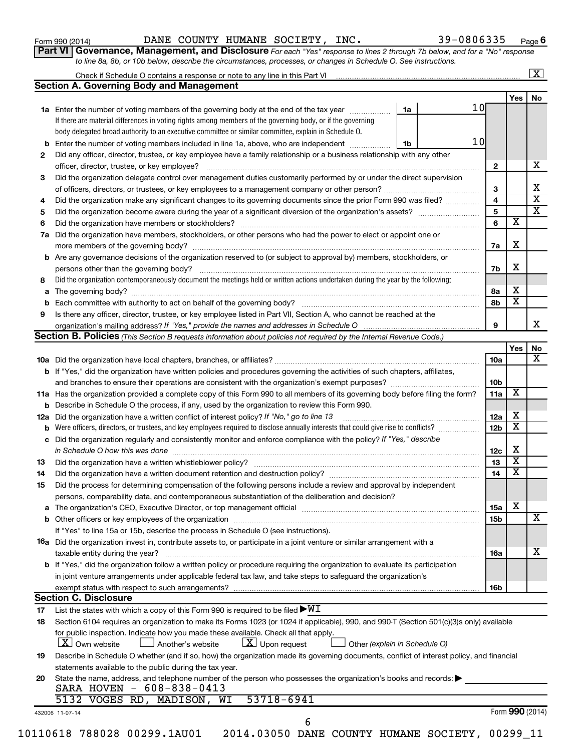| Form 990 (2014) |
|-----------------|
|-----------------|

Form 990 (2014) Page DANE COUNTY HUMANE SOCIETY, INC. 39-0806335

**Part VI** Governance, Management, and Disclosure For each "Yes" response to lines 2 through 7b below, and for a "No" response *to line 8a, 8b, or 10b below, describe the circumstances, processes, or changes in Schedule O. See instructions.*

|     | Check if Schedule O contains a response or note to any line in this Part VI [11] [12] [12] Check if Schedule O contains a response or note to any line in this Part VI                                                         |    |      |                 |                         | $\mathbf{X}$ |
|-----|--------------------------------------------------------------------------------------------------------------------------------------------------------------------------------------------------------------------------------|----|------|-----------------|-------------------------|--------------|
|     | <b>Section A. Governing Body and Management</b>                                                                                                                                                                                |    |      |                 |                         |              |
|     |                                                                                                                                                                                                                                |    |      |                 | Yes                     | No           |
|     | 1a Enter the number of voting members of the governing body at the end of the tax year                                                                                                                                         | 1a | 1 Ol |                 |                         |              |
|     | If there are material differences in voting rights among members of the governing body, or if the governing                                                                                                                    |    |      |                 |                         |              |
|     | body delegated broad authority to an executive committee or similar committee, explain in Schedule O.                                                                                                                          |    |      |                 |                         |              |
| b   | Enter the number of voting members included in line 1a, above, who are independent                                                                                                                                             | 1b | 10   |                 |                         |              |
| 2   | Did any officer, director, trustee, or key employee have a family relationship or a business relationship with any other                                                                                                       |    |      |                 |                         |              |
|     | officer, director, trustee, or key employee?                                                                                                                                                                                   |    |      | $\mathbf{2}$    |                         |              |
| 3   | Did the organization delegate control over management duties customarily performed by or under the direct supervision                                                                                                          |    |      |                 |                         |              |
|     |                                                                                                                                                                                                                                |    |      | 3               |                         |              |
| 4   | Did the organization make any significant changes to its governing documents since the prior Form 990 was filed?                                                                                                               |    |      | 4               |                         |              |
| 5   |                                                                                                                                                                                                                                |    |      | 5               |                         |              |
|     |                                                                                                                                                                                                                                |    |      | 6               | х                       |              |
| 6   |                                                                                                                                                                                                                                |    |      |                 |                         |              |
| 7a  | Did the organization have members, stockholders, or other persons who had the power to elect or appoint one or                                                                                                                 |    |      |                 |                         |              |
|     |                                                                                                                                                                                                                                |    |      | 7a              | X                       |              |
| b   | Are any governance decisions of the organization reserved to (or subject to approval by) members, stockholders, or                                                                                                             |    |      |                 |                         |              |
|     |                                                                                                                                                                                                                                |    |      | 7b              | X                       |              |
| 8   | Did the organization contemporaneously document the meetings held or written actions undertaken during the year by the following:                                                                                              |    |      |                 |                         |              |
| а   |                                                                                                                                                                                                                                |    |      | 8a              | х                       |              |
|     |                                                                                                                                                                                                                                |    |      | 8b              | $\overline{\textbf{x}}$ |              |
| 9   | Is there any officer, director, trustee, or key employee listed in Part VII, Section A, who cannot be reached at the                                                                                                           |    |      |                 |                         |              |
|     |                                                                                                                                                                                                                                |    |      | 9               |                         |              |
|     | Section B. Policies (This Section B requests information about policies not required by the Internal Revenue Code.)                                                                                                            |    |      |                 |                         |              |
|     |                                                                                                                                                                                                                                |    |      |                 | Yes                     |              |
|     |                                                                                                                                                                                                                                |    |      | 10a             |                         |              |
|     | <b>b</b> If "Yes," did the organization have written policies and procedures governing the activities of such chapters, affiliates,                                                                                            |    |      |                 |                         |              |
|     |                                                                                                                                                                                                                                |    |      | 10b             |                         |              |
|     |                                                                                                                                                                                                                                |    |      |                 | X                       |              |
|     | 11a Has the organization provided a complete copy of this Form 990 to all members of its governing body before filing the form?                                                                                                |    |      | 11a             |                         |              |
|     | Describe in Schedule O the process, if any, used by the organization to review this Form 990.                                                                                                                                  |    |      |                 |                         |              |
| 12a | Did the organization have a written conflict of interest policy? If "No," go to line 13                                                                                                                                        |    |      | 12a             | х                       |              |
|     | Were officers, directors, or trustees, and key employees required to disclose annually interests that could give rise to conflicts?                                                                                            |    |      | 12 <sub>b</sub> | X                       |              |
| с   | Did the organization regularly and consistently monitor and enforce compliance with the policy? If "Yes," describe                                                                                                             |    |      |                 |                         |              |
|     | in Schedule O how this was done manufactured and continuum and contact the was done manufactured and contact t                                                                                                                 |    |      | 12c             | X                       |              |
| 13  |                                                                                                                                                                                                                                |    |      | 13              | $\overline{\mathbf{x}}$ |              |
| 14  |                                                                                                                                                                                                                                |    |      | 14              | X                       |              |
| 15  | Did the process for determining compensation of the following persons include a review and approval by independent                                                                                                             |    |      |                 |                         |              |
|     | persons, comparability data, and contemporaneous substantiation of the deliberation and decision?                                                                                                                              |    |      |                 |                         |              |
| а   | The organization's CEO, Executive Director, or top management official manufactured content of the organization's CEO, Executive Director, or top management official manufactured content of the organization's CEO, Executiv |    |      | 15a             | х                       |              |
|     |                                                                                                                                                                                                                                |    |      | 15b             |                         |              |
|     | If "Yes" to line 15a or 15b, describe the process in Schedule O (see instructions).                                                                                                                                            |    |      |                 |                         |              |
|     |                                                                                                                                                                                                                                |    |      |                 |                         |              |
|     | <b>16a</b> Did the organization invest in, contribute assets to, or participate in a joint venture or similar arrangement with a                                                                                               |    |      |                 |                         |              |
|     | taxable entity during the year?                                                                                                                                                                                                |    |      | 16a             |                         |              |
|     | b If "Yes," did the organization follow a written policy or procedure requiring the organization to evaluate its participation                                                                                                 |    |      |                 |                         |              |
|     | in joint venture arrangements under applicable federal tax law, and take steps to safeguard the organization's                                                                                                                 |    |      |                 |                         |              |
|     | exempt status with respect to such arrangements?                                                                                                                                                                               |    |      | 16b             |                         |              |
|     | <b>Section C. Disclosure</b>                                                                                                                                                                                                   |    |      |                 |                         |              |
| 17  | List the states with which a copy of this Form 990 is required to be filed $\blacktriangleright\texttt{WI}$                                                                                                                    |    |      |                 |                         |              |
| 18  | Section 6104 requires an organization to make its Forms 1023 (or 1024 if applicable), 990, and 990-T (Section 501(c)(3)s only) available                                                                                       |    |      |                 |                         |              |
|     | for public inspection. Indicate how you made these available. Check all that apply.                                                                                                                                            |    |      |                 |                         |              |
|     | $\lfloor x \rfloor$ Upon request<br>  X   Own website<br>Another's website<br>Other (explain in Schedule O)                                                                                                                    |    |      |                 |                         |              |
| 19  | Describe in Schedule O whether (and if so, how) the organization made its governing documents, conflict of interest policy, and financial                                                                                      |    |      |                 |                         |              |
|     | statements available to the public during the tax year.                                                                                                                                                                        |    |      |                 |                         |              |
| 20  | State the name, address, and telephone number of the person who possesses the organization's books and records:                                                                                                                |    |      |                 |                         |              |
|     | SARA HOVEN - 608-838-0413                                                                                                                                                                                                      |    |      |                 |                         |              |
|     | 53718-6941<br>5132 VOGES RD, MADISON, WI                                                                                                                                                                                       |    |      |                 |                         |              |
|     | 432006 11-07-14                                                                                                                                                                                                                |    |      |                 | Form 990 (2014)         |              |
|     | 6                                                                                                                                                                                                                              |    |      |                 |                         |              |
|     | 10110618 788028 00299.1AU01  2014.03050 DANE COUNTY HUMANE SOCIETY, 00299_11                                                                                                                                                   |    |      |                 |                         |              |
|     |                                                                                                                                                                                                                                |    |      |                 |                         |              |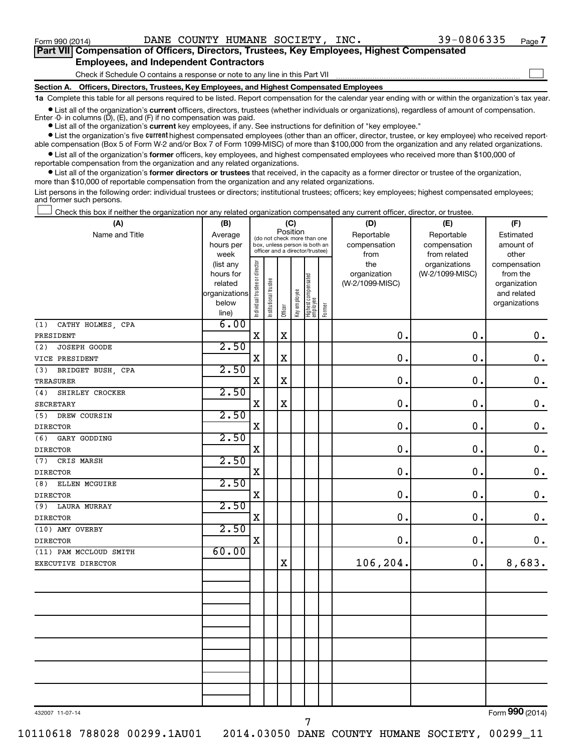$\Box$ 

| Part VII Compensation of Officers, Directors, Trustees, Key Employees, Highest Compensated |  |
|--------------------------------------------------------------------------------------------|--|
| <b>Employees, and Independent Contractors</b>                                              |  |

Check if Schedule O contains a response or note to any line in this Part VII

**Section A. Officers, Directors, Trustees, Key Employees, and Highest Compensated Employees**

**1a**  Complete this table for all persons required to be listed. Report compensation for the calendar year ending with or within the organization's tax year.

**•** List all of the organization's current officers, directors, trustees (whether individuals or organizations), regardless of amount of compensation. Enter -0- in columns  $(D)$ ,  $(E)$ , and  $(F)$  if no compensation was paid.

**•** List all of the organization's **current** key employees, if any. See instructions for definition of "key employee."

**•** List the organization's five current highest compensated employees (other than an officer, director, trustee, or key employee) who received reportable compensation (Box 5 of Form W-2 and/or Box 7 of Form 1099-MISC) of more than \$100,000 from the organization and any related organizations.

**•** List all of the organization's former officers, key employees, and highest compensated employees who received more than \$100,000 of reportable compensation from the organization and any related organizations.

**•** List all of the organization's former directors or trustees that received, in the capacity as a former director or trustee of the organization, more than \$10,000 of reportable compensation from the organization and any related organizations.

List persons in the following order: individual trustees or directors; institutional trustees; officers; key employees; highest compensated employees; and former such persons.

Check this box if neither the organization nor any related organization compensated any current officer, director, or trustee.  $\Box$ 

| (A)                                    | (B)               |                                |                                                                  | (C)         |              |                                 |        | (D)             | (E)                           | (F)                           |
|----------------------------------------|-------------------|--------------------------------|------------------------------------------------------------------|-------------|--------------|---------------------------------|--------|-----------------|-------------------------------|-------------------------------|
| Name and Title                         | Average           |                                | (do not check more than one                                      | Position    |              |                                 |        | Reportable      | Reportable                    | Estimated                     |
|                                        | hours per         |                                | box, unless person is both an<br>officer and a director/trustee) |             |              |                                 |        | compensation    | compensation                  | amount of                     |
|                                        | week<br>(list any |                                |                                                                  |             |              |                                 |        | from<br>the     | from related<br>organizations | other<br>compensation         |
|                                        | hours for         |                                |                                                                  |             |              |                                 |        | organization    | (W-2/1099-MISC)               | from the                      |
|                                        | related           |                                |                                                                  |             |              | Highest compensated<br>employee |        | (W-2/1099-MISC) |                               | organization                  |
|                                        | organizations     |                                |                                                                  |             |              |                                 |        |                 |                               | and related                   |
|                                        | below             | Individual trustee or director | Institutional trustee                                            | Officer     | Key employee |                                 | Former |                 |                               | organizations                 |
|                                        | line)<br>6.00     |                                |                                                                  |             |              |                                 |        |                 |                               |                               |
| CATHY HOLMES, CPA<br>(1)               |                   | $\mathbf X$                    |                                                                  | $\mathbf X$ |              |                                 |        | $\mathbf 0$ .   | $\mathbf 0$ .                 |                               |
| PRESIDENT                              | 2.50              |                                |                                                                  |             |              |                                 |        |                 |                               | $\mathbf 0$ .                 |
| JOSEPH GOODE<br>(2)                    |                   | $\mathbf X$                    |                                                                  | $\mathbf X$ |              |                                 |        | $\mathbf 0$ .   | 0.                            |                               |
| VICE PRESIDENT                         | 2.50              |                                |                                                                  |             |              |                                 |        |                 |                               | $\mathbf 0$ .                 |
| (3)<br>BRIDGET BUSH, CPA               |                   |                                |                                                                  |             |              |                                 |        |                 |                               |                               |
| <b>TREASURER</b>                       |                   | $\mathbf X$                    |                                                                  | $\mathbf X$ |              |                                 |        | $\mathbf 0$ .   | $\mathbf 0$ .                 | $\mathbf 0$ .                 |
| SHIRLEY CROCKER<br>(4)                 | 2.50              | $\mathbf X$                    |                                                                  | $\rm X$     |              |                                 |        | 0.              | $\mathbf 0$ .                 |                               |
| <b>SECRETARY</b>                       | 2.50              |                                |                                                                  |             |              |                                 |        |                 |                               | $\mathbf 0$ .                 |
| (5)<br>DREW COURSIN                    |                   | X                              |                                                                  |             |              |                                 |        | $\mathbf 0$ .   | $\mathbf 0$ .                 | $\mathbf 0$ .                 |
| <b>DIRECTOR</b>                        | 2.50              |                                |                                                                  |             |              |                                 |        |                 |                               |                               |
| GARY GODDING<br>(6)<br><b>DIRECTOR</b> |                   | $\mathbf X$                    |                                                                  |             |              |                                 |        | 0.              | 0.                            | $0$ .                         |
| CRIS MARSH<br>(7)                      | 2.50              |                                |                                                                  |             |              |                                 |        |                 |                               |                               |
| <b>DIRECTOR</b>                        |                   | X                              |                                                                  |             |              |                                 |        | $\mathbf 0$ .   | $\mathbf 0$ .                 | $\mathbf 0$ .                 |
| ELLEN MCGUIRE<br>(8)                   | 2.50              |                                |                                                                  |             |              |                                 |        |                 |                               |                               |
| <b>DIRECTOR</b>                        |                   | $\mathbf X$                    |                                                                  |             |              |                                 |        | 0.              | 0.                            | $\boldsymbol{0}$ .            |
| LAURA MURRAY<br>(9)                    | 2.50              |                                |                                                                  |             |              |                                 |        |                 |                               |                               |
| <b>DIRECTOR</b>                        |                   | X                              |                                                                  |             |              |                                 |        | $\mathbf 0$ .   | $\mathbf 0$ .                 | $\mathbf 0$ .                 |
| (10) AMY OVERBY                        | 2.50              |                                |                                                                  |             |              |                                 |        |                 |                               |                               |
| <b>DIRECTOR</b>                        |                   | $\mathbf X$                    |                                                                  |             |              |                                 |        | 0.              | 0.                            | 0.                            |
| (11) PAM MCCLOUD SMITH                 | 60.00             |                                |                                                                  |             |              |                                 |        |                 |                               |                               |
| EXECUTIVE DIRECTOR                     |                   |                                |                                                                  | $\mathbf X$ |              |                                 |        | 106,204.        | 0.                            | 8,683.                        |
|                                        |                   |                                |                                                                  |             |              |                                 |        |                 |                               |                               |
|                                        |                   |                                |                                                                  |             |              |                                 |        |                 |                               |                               |
|                                        |                   |                                |                                                                  |             |              |                                 |        |                 |                               |                               |
|                                        |                   |                                |                                                                  |             |              |                                 |        |                 |                               |                               |
|                                        |                   |                                |                                                                  |             |              |                                 |        |                 |                               |                               |
|                                        |                   |                                |                                                                  |             |              |                                 |        |                 |                               |                               |
|                                        |                   |                                |                                                                  |             |              |                                 |        |                 |                               |                               |
|                                        |                   |                                |                                                                  |             |              |                                 |        |                 |                               |                               |
|                                        |                   |                                |                                                                  |             |              |                                 |        |                 |                               |                               |
|                                        |                   |                                |                                                                  |             |              |                                 |        |                 |                               |                               |
|                                        |                   |                                |                                                                  |             |              |                                 |        |                 |                               |                               |
|                                        |                   |                                |                                                                  |             |              |                                 |        |                 |                               | $000 \, \text{MeV}$<br>$\sim$ |

432007 11-07-14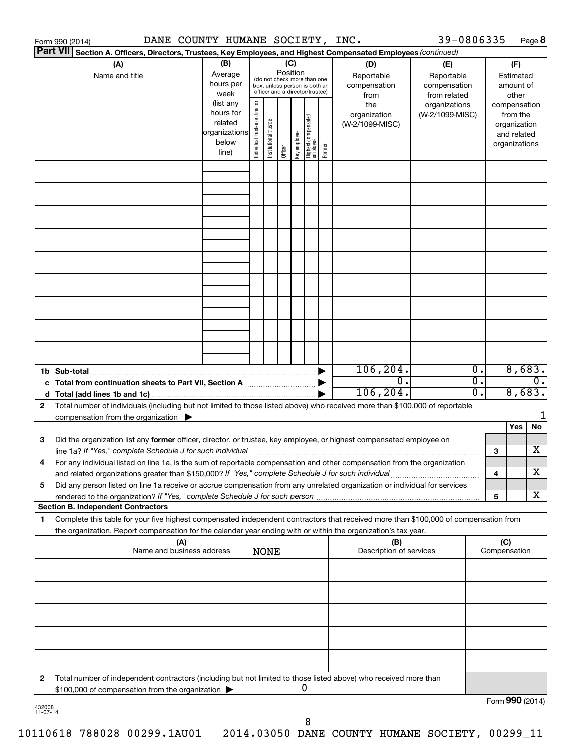|                                                                                                                                                                                                     | DANE COUNTY HUMANE SOCIETY, INC.<br>Form 990 (2014)                                                                                                                                                                                                                                                                                                                           |                                                                      |                                                                                                                    |                       |         |              |                                   |        |                                           | 39-0806335                                        |        |                  |                                                                          | Page 8 |
|-----------------------------------------------------------------------------------------------------------------------------------------------------------------------------------------------------|-------------------------------------------------------------------------------------------------------------------------------------------------------------------------------------------------------------------------------------------------------------------------------------------------------------------------------------------------------------------------------|----------------------------------------------------------------------|--------------------------------------------------------------------------------------------------------------------|-----------------------|---------|--------------|-----------------------------------|--------|-------------------------------------------|---------------------------------------------------|--------|------------------|--------------------------------------------------------------------------|--------|
|                                                                                                                                                                                                     | <b>Part VII</b><br>Section A. Officers, Directors, Trustees, Key Employees, and Highest Compensated Employees (continued)                                                                                                                                                                                                                                                     |                                                                      |                                                                                                                    |                       |         |              |                                   |        |                                           |                                                   |        |                  |                                                                          |        |
|                                                                                                                                                                                                     | (A)<br>Name and title                                                                                                                                                                                                                                                                                                                                                         | (B)<br>Average<br>hours per<br>week                                  | (C)<br>Position<br>(do not check more than one<br>box, unless person is both an<br>officer and a director/trustee) |                       |         |              |                                   |        | (D)<br>Reportable<br>compensation<br>from | (E)<br>Reportable<br>compensation<br>from related |        |                  | (F)<br>Estimated<br>amount of<br>other                                   |        |
|                                                                                                                                                                                                     |                                                                                                                                                                                                                                                                                                                                                                               | (list any<br>hours for<br>related<br>organizations<br>below<br>line) | Individual trustee or director                                                                                     | Institutional trustee | Officer | Key employee | Highest compensated<br>  employee | Former | the<br>organization<br>(W-2/1099-MISC)    | organizations<br>(W-2/1099-MISC)                  |        |                  | compensation<br>from the<br>organization<br>and related<br>organizations |        |
|                                                                                                                                                                                                     |                                                                                                                                                                                                                                                                                                                                                                               |                                                                      |                                                                                                                    |                       |         |              |                                   |        |                                           |                                                   |        |                  |                                                                          |        |
|                                                                                                                                                                                                     |                                                                                                                                                                                                                                                                                                                                                                               |                                                                      |                                                                                                                    |                       |         |              |                                   |        |                                           |                                                   |        |                  |                                                                          |        |
|                                                                                                                                                                                                     |                                                                                                                                                                                                                                                                                                                                                                               |                                                                      |                                                                                                                    |                       |         |              |                                   |        |                                           |                                                   |        |                  |                                                                          |        |
|                                                                                                                                                                                                     |                                                                                                                                                                                                                                                                                                                                                                               |                                                                      |                                                                                                                    |                       |         |              |                                   |        |                                           |                                                   |        |                  |                                                                          |        |
|                                                                                                                                                                                                     |                                                                                                                                                                                                                                                                                                                                                                               |                                                                      |                                                                                                                    |                       |         |              |                                   |        |                                           |                                                   |        |                  |                                                                          |        |
|                                                                                                                                                                                                     |                                                                                                                                                                                                                                                                                                                                                                               |                                                                      |                                                                                                                    |                       |         |              |                                   |        |                                           |                                                   |        |                  |                                                                          |        |
|                                                                                                                                                                                                     |                                                                                                                                                                                                                                                                                                                                                                               |                                                                      |                                                                                                                    |                       |         |              |                                   |        |                                           |                                                   |        |                  |                                                                          |        |
| 106, 204.<br>$\overline{0}$ .<br>1b Sub-total<br>$\overline{0}$ .<br>σ.<br>c Total from continuation sheets to Part VII, Section A manufactured by                                                  |                                                                                                                                                                                                                                                                                                                                                                               |                                                                      |                                                                                                                    |                       |         |              |                                   |        |                                           |                                                   | 8,683. | $\overline{0}$ . |                                                                          |        |
| 2                                                                                                                                                                                                   | Total number of individuals (including but not limited to those listed above) who received more than \$100,000 of reportable<br>compensation from the organization $\blacktriangleright$                                                                                                                                                                                      |                                                                      |                                                                                                                    |                       |         |              |                                   |        | 106, 204.                                 |                                                   | 0.     |                  | 8,683.                                                                   | 1      |
| 3                                                                                                                                                                                                   | Did the organization list any former officer, director, or trustee, key employee, or highest compensated employee on                                                                                                                                                                                                                                                          |                                                                      |                                                                                                                    |                       |         |              |                                   |        |                                           |                                                   |        |                  | Yes                                                                      | No     |
|                                                                                                                                                                                                     | line 1a? If "Yes," complete Schedule J for such individual manufacture content to the set of the set of the schedule J for such individual<br>For any individual listed on line 1a, is the sum of reportable compensation and other compensation from the organization<br>and related organizations greater than \$150,000? If "Yes," complete Schedule J for such individual |                                                                      |                                                                                                                    |                       |         |              |                                   |        |                                           |                                                   |        | 3<br>4           |                                                                          | х<br>х |
| 5                                                                                                                                                                                                   | Did any person listed on line 1a receive or accrue compensation from any unrelated organization or individual for services                                                                                                                                                                                                                                                    |                                                                      |                                                                                                                    |                       |         |              |                                   |        |                                           |                                                   |        | 5                |                                                                          | х      |
| 1.                                                                                                                                                                                                  | <b>Section B. Independent Contractors</b><br>Complete this table for your five highest compensated independent contractors that received more than \$100,000 of compensation from                                                                                                                                                                                             |                                                                      |                                                                                                                    |                       |         |              |                                   |        |                                           |                                                   |        |                  |                                                                          |        |
| the organization. Report compensation for the calendar year ending with or within the organization's tax year.<br>(A)<br>(B)<br>Name and business address<br>Description of services<br><b>NONE</b> |                                                                                                                                                                                                                                                                                                                                                                               |                                                                      |                                                                                                                    |                       |         |              |                                   |        |                                           | (C)<br>Compensation                               |        |                  |                                                                          |        |
|                                                                                                                                                                                                     |                                                                                                                                                                                                                                                                                                                                                                               |                                                                      |                                                                                                                    |                       |         |              |                                   |        |                                           |                                                   |        |                  |                                                                          |        |
|                                                                                                                                                                                                     |                                                                                                                                                                                                                                                                                                                                                                               |                                                                      |                                                                                                                    |                       |         |              |                                   |        |                                           |                                                   |        |                  |                                                                          |        |
|                                                                                                                                                                                                     |                                                                                                                                                                                                                                                                                                                                                                               |                                                                      |                                                                                                                    |                       |         |              |                                   |        |                                           |                                                   |        |                  |                                                                          |        |
|                                                                                                                                                                                                     |                                                                                                                                                                                                                                                                                                                                                                               |                                                                      |                                                                                                                    |                       |         |              |                                   |        |                                           |                                                   |        |                  |                                                                          |        |
| 2                                                                                                                                                                                                   | Total number of independent contractors (including but not limited to those listed above) who received more than<br>\$100,000 of compensation from the organization                                                                                                                                                                                                           |                                                                      |                                                                                                                    |                       |         |              | 0                                 |        |                                           |                                                   |        |                  |                                                                          |        |
| 432008<br>11-07-14                                                                                                                                                                                  |                                                                                                                                                                                                                                                                                                                                                                               |                                                                      |                                                                                                                    |                       |         |              |                                   |        |                                           |                                                   |        | Form 990 (2014)  |                                                                          |        |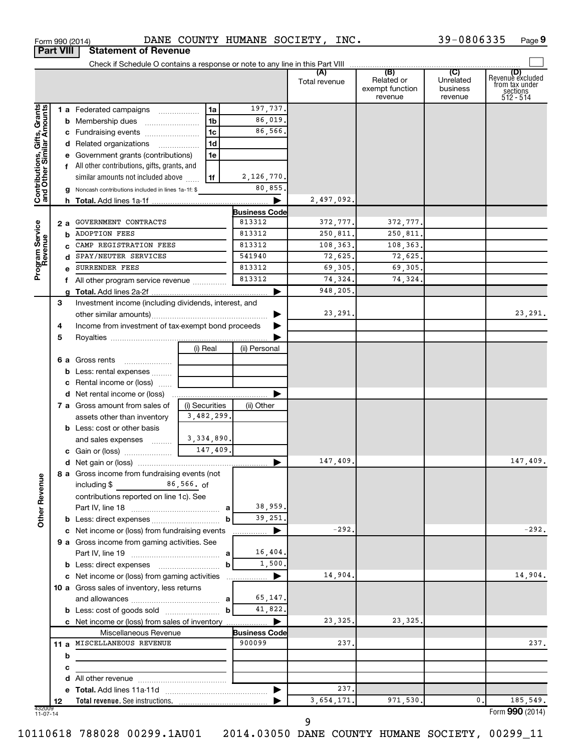|                                                           |    |   |                                                                         |                |                      | Total revenue | (B)<br>Related or<br>exempt function<br>revenue | (C)<br>Unrelated<br>business<br>revenue | (D)<br>Revenue excluded<br>from tax under<br>sections<br>512 - 514 |
|-----------------------------------------------------------|----|---|-------------------------------------------------------------------------|----------------|----------------------|---------------|-------------------------------------------------|-----------------------------------------|--------------------------------------------------------------------|
|                                                           |    |   | 1 a Federated campaigns                                                 | 1a             | 197,737.             |               |                                                 |                                         |                                                                    |
| Contributions, Gifts, Grants<br>and Other Similar Amounts |    |   |                                                                         | 1b             | 86,019.              |               |                                                 |                                         |                                                                    |
|                                                           |    |   | c Fundraising events                                                    | 1c             | 86,566.              |               |                                                 |                                         |                                                                    |
|                                                           |    |   | d Related organizations                                                 | 1d             |                      |               |                                                 |                                         |                                                                    |
|                                                           |    |   | e Government grants (contributions)                                     | 1e             |                      |               |                                                 |                                         |                                                                    |
|                                                           |    |   | f All other contributions, gifts, grants, and                           |                |                      |               |                                                 |                                         |                                                                    |
|                                                           |    |   | similar amounts not included above                                      | 1f             | 2,126,770.           |               |                                                 |                                         |                                                                    |
|                                                           |    |   | g Noncash contributions included in lines 1a-1f: \$                     |                | 80,855,              |               |                                                 |                                         |                                                                    |
|                                                           |    |   |                                                                         |                |                      | 2,497,092.    |                                                 |                                         |                                                                    |
|                                                           |    |   |                                                                         |                | <b>Business Code</b> |               |                                                 |                                         |                                                                    |
|                                                           | 2а |   | GOVERNMENT CONTRACTS                                                    |                | 813312               | 372,777.      | 372,777.                                        |                                         |                                                                    |
|                                                           |    | b | <b>ADOPTION FEES</b>                                                    |                | 813312               | 250,811.      | 250,811.                                        |                                         |                                                                    |
|                                                           |    |   | CAMP REGISTRATION FEES                                                  |                | 813312               | 108,363.      | 108,363.                                        |                                         |                                                                    |
|                                                           |    |   | SPAY/NEUTER SERVICES                                                    |                | 541940               | 72,625.       | 72,625.                                         |                                         |                                                                    |
| Program Service<br>Revenue                                |    |   | SURRENDER FEES                                                          |                | 813312               | 69,305.       | 69,305.                                         |                                         |                                                                    |
|                                                           |    |   | f All other program service revenue                                     |                | 813312               | 74,324.       | 74,324.                                         |                                         |                                                                    |
|                                                           |    |   |                                                                         |                |                      | 948,205.      |                                                 |                                         |                                                                    |
|                                                           | 3  |   | Investment income (including dividends, interest, and                   |                |                      |               |                                                 |                                         |                                                                    |
|                                                           |    |   |                                                                         |                |                      | 23,291.       |                                                 |                                         | 23,291.                                                            |
|                                                           | 4  |   | Income from investment of tax-exempt bond proceeds                      |                |                      |               |                                                 |                                         |                                                                    |
|                                                           | 5  |   |                                                                         |                |                      |               |                                                 |                                         |                                                                    |
|                                                           |    |   |                                                                         | (i) Real       | (ii) Personal        |               |                                                 |                                         |                                                                    |
|                                                           |    |   | 6 a Gross rents                                                         |                |                      |               |                                                 |                                         |                                                                    |
|                                                           |    |   | <b>b</b> Less: rental expenses                                          |                |                      |               |                                                 |                                         |                                                                    |
|                                                           |    |   | <b>c</b> Rental income or (loss) $\ldots$                               |                |                      |               |                                                 |                                         |                                                                    |
|                                                           |    |   |                                                                         |                |                      |               |                                                 |                                         |                                                                    |
|                                                           |    |   | 7 a Gross amount from sales of                                          | (i) Securities | (ii) Other           |               |                                                 |                                         |                                                                    |
|                                                           |    |   | assets other than inventory                                             | 3,482,299.     |                      |               |                                                 |                                         |                                                                    |
|                                                           |    |   | <b>b</b> Less: cost or other basis                                      |                |                      |               |                                                 |                                         |                                                                    |
|                                                           |    |   | and sales expenses                                                      | 3,334,890.     |                      |               |                                                 |                                         |                                                                    |
|                                                           |    |   | c Gain or (loss) $\frac{147,409}{}$                                     |                |                      |               |                                                 |                                         |                                                                    |
|                                                           |    |   |                                                                         |                | ▶                    | 147,409.      |                                                 |                                         | 147,409.                                                           |
| 9                                                         |    |   | 8 a Gross income from fundraising events (not<br>including \$86,566. of |                |                      |               |                                                 |                                         |                                                                    |
| Other Reven                                               |    |   |                                                                         |                |                      |               |                                                 |                                         |                                                                    |
|                                                           |    |   | contributions reported on line 1c). See                                 |                | 38,959.              |               |                                                 |                                         |                                                                    |
|                                                           |    |   |                                                                         |                | 39,251.              |               |                                                 |                                         |                                                                    |
|                                                           |    |   | c Net income or (loss) from fundraising events                          |                | ▶                    | $-292.$       |                                                 |                                         | $-292.$                                                            |
|                                                           |    |   | 9 a Gross income from gaming activities. See                            |                |                      |               |                                                 |                                         |                                                                    |
|                                                           |    |   |                                                                         |                | 16,404.              |               |                                                 |                                         |                                                                    |
|                                                           |    |   |                                                                         | b              | 1,500.               |               |                                                 |                                         |                                                                    |
|                                                           |    |   | c Net income or (loss) from gaming activities                           |                | ▶                    | 14,904.       |                                                 |                                         | 14,904.                                                            |
|                                                           |    |   | 10 a Gross sales of inventory, less returns                             |                |                      |               |                                                 |                                         |                                                                    |
|                                                           |    |   |                                                                         |                | 65,147.              |               |                                                 |                                         |                                                                    |
|                                                           |    |   | <b>b</b> Less: cost of goods sold                                       | b              | 41,822.              |               |                                                 |                                         |                                                                    |
|                                                           |    |   | c Net income or (loss) from sales of inventory                          |                |                      | 23,325.       | 23,325.                                         |                                         |                                                                    |
|                                                           |    |   | Miscellaneous Revenue                                                   |                | <b>Business Code</b> |               |                                                 |                                         |                                                                    |
|                                                           |    |   | 11 a MISCELLANEOUS REVENUE                                              |                | 900099               | 237,          |                                                 |                                         | 237.                                                               |
|                                                           |    | b |                                                                         |                |                      |               |                                                 |                                         |                                                                    |
|                                                           |    | c |                                                                         |                |                      |               |                                                 |                                         |                                                                    |
|                                                           |    |   |                                                                         |                |                      |               |                                                 |                                         |                                                                    |
|                                                           |    |   |                                                                         |                |                      | 237.          |                                                 |                                         |                                                                    |
|                                                           | 12 |   |                                                                         |                |                      | 3,654,171.    | 971,530.                                        | 0.                                      | 185,549.                                                           |
| 432009<br>11-07-14                                        |    |   |                                                                         |                |                      |               |                                                 |                                         | Form 990 (2014)                                                    |

Form 990 (2014) DANE COUNTY HUMANE SOCIETY, INC.  $39-0806335$  Page

39-0806335 Page 9

**Part VIII Statement of Revenue**

9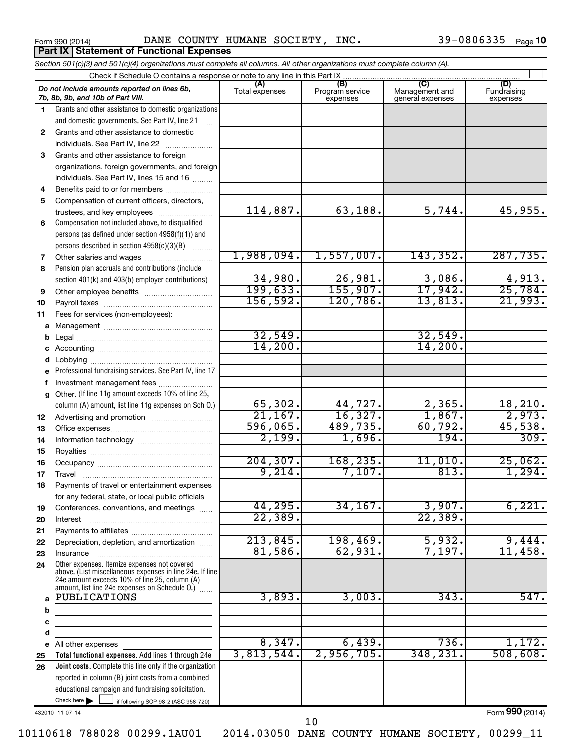**Part IX Statement of Functional Expenses**

Form 990 (2014) Page DANE COUNTY HUMANE SOCIETY, INC. 39-0806335

|             | Section 501(c)(3) and 501(c)(4) organizations must complete all columns. All other organizations must complete column (A).                                                                                    |                       |                                    |                                    |                                |
|-------------|---------------------------------------------------------------------------------------------------------------------------------------------------------------------------------------------------------------|-----------------------|------------------------------------|------------------------------------|--------------------------------|
|             | Check if Schedule O contains a response or note to any line in this Part IX                                                                                                                                   |                       |                                    |                                    |                                |
|             | Do not include amounts reported on lines 6b,<br>7b, 8b, 9b, and 10b of Part VIII.                                                                                                                             | (A)<br>Total expenses | (B)<br>Program service<br>expenses | Management and<br>general expenses | (D)<br>Fundraising<br>expenses |
| 1.          | Grants and other assistance to domestic organizations                                                                                                                                                         |                       |                                    |                                    |                                |
|             | and domestic governments. See Part IV, line 21                                                                                                                                                                |                       |                                    |                                    |                                |
| 2           | Grants and other assistance to domestic                                                                                                                                                                       |                       |                                    |                                    |                                |
|             | individuals. See Part IV, line 22                                                                                                                                                                             |                       |                                    |                                    |                                |
| 3           | Grants and other assistance to foreign                                                                                                                                                                        |                       |                                    |                                    |                                |
|             | organizations, foreign governments, and foreign                                                                                                                                                               |                       |                                    |                                    |                                |
|             | individuals. See Part IV, lines 15 and 16                                                                                                                                                                     |                       |                                    |                                    |                                |
| 4           | Benefits paid to or for members                                                                                                                                                                               |                       |                                    |                                    |                                |
| 5           | Compensation of current officers, directors,                                                                                                                                                                  |                       |                                    |                                    |                                |
|             | trustees, and key employees                                                                                                                                                                                   | 114,887.              | 63,188.                            | 5,744.                             | 45,955.                        |
| 6           | Compensation not included above, to disqualified                                                                                                                                                              |                       |                                    |                                    |                                |
|             | persons (as defined under section 4958(f)(1)) and                                                                                                                                                             |                       |                                    |                                    |                                |
|             | persons described in section 4958(c)(3)(B)<br>1.1.1.1.1.1.1                                                                                                                                                   |                       |                                    |                                    |                                |
| 7           | Other salaries and wages                                                                                                                                                                                      | 1,988,094.            | 1,557,007.                         | 143, 352.                          | 287,735.                       |
| 8           | Pension plan accruals and contributions (include                                                                                                                                                              |                       |                                    |                                    |                                |
|             | section 401(k) and 403(b) employer contributions)                                                                                                                                                             | 34,980.<br>199,633.   | 26,981.<br>155,907.                | 3,086.<br>17,942.                  | 4,913.<br>25,784.              |
| 9           | Other employee benefits                                                                                                                                                                                       | 156, 592.             |                                    |                                    |                                |
| 10          |                                                                                                                                                                                                               |                       | 120, 786.                          | 13,813.                            | 21,993.                        |
| 11          | Fees for services (non-employees):                                                                                                                                                                            |                       |                                    |                                    |                                |
| а           |                                                                                                                                                                                                               | 32,549.               |                                    |                                    |                                |
| b           |                                                                                                                                                                                                               | 14,200.               |                                    | 32,549.<br>14,200.                 |                                |
|             |                                                                                                                                                                                                               |                       |                                    |                                    |                                |
| d           |                                                                                                                                                                                                               |                       |                                    |                                    |                                |
|             | Professional fundraising services. See Part IV, line 17                                                                                                                                                       |                       |                                    |                                    |                                |
| f           | Investment management fees<br>Other. (If line 11g amount exceeds 10% of line 25,                                                                                                                              |                       |                                    |                                    |                                |
| a           | column (A) amount, list line 11g expenses on Sch O.)                                                                                                                                                          | 65,302.               | 44,727.                            |                                    |                                |
| 12          |                                                                                                                                                                                                               | 21,167.               | 16,327.                            | $\frac{2,365}{1,867}$              | $\frac{18,210}{2,973}$         |
| 13          |                                                                                                                                                                                                               | 596,065.              | 489,735.                           | 60,792.                            | 45,538.                        |
| 14          |                                                                                                                                                                                                               | 2,199.                | 1,696.                             | 194.                               | 309.                           |
| 15          |                                                                                                                                                                                                               |                       |                                    |                                    |                                |
| 16          |                                                                                                                                                                                                               | 204, 307.             | 168,235.                           | 11,010.                            | 25,062.                        |
| 17          |                                                                                                                                                                                                               | 9,214.                | 7,107.                             | 813.                               | 1,294.                         |
| 18          | Payments of travel or entertainment expenses                                                                                                                                                                  |                       |                                    |                                    |                                |
|             | for any federal, state, or local public officials                                                                                                                                                             |                       |                                    |                                    |                                |
| 19          | Conferences, conventions, and meetings                                                                                                                                                                        | 44,295.               | 34, 167.                           | 3,907.                             | 6,221.                         |
| 20          | Interest                                                                                                                                                                                                      | 22, 389.              |                                    | 22, 389.                           |                                |
| 21          |                                                                                                                                                                                                               |                       |                                    |                                    |                                |
| 22          | Depreciation, depletion, and amortization                                                                                                                                                                     | 213,845.              | 198,469.                           | 5,932.                             | 9,444.                         |
| 23          | Insurance                                                                                                                                                                                                     | 81,586.               | 62,931.                            | 7,197.                             | 11,458.                        |
| 24          | Other expenses. Itemize expenses not covered<br>above. (List miscellaneous expenses in line 24e. If line<br>24e amount exceeds 10% of line 25, column (A)<br>amount, list line 24e expenses on Schedule O.) [ |                       |                                    |                                    |                                |
| a<br>b<br>с | <b>PUBLICATIONS</b>                                                                                                                                                                                           | 3,893.                | 3,003.                             | 343.                               | 547.                           |
| d           |                                                                                                                                                                                                               |                       |                                    |                                    |                                |
| е           | All other expenses                                                                                                                                                                                            | 8,347.                | 6,439.                             | 736.                               | 1,172.                         |
| 25          | Total functional expenses. Add lines 1 through 24e                                                                                                                                                            | 3,813,544.            | 2,956,705.                         | 348,231                            | 508,608.                       |
| 26          | Joint costs. Complete this line only if the organization                                                                                                                                                      |                       |                                    |                                    |                                |
|             | reported in column (B) joint costs from a combined                                                                                                                                                            |                       |                                    |                                    |                                |
|             | educational campaign and fundraising solicitation.                                                                                                                                                            |                       |                                    |                                    |                                |
|             | Check here $\blacktriangleright$<br>if following SOP 98-2 (ASC 958-720)                                                                                                                                       |                       |                                    |                                    |                                |

432010 11-07-14

Form (2014) **990**

10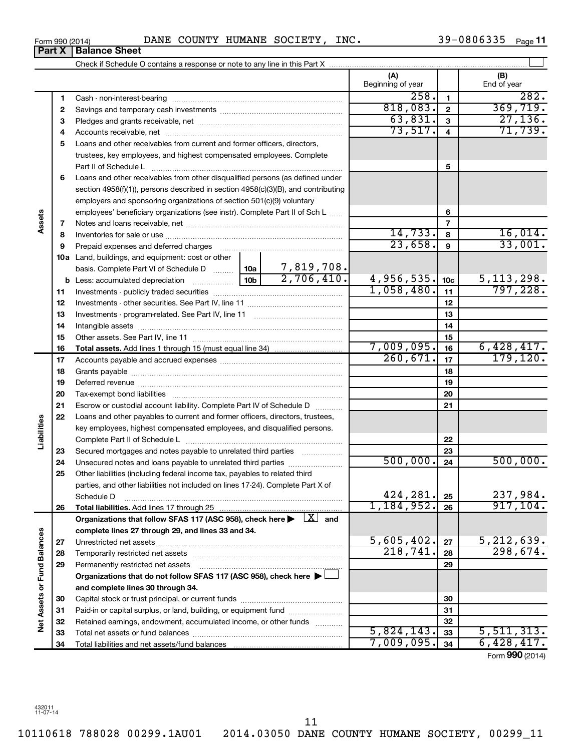10110618 788028 00299.1AU01 2014.03050 DANE COUNTY HUMANE SOCIETY, 00299\_11

## Form 990 (2014) DANE COUNTY HUMANE SOCIETY, INC.  $39-0806335$  Page

**Part X Balance Sheet**

39-0806335 Page 11

|                             |    |                                                                                                                                                                                                                               |                 |            | (A)<br>Beginning of year |                          | (B)<br>End of year |
|-----------------------------|----|-------------------------------------------------------------------------------------------------------------------------------------------------------------------------------------------------------------------------------|-----------------|------------|--------------------------|--------------------------|--------------------|
|                             | 1  |                                                                                                                                                                                                                               |                 |            | 258.                     | $\mathbf{1}$             | 282.               |
|                             | 2  |                                                                                                                                                                                                                               |                 |            | 818,083.                 | $\mathbf{2}$             | 369,719.           |
|                             | З  |                                                                                                                                                                                                                               |                 |            | 63,831.                  | 3                        | 27, 136.           |
|                             | 4  |                                                                                                                                                                                                                               |                 |            | 73,517.                  | $\overline{4}$           | 71,739.            |
|                             | 5  | Loans and other receivables from current and former officers, directors,                                                                                                                                                      |                 |            |                          |                          |                    |
|                             |    | trustees, key employees, and highest compensated employees. Complete                                                                                                                                                          |                 |            |                          |                          |                    |
|                             |    | Part II of Schedule L                                                                                                                                                                                                         |                 |            |                          | 5                        |                    |
|                             | 6  | Loans and other receivables from other disqualified persons (as defined under                                                                                                                                                 |                 |            |                          |                          |                    |
|                             |    | section 4958(f)(1)), persons described in section 4958(c)(3)(B), and contributing                                                                                                                                             |                 |            |                          |                          |                    |
|                             |    | employers and sponsoring organizations of section 501(c)(9) voluntary                                                                                                                                                         |                 |            |                          |                          |                    |
|                             |    | employees' beneficiary organizations (see instr). Complete Part II of Sch L                                                                                                                                                   |                 |            | 6                        |                          |                    |
| Assets                      | 7  |                                                                                                                                                                                                                               |                 |            |                          | $\overline{\phantom{a}}$ |                    |
|                             | 8  |                                                                                                                                                                                                                               |                 |            | 14,733.                  | 8                        | 16,014.            |
|                             | 9  | Prepaid expenses and deferred charges [11] [11] Prepaid expenses and deferred charges [11] [11] Martin Marian Marian Marian Marian Marian Marian Marian Marian Marian Marian Marian Marian Marian Marian Marian Marian Marian |                 |            | 23,658.                  | 9                        | 33,001.            |
|                             |    | 10a Land, buildings, and equipment: cost or other                                                                                                                                                                             |                 |            |                          |                          |                    |
|                             |    | basis. Complete Part VI of Schedule D  10a                                                                                                                                                                                    |                 | 7,819,708. |                          |                          |                    |
|                             |    |                                                                                                                                                                                                                               | 10 <sub>b</sub> | 2,706,410. | 4,956,535.               | 10 <sub>c</sub>          | 5, 113, 298.       |
|                             | 11 |                                                                                                                                                                                                                               |                 |            | 1,058,480.               | 11                       | 797,228.           |
|                             | 12 |                                                                                                                                                                                                                               |                 |            | 12                       |                          |                    |
|                             | 13 |                                                                                                                                                                                                                               |                 |            | 13                       |                          |                    |
|                             | 14 |                                                                                                                                                                                                                               |                 |            | 14                       |                          |                    |
|                             | 15 |                                                                                                                                                                                                                               |                 |            | 15                       |                          |                    |
|                             | 16 |                                                                                                                                                                                                                               |                 |            | 7,009,095.               | 16                       | 6,428,417.         |
|                             | 17 |                                                                                                                                                                                                                               |                 | 260, 671.  | 17                       | 179, 120.                |                    |
|                             | 18 |                                                                                                                                                                                                                               |                 |            | 18                       |                          |                    |
|                             | 19 |                                                                                                                                                                                                                               |                 |            | 19                       |                          |                    |
|                             | 20 |                                                                                                                                                                                                                               |                 |            |                          | 20                       |                    |
|                             | 21 | Escrow or custodial account liability. Complete Part IV of Schedule D                                                                                                                                                         |                 |            |                          | 21                       |                    |
|                             | 22 | Loans and other payables to current and former officers, directors, trustees,                                                                                                                                                 |                 |            |                          |                          |                    |
| Liabilities                 |    | key employees, highest compensated employees, and disqualified persons.                                                                                                                                                       |                 |            |                          |                          |                    |
|                             |    |                                                                                                                                                                                                                               |                 |            |                          | 22                       |                    |
|                             | 23 | Secured mortgages and notes payable to unrelated third parties                                                                                                                                                                |                 |            |                          | 23                       |                    |
|                             | 24 | Unsecured notes and loans payable to unrelated third parties                                                                                                                                                                  |                 |            | 500,000.                 | 24                       | 500,000.           |
|                             | 25 | Other liabilities (including federal income tax, payables to related third                                                                                                                                                    |                 |            |                          |                          |                    |
|                             |    | parties, and other liabilities not included on lines 17-24). Complete Part X of                                                                                                                                               |                 |            |                          |                          |                    |
|                             |    | Schedule D                                                                                                                                                                                                                    |                 |            | 424,281.                 | 25                       | 237,984.           |
|                             | 26 |                                                                                                                                                                                                                               |                 |            | 1,184,952.               | 26                       | 917, 104.          |
|                             |    | Organizations that follow SFAS 117 (ASC 958), check here $\blacktriangleright \begin{array}{c} \boxed{X} \end{array}$ and                                                                                                     |                 |            |                          |                          |                    |
|                             |    | complete lines 27 through 29, and lines 33 and 34.                                                                                                                                                                            |                 |            |                          |                          |                    |
|                             | 27 |                                                                                                                                                                                                                               |                 |            | 5,605,402.               | 27                       | 5,212,639.         |
|                             | 28 |                                                                                                                                                                                                                               |                 | 218,741.   | 28                       | 298,674.                 |                    |
|                             | 29 | Permanently restricted net assets                                                                                                                                                                                             |                 |            |                          | 29                       |                    |
|                             |    | Organizations that do not follow SFAS 117 (ASC 958), check here ▶                                                                                                                                                             |                 |            |                          |                          |                    |
|                             |    | and complete lines 30 through 34.                                                                                                                                                                                             |                 |            |                          |                          |                    |
|                             | 30 |                                                                                                                                                                                                                               |                 |            | 30                       |                          |                    |
|                             | 31 | Paid-in or capital surplus, or land, building, or equipment fund                                                                                                                                                              |                 |            | 31                       |                          |                    |
| Net Assets or Fund Balances | 32 | Retained earnings, endowment, accumulated income, or other funds                                                                                                                                                              |                 |            |                          | 32                       |                    |
|                             | 33 |                                                                                                                                                                                                                               |                 |            | 5,824,143.               | 33                       | 5,511,313.         |
|                             | 34 |                                                                                                                                                                                                                               |                 |            | 7,009,095.               | 34                       | 6,428,417.         |

Form (2014) **990**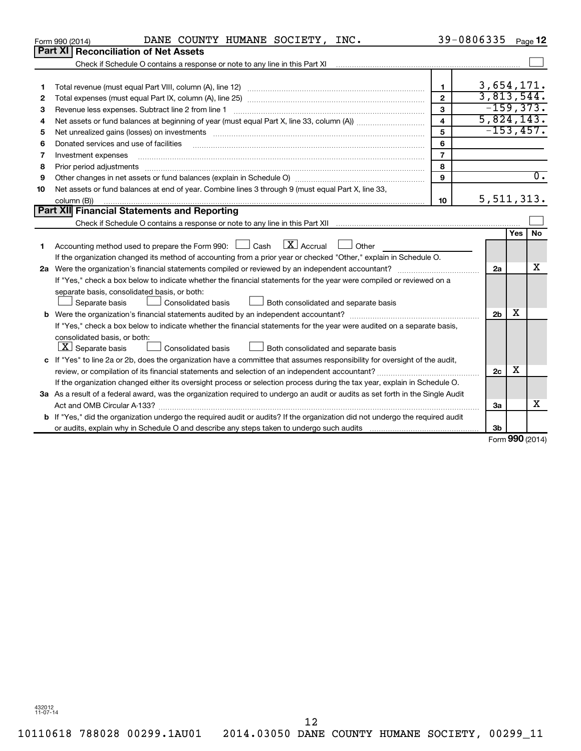| Part XI<br><b>Reconciliation of Net Assets</b><br>Check if Schedule O contains a response or note to any line in this Part XI [11] [12] Check if Schedule O contains a response or note to any line in this Part XI<br>3,654,171.<br>$\mathbf{1}$<br>1<br>3,813,544.<br>$\overline{2}$<br>2<br>$-159, 373.$<br>3<br>з<br>5,824,143.<br>$\overline{\mathbf{4}}$<br>4<br>$-153, 457.$<br>5<br>Net unrealized gains (losses) on investments [11] matter in the contract of the contract of the contract of the contract of the contract of the contract of the contract of the contract of the contract of the contract of th<br>5<br>6<br>Donated services and use of facilities<br>6<br>$\overline{7}$<br>Investment expenses<br>7<br>8<br>Prior period adjustments<br>8<br>9<br>9<br>Net assets or fund balances at end of year. Combine lines 3 through 9 (must equal Part X, line 33,<br>10<br>5, 511, 313.<br>10<br>column (B))<br>Part XII Financial Statements and Reporting<br>Yes<br>$\boxed{\text{X}}$ Accrual<br>Accounting method used to prepare the Form 990: $\Box$ Cash<br>Other<br>1<br>If the organization changed its method of accounting from a prior year or checked "Other," explain in Schedule O.<br>2a<br>If "Yes," check a box below to indicate whether the financial statements for the year were compiled or reviewed on a<br>separate basis, consolidated basis, or both:<br>Consolidated basis<br>Both consolidated and separate basis<br>Separate basis<br>х<br>2 <sub>b</sub><br>If "Yes," check a box below to indicate whether the financial statements for the year were audited on a separate basis,<br>consolidated basis, or both:<br>$ \mathbf{X} $ Separate basis<br>Both consolidated and separate basis<br><b>Consolidated basis</b><br>c If "Yes" to line 2a or 2b, does the organization have a committee that assumes responsibility for oversight of the audit,<br>х<br>2c<br>If the organization changed either its oversight process or selection process during the tax year, explain in Schedule O. |                                                                                                                                 | DANE COUNTY HUMANE SOCIETY, INC.<br>Form 990 (2014) |  | 39-0806335 |  | Page 12          |  |  |  |  |  |  |
|-------------------------------------------------------------------------------------------------------------------------------------------------------------------------------------------------------------------------------------------------------------------------------------------------------------------------------------------------------------------------------------------------------------------------------------------------------------------------------------------------------------------------------------------------------------------------------------------------------------------------------------------------------------------------------------------------------------------------------------------------------------------------------------------------------------------------------------------------------------------------------------------------------------------------------------------------------------------------------------------------------------------------------------------------------------------------------------------------------------------------------------------------------------------------------------------------------------------------------------------------------------------------------------------------------------------------------------------------------------------------------------------------------------------------------------------------------------------------------------------------------------------------------------------------------------------------------------------------------------------------------------------------------------------------------------------------------------------------------------------------------------------------------------------------------------------------------------------------------------------------------------------------------------------------------------------------------------------------------------------------------------------------------------------------------|---------------------------------------------------------------------------------------------------------------------------------|-----------------------------------------------------|--|------------|--|------------------|--|--|--|--|--|--|
|                                                                                                                                                                                                                                                                                                                                                                                                                                                                                                                                                                                                                                                                                                                                                                                                                                                                                                                                                                                                                                                                                                                                                                                                                                                                                                                                                                                                                                                                                                                                                                                                                                                                                                                                                                                                                                                                                                                                                                                                                                                       |                                                                                                                                 |                                                     |  |            |  |                  |  |  |  |  |  |  |
|                                                                                                                                                                                                                                                                                                                                                                                                                                                                                                                                                                                                                                                                                                                                                                                                                                                                                                                                                                                                                                                                                                                                                                                                                                                                                                                                                                                                                                                                                                                                                                                                                                                                                                                                                                                                                                                                                                                                                                                                                                                       |                                                                                                                                 |                                                     |  |            |  |                  |  |  |  |  |  |  |
|                                                                                                                                                                                                                                                                                                                                                                                                                                                                                                                                                                                                                                                                                                                                                                                                                                                                                                                                                                                                                                                                                                                                                                                                                                                                                                                                                                                                                                                                                                                                                                                                                                                                                                                                                                                                                                                                                                                                                                                                                                                       |                                                                                                                                 |                                                     |  |            |  |                  |  |  |  |  |  |  |
|                                                                                                                                                                                                                                                                                                                                                                                                                                                                                                                                                                                                                                                                                                                                                                                                                                                                                                                                                                                                                                                                                                                                                                                                                                                                                                                                                                                                                                                                                                                                                                                                                                                                                                                                                                                                                                                                                                                                                                                                                                                       |                                                                                                                                 |                                                     |  |            |  |                  |  |  |  |  |  |  |
|                                                                                                                                                                                                                                                                                                                                                                                                                                                                                                                                                                                                                                                                                                                                                                                                                                                                                                                                                                                                                                                                                                                                                                                                                                                                                                                                                                                                                                                                                                                                                                                                                                                                                                                                                                                                                                                                                                                                                                                                                                                       |                                                                                                                                 |                                                     |  |            |  |                  |  |  |  |  |  |  |
|                                                                                                                                                                                                                                                                                                                                                                                                                                                                                                                                                                                                                                                                                                                                                                                                                                                                                                                                                                                                                                                                                                                                                                                                                                                                                                                                                                                                                                                                                                                                                                                                                                                                                                                                                                                                                                                                                                                                                                                                                                                       |                                                                                                                                 |                                                     |  |            |  |                  |  |  |  |  |  |  |
|                                                                                                                                                                                                                                                                                                                                                                                                                                                                                                                                                                                                                                                                                                                                                                                                                                                                                                                                                                                                                                                                                                                                                                                                                                                                                                                                                                                                                                                                                                                                                                                                                                                                                                                                                                                                                                                                                                                                                                                                                                                       |                                                                                                                                 |                                                     |  |            |  |                  |  |  |  |  |  |  |
|                                                                                                                                                                                                                                                                                                                                                                                                                                                                                                                                                                                                                                                                                                                                                                                                                                                                                                                                                                                                                                                                                                                                                                                                                                                                                                                                                                                                                                                                                                                                                                                                                                                                                                                                                                                                                                                                                                                                                                                                                                                       |                                                                                                                                 |                                                     |  |            |  |                  |  |  |  |  |  |  |
|                                                                                                                                                                                                                                                                                                                                                                                                                                                                                                                                                                                                                                                                                                                                                                                                                                                                                                                                                                                                                                                                                                                                                                                                                                                                                                                                                                                                                                                                                                                                                                                                                                                                                                                                                                                                                                                                                                                                                                                                                                                       |                                                                                                                                 |                                                     |  |            |  |                  |  |  |  |  |  |  |
|                                                                                                                                                                                                                                                                                                                                                                                                                                                                                                                                                                                                                                                                                                                                                                                                                                                                                                                                                                                                                                                                                                                                                                                                                                                                                                                                                                                                                                                                                                                                                                                                                                                                                                                                                                                                                                                                                                                                                                                                                                                       |                                                                                                                                 |                                                     |  |            |  |                  |  |  |  |  |  |  |
|                                                                                                                                                                                                                                                                                                                                                                                                                                                                                                                                                                                                                                                                                                                                                                                                                                                                                                                                                                                                                                                                                                                                                                                                                                                                                                                                                                                                                                                                                                                                                                                                                                                                                                                                                                                                                                                                                                                                                                                                                                                       |                                                                                                                                 |                                                     |  |            |  |                  |  |  |  |  |  |  |
|                                                                                                                                                                                                                                                                                                                                                                                                                                                                                                                                                                                                                                                                                                                                                                                                                                                                                                                                                                                                                                                                                                                                                                                                                                                                                                                                                                                                                                                                                                                                                                                                                                                                                                                                                                                                                                                                                                                                                                                                                                                       |                                                                                                                                 |                                                     |  |            |  | $\overline{0}$ . |  |  |  |  |  |  |
|                                                                                                                                                                                                                                                                                                                                                                                                                                                                                                                                                                                                                                                                                                                                                                                                                                                                                                                                                                                                                                                                                                                                                                                                                                                                                                                                                                                                                                                                                                                                                                                                                                                                                                                                                                                                                                                                                                                                                                                                                                                       |                                                                                                                                 |                                                     |  |            |  |                  |  |  |  |  |  |  |
|                                                                                                                                                                                                                                                                                                                                                                                                                                                                                                                                                                                                                                                                                                                                                                                                                                                                                                                                                                                                                                                                                                                                                                                                                                                                                                                                                                                                                                                                                                                                                                                                                                                                                                                                                                                                                                                                                                                                                                                                                                                       |                                                                                                                                 |                                                     |  |            |  |                  |  |  |  |  |  |  |
|                                                                                                                                                                                                                                                                                                                                                                                                                                                                                                                                                                                                                                                                                                                                                                                                                                                                                                                                                                                                                                                                                                                                                                                                                                                                                                                                                                                                                                                                                                                                                                                                                                                                                                                                                                                                                                                                                                                                                                                                                                                       |                                                                                                                                 |                                                     |  |            |  |                  |  |  |  |  |  |  |
|                                                                                                                                                                                                                                                                                                                                                                                                                                                                                                                                                                                                                                                                                                                                                                                                                                                                                                                                                                                                                                                                                                                                                                                                                                                                                                                                                                                                                                                                                                                                                                                                                                                                                                                                                                                                                                                                                                                                                                                                                                                       |                                                                                                                                 |                                                     |  |            |  |                  |  |  |  |  |  |  |
|                                                                                                                                                                                                                                                                                                                                                                                                                                                                                                                                                                                                                                                                                                                                                                                                                                                                                                                                                                                                                                                                                                                                                                                                                                                                                                                                                                                                                                                                                                                                                                                                                                                                                                                                                                                                                                                                                                                                                                                                                                                       |                                                                                                                                 |                                                     |  |            |  | No               |  |  |  |  |  |  |
|                                                                                                                                                                                                                                                                                                                                                                                                                                                                                                                                                                                                                                                                                                                                                                                                                                                                                                                                                                                                                                                                                                                                                                                                                                                                                                                                                                                                                                                                                                                                                                                                                                                                                                                                                                                                                                                                                                                                                                                                                                                       |                                                                                                                                 |                                                     |  |            |  |                  |  |  |  |  |  |  |
|                                                                                                                                                                                                                                                                                                                                                                                                                                                                                                                                                                                                                                                                                                                                                                                                                                                                                                                                                                                                                                                                                                                                                                                                                                                                                                                                                                                                                                                                                                                                                                                                                                                                                                                                                                                                                                                                                                                                                                                                                                                       |                                                                                                                                 |                                                     |  |            |  |                  |  |  |  |  |  |  |
|                                                                                                                                                                                                                                                                                                                                                                                                                                                                                                                                                                                                                                                                                                                                                                                                                                                                                                                                                                                                                                                                                                                                                                                                                                                                                                                                                                                                                                                                                                                                                                                                                                                                                                                                                                                                                                                                                                                                                                                                                                                       |                                                                                                                                 |                                                     |  |            |  | x                |  |  |  |  |  |  |
|                                                                                                                                                                                                                                                                                                                                                                                                                                                                                                                                                                                                                                                                                                                                                                                                                                                                                                                                                                                                                                                                                                                                                                                                                                                                                                                                                                                                                                                                                                                                                                                                                                                                                                                                                                                                                                                                                                                                                                                                                                                       |                                                                                                                                 |                                                     |  |            |  |                  |  |  |  |  |  |  |
|                                                                                                                                                                                                                                                                                                                                                                                                                                                                                                                                                                                                                                                                                                                                                                                                                                                                                                                                                                                                                                                                                                                                                                                                                                                                                                                                                                                                                                                                                                                                                                                                                                                                                                                                                                                                                                                                                                                                                                                                                                                       |                                                                                                                                 |                                                     |  |            |  |                  |  |  |  |  |  |  |
|                                                                                                                                                                                                                                                                                                                                                                                                                                                                                                                                                                                                                                                                                                                                                                                                                                                                                                                                                                                                                                                                                                                                                                                                                                                                                                                                                                                                                                                                                                                                                                                                                                                                                                                                                                                                                                                                                                                                                                                                                                                       |                                                                                                                                 |                                                     |  |            |  |                  |  |  |  |  |  |  |
|                                                                                                                                                                                                                                                                                                                                                                                                                                                                                                                                                                                                                                                                                                                                                                                                                                                                                                                                                                                                                                                                                                                                                                                                                                                                                                                                                                                                                                                                                                                                                                                                                                                                                                                                                                                                                                                                                                                                                                                                                                                       |                                                                                                                                 |                                                     |  |            |  |                  |  |  |  |  |  |  |
|                                                                                                                                                                                                                                                                                                                                                                                                                                                                                                                                                                                                                                                                                                                                                                                                                                                                                                                                                                                                                                                                                                                                                                                                                                                                                                                                                                                                                                                                                                                                                                                                                                                                                                                                                                                                                                                                                                                                                                                                                                                       |                                                                                                                                 |                                                     |  |            |  |                  |  |  |  |  |  |  |
|                                                                                                                                                                                                                                                                                                                                                                                                                                                                                                                                                                                                                                                                                                                                                                                                                                                                                                                                                                                                                                                                                                                                                                                                                                                                                                                                                                                                                                                                                                                                                                                                                                                                                                                                                                                                                                                                                                                                                                                                                                                       |                                                                                                                                 |                                                     |  |            |  |                  |  |  |  |  |  |  |
|                                                                                                                                                                                                                                                                                                                                                                                                                                                                                                                                                                                                                                                                                                                                                                                                                                                                                                                                                                                                                                                                                                                                                                                                                                                                                                                                                                                                                                                                                                                                                                                                                                                                                                                                                                                                                                                                                                                                                                                                                                                       |                                                                                                                                 |                                                     |  |            |  |                  |  |  |  |  |  |  |
|                                                                                                                                                                                                                                                                                                                                                                                                                                                                                                                                                                                                                                                                                                                                                                                                                                                                                                                                                                                                                                                                                                                                                                                                                                                                                                                                                                                                                                                                                                                                                                                                                                                                                                                                                                                                                                                                                                                                                                                                                                                       |                                                                                                                                 |                                                     |  |            |  |                  |  |  |  |  |  |  |
|                                                                                                                                                                                                                                                                                                                                                                                                                                                                                                                                                                                                                                                                                                                                                                                                                                                                                                                                                                                                                                                                                                                                                                                                                                                                                                                                                                                                                                                                                                                                                                                                                                                                                                                                                                                                                                                                                                                                                                                                                                                       |                                                                                                                                 |                                                     |  |            |  |                  |  |  |  |  |  |  |
|                                                                                                                                                                                                                                                                                                                                                                                                                                                                                                                                                                                                                                                                                                                                                                                                                                                                                                                                                                                                                                                                                                                                                                                                                                                                                                                                                                                                                                                                                                                                                                                                                                                                                                                                                                                                                                                                                                                                                                                                                                                       |                                                                                                                                 |                                                     |  |            |  |                  |  |  |  |  |  |  |
|                                                                                                                                                                                                                                                                                                                                                                                                                                                                                                                                                                                                                                                                                                                                                                                                                                                                                                                                                                                                                                                                                                                                                                                                                                                                                                                                                                                                                                                                                                                                                                                                                                                                                                                                                                                                                                                                                                                                                                                                                                                       | 3a As a result of a federal award, was the organization required to undergo an audit or audits as set forth in the Single Audit |                                                     |  |            |  |                  |  |  |  |  |  |  |
| x<br>3a                                                                                                                                                                                                                                                                                                                                                                                                                                                                                                                                                                                                                                                                                                                                                                                                                                                                                                                                                                                                                                                                                                                                                                                                                                                                                                                                                                                                                                                                                                                                                                                                                                                                                                                                                                                                                                                                                                                                                                                                                                               |                                                                                                                                 |                                                     |  |            |  |                  |  |  |  |  |  |  |
| <b>b</b> If "Yes," did the organization undergo the required audit or audits? If the organization did not undergo the required audit                                                                                                                                                                                                                                                                                                                                                                                                                                                                                                                                                                                                                                                                                                                                                                                                                                                                                                                                                                                                                                                                                                                                                                                                                                                                                                                                                                                                                                                                                                                                                                                                                                                                                                                                                                                                                                                                                                                  |                                                                                                                                 |                                                     |  |            |  |                  |  |  |  |  |  |  |
| 3 <sub>b</sub><br>$Form$ 990 (2014)                                                                                                                                                                                                                                                                                                                                                                                                                                                                                                                                                                                                                                                                                                                                                                                                                                                                                                                                                                                                                                                                                                                                                                                                                                                                                                                                                                                                                                                                                                                                                                                                                                                                                                                                                                                                                                                                                                                                                                                                                   |                                                                                                                                 |                                                     |  |            |  |                  |  |  |  |  |  |  |

Form (2014) **990**

432012 11-07-14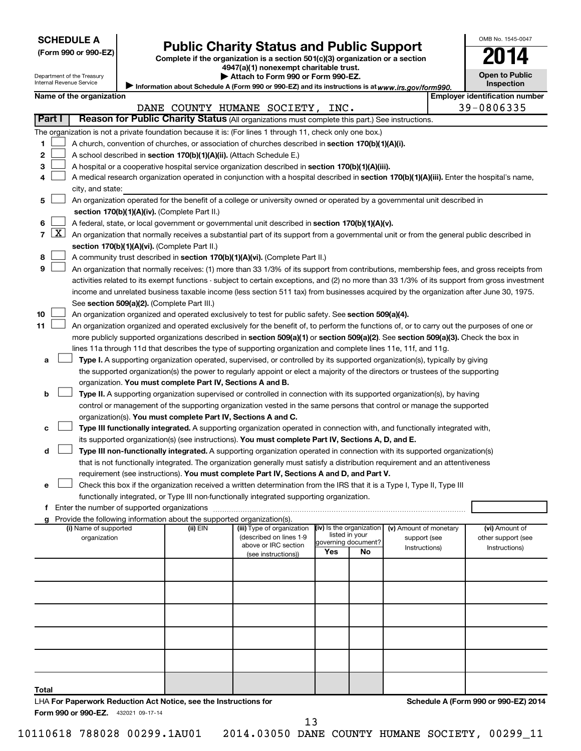Department of the Treasury

# Form 990 or 990-EZ) **Public Charity Status and Public Support**<br>
Complete if the organization is a section 501(c)(3) organization or a section<br> **2014**

**4947(a)(1) nonexempt charitable trust.**  $\blacktriangleright$  Attach to Fo

| <b>Open to Public</b><br>Inspection |
|-------------------------------------|

OMB No. 1545-0047

|              | Internal Revenue Service<br>Inspection<br>Information about Schedule A (Form 990 or 990-EZ) and its instructions is at www.irs.gov/form990. |                                                                                                                                           |  |  |  |          |                                                 |                                                                                                                                 |                     |                                            |                               |                        |                                     |                                                                                                                                               |  |  |
|--------------|---------------------------------------------------------------------------------------------------------------------------------------------|-------------------------------------------------------------------------------------------------------------------------------------------|--|--|--|----------|-------------------------------------------------|---------------------------------------------------------------------------------------------------------------------------------|---------------------|--------------------------------------------|-------------------------------|------------------------|-------------------------------------|-----------------------------------------------------------------------------------------------------------------------------------------------|--|--|
|              |                                                                                                                                             | Name of the organization                                                                                                                  |  |  |  |          |                                                 |                                                                                                                                 |                     |                                            |                               |                        |                                     | <b>Employer identification number</b>                                                                                                         |  |  |
|              |                                                                                                                                             |                                                                                                                                           |  |  |  |          |                                                 | DANE COUNTY HUMANE SOCIETY, INC.                                                                                                |                     |                                            |                               |                        |                                     | 39-0806335                                                                                                                                    |  |  |
| Part I       |                                                                                                                                             |                                                                                                                                           |  |  |  |          |                                                 | Reason for Public Charity Status (All organizations must complete this part.) See instructions.                                 |                     |                                            |                               |                        |                                     |                                                                                                                                               |  |  |
|              |                                                                                                                                             |                                                                                                                                           |  |  |  |          |                                                 | The organization is not a private foundation because it is: (For lines 1 through 11, check only one box.)                       |                     |                                            |                               |                        |                                     |                                                                                                                                               |  |  |
| 1            |                                                                                                                                             |                                                                                                                                           |  |  |  |          |                                                 | A church, convention of churches, or association of churches described in section 170(b)(1)(A)(i).                              |                     |                                            |                               |                        |                                     |                                                                                                                                               |  |  |
| 2            |                                                                                                                                             | A school described in section 170(b)(1)(A)(ii). (Attach Schedule E.)                                                                      |  |  |  |          |                                                 |                                                                                                                                 |                     |                                            |                               |                        |                                     |                                                                                                                                               |  |  |
| з            |                                                                                                                                             |                                                                                                                                           |  |  |  |          |                                                 | A hospital or a cooperative hospital service organization described in section 170(b)(1)(A)(iii).                               |                     |                                            |                               |                        |                                     |                                                                                                                                               |  |  |
|              |                                                                                                                                             |                                                                                                                                           |  |  |  |          |                                                 |                                                                                                                                 |                     |                                            |                               |                        |                                     | A medical research organization operated in conjunction with a hospital described in section 170(b)(1)(A)(iii). Enter the hospital's name,    |  |  |
|              |                                                                                                                                             | city, and state:                                                                                                                          |  |  |  |          |                                                 |                                                                                                                                 |                     |                                            |                               |                        |                                     |                                                                                                                                               |  |  |
| 5            |                                                                                                                                             |                                                                                                                                           |  |  |  |          |                                                 | An organization operated for the benefit of a college or university owned or operated by a governmental unit described in       |                     |                                            |                               |                        |                                     |                                                                                                                                               |  |  |
|              |                                                                                                                                             | section 170(b)(1)(A)(iv). (Complete Part II.)                                                                                             |  |  |  |          |                                                 |                                                                                                                                 |                     |                                            |                               |                        |                                     |                                                                                                                                               |  |  |
| 6            |                                                                                                                                             | A federal, state, or local government or governmental unit described in section 170(b)(1)(A)(v).                                          |  |  |  |          |                                                 |                                                                                                                                 |                     |                                            |                               |                        |                                     |                                                                                                                                               |  |  |
| 7            | $\mathbf{X}$                                                                                                                                | An organization that normally receives a substantial part of its support from a governmental unit or from the general public described in |  |  |  |          |                                                 |                                                                                                                                 |                     |                                            |                               |                        |                                     |                                                                                                                                               |  |  |
|              |                                                                                                                                             | section 170(b)(1)(A)(vi). (Complete Part II.)                                                                                             |  |  |  |          |                                                 |                                                                                                                                 |                     |                                            |                               |                        |                                     |                                                                                                                                               |  |  |
| 8            |                                                                                                                                             | A community trust described in section 170(b)(1)(A)(vi). (Complete Part II.)                                                              |  |  |  |          |                                                 |                                                                                                                                 |                     |                                            |                               |                        |                                     |                                                                                                                                               |  |  |
| 9            |                                                                                                                                             |                                                                                                                                           |  |  |  |          |                                                 |                                                                                                                                 |                     |                                            |                               |                        |                                     | An organization that normally receives: (1) more than 33 1/3% of its support from contributions, membership fees, and gross receipts from     |  |  |
|              |                                                                                                                                             |                                                                                                                                           |  |  |  |          |                                                 |                                                                                                                                 |                     |                                            |                               |                        |                                     | activities related to its exempt functions - subject to certain exceptions, and (2) no more than 33 1/3% of its support from gross investment |  |  |
|              |                                                                                                                                             |                                                                                                                                           |  |  |  |          |                                                 |                                                                                                                                 |                     |                                            |                               |                        |                                     | income and unrelated business taxable income (less section 511 tax) from businesses acquired by the organization after June 30, 1975.         |  |  |
|              |                                                                                                                                             | See section 509(a)(2). (Complete Part III.)                                                                                               |  |  |  |          |                                                 |                                                                                                                                 |                     |                                            |                               |                        |                                     |                                                                                                                                               |  |  |
| 10           |                                                                                                                                             |                                                                                                                                           |  |  |  |          |                                                 | An organization organized and operated exclusively to test for public safety. See section 509(a)(4).                            |                     |                                            |                               |                        |                                     |                                                                                                                                               |  |  |
| 11           |                                                                                                                                             |                                                                                                                                           |  |  |  |          |                                                 |                                                                                                                                 |                     |                                            |                               |                        |                                     | An organization organized and operated exclusively for the benefit of, to perform the functions of, or to carry out the purposes of one or    |  |  |
|              |                                                                                                                                             |                                                                                                                                           |  |  |  |          |                                                 |                                                                                                                                 |                     |                                            |                               |                        |                                     | more publicly supported organizations described in section 509(a)(1) or section 509(a)(2). See section 509(a)(3). Check the box in            |  |  |
|              |                                                                                                                                             |                                                                                                                                           |  |  |  |          |                                                 | lines 11a through 11d that describes the type of supporting organization and complete lines 11e, 11f, and 11g.                  |                     |                                            |                               |                        |                                     |                                                                                                                                               |  |  |
| а            |                                                                                                                                             |                                                                                                                                           |  |  |  |          |                                                 | Type I. A supporting organization operated, supervised, or controlled by its supported organization(s), typically by giving     |                     |                                            |                               |                        |                                     |                                                                                                                                               |  |  |
|              |                                                                                                                                             |                                                                                                                                           |  |  |  |          |                                                 | the supported organization(s) the power to regularly appoint or elect a majority of the directors or trustees of the supporting |                     |                                            |                               |                        |                                     |                                                                                                                                               |  |  |
|              |                                                                                                                                             |                                                                                                                                           |  |  |  |          |                                                 | organization. You must complete Part IV, Sections A and B.                                                                      |                     |                                            |                               |                        |                                     |                                                                                                                                               |  |  |
| b            |                                                                                                                                             |                                                                                                                                           |  |  |  |          |                                                 | Type II. A supporting organization supervised or controlled in connection with its supported organization(s), by having         |                     |                                            |                               |                        |                                     |                                                                                                                                               |  |  |
|              |                                                                                                                                             |                                                                                                                                           |  |  |  |          |                                                 | control or management of the supporting organization vested in the same persons that control or manage the supported            |                     |                                            |                               |                        |                                     |                                                                                                                                               |  |  |
|              |                                                                                                                                             |                                                                                                                                           |  |  |  |          |                                                 | organization(s). You must complete Part IV, Sections A and C.                                                                   |                     |                                            |                               |                        |                                     |                                                                                                                                               |  |  |
| с            |                                                                                                                                             |                                                                                                                                           |  |  |  |          |                                                 | Type III functionally integrated. A supporting organization operated in connection with, and functionally integrated with,      |                     |                                            |                               |                        |                                     |                                                                                                                                               |  |  |
|              |                                                                                                                                             |                                                                                                                                           |  |  |  |          |                                                 | its supported organization(s) (see instructions). You must complete Part IV, Sections A, D, and E.                              |                     |                                            |                               |                        |                                     |                                                                                                                                               |  |  |
| d            |                                                                                                                                             |                                                                                                                                           |  |  |  |          |                                                 | Type III non-functionally integrated. A supporting organization operated in connection with its supported organization(s)       |                     |                                            |                               |                        |                                     |                                                                                                                                               |  |  |
|              |                                                                                                                                             |                                                                                                                                           |  |  |  |          |                                                 | that is not functionally integrated. The organization generally must satisfy a distribution requirement and an attentiveness    |                     |                                            |                               |                        |                                     |                                                                                                                                               |  |  |
|              |                                                                                                                                             |                                                                                                                                           |  |  |  |          |                                                 | requirement (see instructions). You must complete Part IV, Sections A and D, and Part V.                                        |                     |                                            |                               |                        |                                     |                                                                                                                                               |  |  |
| е            |                                                                                                                                             |                                                                                                                                           |  |  |  |          |                                                 | Check this box if the organization received a written determination from the IRS that it is a Type I, Type II, Type III         |                     |                                            |                               |                        |                                     |                                                                                                                                               |  |  |
|              |                                                                                                                                             |                                                                                                                                           |  |  |  |          |                                                 | functionally integrated, or Type III non-functionally integrated supporting organization.                                       |                     |                                            |                               |                        |                                     |                                                                                                                                               |  |  |
| Ť.           |                                                                                                                                             | Enter the number of supported organizations                                                                                               |  |  |  |          |                                                 |                                                                                                                                 |                     |                                            |                               |                        |                                     |                                                                                                                                               |  |  |
|              |                                                                                                                                             |                                                                                                                                           |  |  |  |          |                                                 | g Provide the following information about the supported organization(s).                                                        |                     |                                            |                               |                        |                                     |                                                                                                                                               |  |  |
|              |                                                                                                                                             | (i) Name of supported                                                                                                                     |  |  |  | (ii) EIN |                                                 | (iii) Type of organization                                                                                                      |                     | (iv) Is the organization<br>listed in your |                               | (v) Amount of monetary |                                     | (vi) Amount of                                                                                                                                |  |  |
| organization |                                                                                                                                             |                                                                                                                                           |  |  |  |          | (described on lines 1-9<br>above or IRC section |                                                                                                                                 | governing document? |                                            | support (see<br>Instructions) |                        | other support (see<br>Instructions) |                                                                                                                                               |  |  |
|              |                                                                                                                                             |                                                                                                                                           |  |  |  |          |                                                 | (see instructions))                                                                                                             |                     | Yes                                        | No                            |                        |                                     |                                                                                                                                               |  |  |
|              |                                                                                                                                             |                                                                                                                                           |  |  |  |          |                                                 |                                                                                                                                 |                     |                                            |                               |                        |                                     |                                                                                                                                               |  |  |
|              |                                                                                                                                             |                                                                                                                                           |  |  |  |          |                                                 |                                                                                                                                 |                     |                                            |                               |                        |                                     |                                                                                                                                               |  |  |
|              |                                                                                                                                             |                                                                                                                                           |  |  |  |          |                                                 |                                                                                                                                 |                     |                                            |                               |                        |                                     |                                                                                                                                               |  |  |
|              |                                                                                                                                             |                                                                                                                                           |  |  |  |          |                                                 |                                                                                                                                 |                     |                                            |                               |                        |                                     |                                                                                                                                               |  |  |
|              |                                                                                                                                             |                                                                                                                                           |  |  |  |          |                                                 |                                                                                                                                 |                     |                                            |                               |                        |                                     |                                                                                                                                               |  |  |
|              |                                                                                                                                             |                                                                                                                                           |  |  |  |          |                                                 |                                                                                                                                 |                     |                                            |                               |                        |                                     |                                                                                                                                               |  |  |
|              |                                                                                                                                             |                                                                                                                                           |  |  |  |          |                                                 |                                                                                                                                 |                     |                                            |                               |                        |                                     |                                                                                                                                               |  |  |

**Total** LHA **For Paperwork Reduction Act Notice, see the Instructions for** 

**Schedule A (Form 990 or 990-EZ) 2014**

Form 990 or 990-EZ. 432021 09-17-14

10110618 788028 00299.1AU01 2014.03050 DANE COUNTY HUMANE SOCIETY, 00299\_11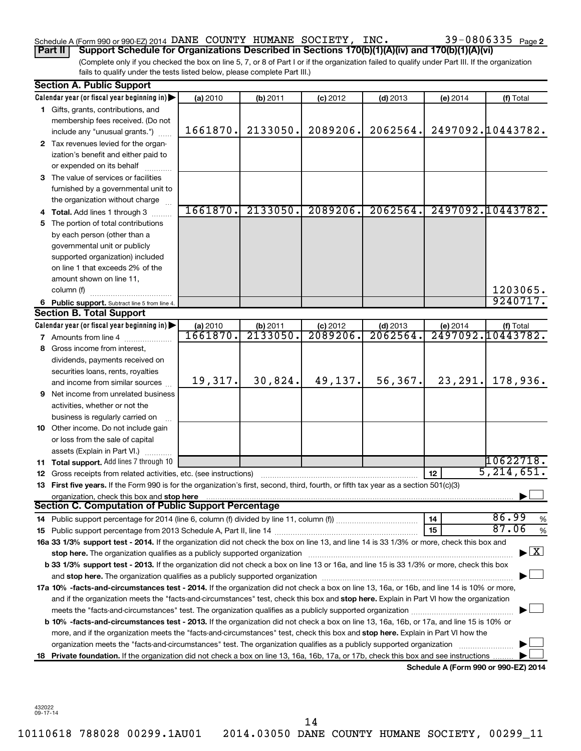# Schedule A (Form 990 or 990-EZ) 2014 DANE COUNTY HUMANE SOCIETY, INC.  $39-0806335$   $_{\rm Page}$

(Complete only if you checked the box on line 5, 7, or 8 of Part I or if the organization failed to qualify under Part III. If the organization **Part II Support Schedule for Organizations Described in Sections 170(b)(1)(A)(iv) and 170(b)(1)(A)(vi)**

fails to qualify under the tests listed below, please complete Part III.)

|     | <b>Section A. Public Support</b>                                                                                                                                                                                                                                                      |          |          |            |            |          |                                          |  |  |  |  |  |  |  |
|-----|---------------------------------------------------------------------------------------------------------------------------------------------------------------------------------------------------------------------------------------------------------------------------------------|----------|----------|------------|------------|----------|------------------------------------------|--|--|--|--|--|--|--|
|     | Calendar year (or fiscal year beginning in)                                                                                                                                                                                                                                           | (a) 2010 | (b) 2011 | $(c)$ 2012 | $(d)$ 2013 | (e) 2014 | (f) Total                                |  |  |  |  |  |  |  |
|     | 1 Gifts, grants, contributions, and                                                                                                                                                                                                                                                   |          |          |            |            |          |                                          |  |  |  |  |  |  |  |
|     | membership fees received. (Do not                                                                                                                                                                                                                                                     |          |          |            |            |          |                                          |  |  |  |  |  |  |  |
|     | include any "unusual grants.")                                                                                                                                                                                                                                                        | 1661870. | 2133050. | 2089206.   | 2062564.   |          | 2497092.10443782.                        |  |  |  |  |  |  |  |
|     | 2 Tax revenues levied for the organ-                                                                                                                                                                                                                                                  |          |          |            |            |          |                                          |  |  |  |  |  |  |  |
|     | ization's benefit and either paid to                                                                                                                                                                                                                                                  |          |          |            |            |          |                                          |  |  |  |  |  |  |  |
|     | or expended on its behalf                                                                                                                                                                                                                                                             |          |          |            |            |          |                                          |  |  |  |  |  |  |  |
|     | 3 The value of services or facilities                                                                                                                                                                                                                                                 |          |          |            |            |          |                                          |  |  |  |  |  |  |  |
|     | furnished by a governmental unit to                                                                                                                                                                                                                                                   |          |          |            |            |          |                                          |  |  |  |  |  |  |  |
|     | the organization without charge                                                                                                                                                                                                                                                       |          |          |            |            |          |                                          |  |  |  |  |  |  |  |
|     | <b>Total.</b> Add lines 1 through 3                                                                                                                                                                                                                                                   | 1661870. | 2133050. | 2089206.   | 2062564.   |          | 2497092.10443782.                        |  |  |  |  |  |  |  |
| 5   | The portion of total contributions                                                                                                                                                                                                                                                    |          |          |            |            |          |                                          |  |  |  |  |  |  |  |
|     | by each person (other than a                                                                                                                                                                                                                                                          |          |          |            |            |          |                                          |  |  |  |  |  |  |  |
|     | governmental unit or publicly                                                                                                                                                                                                                                                         |          |          |            |            |          |                                          |  |  |  |  |  |  |  |
|     | supported organization) included                                                                                                                                                                                                                                                      |          |          |            |            |          |                                          |  |  |  |  |  |  |  |
|     | on line 1 that exceeds 2% of the                                                                                                                                                                                                                                                      |          |          |            |            |          |                                          |  |  |  |  |  |  |  |
|     | amount shown on line 11,                                                                                                                                                                                                                                                              |          |          |            |            |          |                                          |  |  |  |  |  |  |  |
|     | 1203065.<br>column (f)                                                                                                                                                                                                                                                                |          |          |            |            |          |                                          |  |  |  |  |  |  |  |
|     | 9240717.<br>6 Public support. Subtract line 5 from line 4.                                                                                                                                                                                                                            |          |          |            |            |          |                                          |  |  |  |  |  |  |  |
|     | <b>Section B. Total Support</b>                                                                                                                                                                                                                                                       |          |          |            |            |          |                                          |  |  |  |  |  |  |  |
|     | Calendar year (or fiscal year beginning in)                                                                                                                                                                                                                                           | (a) 2010 | (b) 2011 | $(c)$ 2012 | $(d)$ 2013 | (e) 2014 | (f) Total                                |  |  |  |  |  |  |  |
| 7   | Amounts from line 4                                                                                                                                                                                                                                                                   | 1661870. | 2133050. | 2089206.   | 2062564    |          | 2497092.10443782.                        |  |  |  |  |  |  |  |
| 8   | Gross income from interest,                                                                                                                                                                                                                                                           |          |          |            |            |          |                                          |  |  |  |  |  |  |  |
|     | dividends, payments received on                                                                                                                                                                                                                                                       |          |          |            |            |          |                                          |  |  |  |  |  |  |  |
|     | securities loans, rents, royalties                                                                                                                                                                                                                                                    |          |          |            |            |          |                                          |  |  |  |  |  |  |  |
|     | and income from similar sources                                                                                                                                                                                                                                                       | 19,317.  | 30,824.  | 49,137.    | 56,367.    | 23,291.  | 178,936.                                 |  |  |  |  |  |  |  |
| 9   | Net income from unrelated business                                                                                                                                                                                                                                                    |          |          |            |            |          |                                          |  |  |  |  |  |  |  |
|     | activities, whether or not the                                                                                                                                                                                                                                                        |          |          |            |            |          |                                          |  |  |  |  |  |  |  |
|     | business is regularly carried on                                                                                                                                                                                                                                                      |          |          |            |            |          |                                          |  |  |  |  |  |  |  |
|     | 10 Other income. Do not include gain                                                                                                                                                                                                                                                  |          |          |            |            |          |                                          |  |  |  |  |  |  |  |
|     | or loss from the sale of capital                                                                                                                                                                                                                                                      |          |          |            |            |          |                                          |  |  |  |  |  |  |  |
|     | assets (Explain in Part VI.)                                                                                                                                                                                                                                                          |          |          |            |            |          |                                          |  |  |  |  |  |  |  |
| 11. | Total support. Add lines 7 through 10                                                                                                                                                                                                                                                 |          |          |            |            |          | 10622718.                                |  |  |  |  |  |  |  |
| 12  | Gross receipts from related activities, etc. (see instructions)                                                                                                                                                                                                                       |          |          |            |            | 12       | 5, 214, 651.                             |  |  |  |  |  |  |  |
| 13  | First five years. If the Form 990 is for the organization's first, second, third, fourth, or fifth tax year as a section 501(c)(3)                                                                                                                                                    |          |          |            |            |          |                                          |  |  |  |  |  |  |  |
|     | organization, check this box and stop here<br><b>Section C. Computation of Public Support Percentage</b>                                                                                                                                                                              |          |          |            |            |          |                                          |  |  |  |  |  |  |  |
|     |                                                                                                                                                                                                                                                                                       |          |          |            |            |          | 86.99                                    |  |  |  |  |  |  |  |
|     |                                                                                                                                                                                                                                                                                       |          |          |            |            | 14<br>15 | %<br>87.06<br>%                          |  |  |  |  |  |  |  |
| 15  | 16a 33 1/3% support test - 2014. If the organization did not check the box on line 13, and line 14 is 33 1/3% or more, check this box and                                                                                                                                             |          |          |            |            |          |                                          |  |  |  |  |  |  |  |
|     |                                                                                                                                                                                                                                                                                       |          |          |            |            |          | $\blacktriangleright$ $\boxed{\text{X}}$ |  |  |  |  |  |  |  |
|     | b 33 1/3% support test - 2013. If the organization did not check a box on line 13 or 16a, and line 15 is 33 1/3% or more, check this box                                                                                                                                              |          |          |            |            |          |                                          |  |  |  |  |  |  |  |
|     |                                                                                                                                                                                                                                                                                       |          |          |            |            |          |                                          |  |  |  |  |  |  |  |
|     |                                                                                                                                                                                                                                                                                       |          |          |            |            |          |                                          |  |  |  |  |  |  |  |
|     | 17a 10% -facts-and-circumstances test - 2014. If the organization did not check a box on line 13, 16a, or 16b, and line 14 is 10% or more,<br>and if the organization meets the "facts-and-circumstances" test, check this box and stop here. Explain in Part VI how the organization |          |          |            |            |          |                                          |  |  |  |  |  |  |  |
|     |                                                                                                                                                                                                                                                                                       |          |          |            |            |          |                                          |  |  |  |  |  |  |  |
|     | <b>b 10% -facts-and-circumstances test - 2013.</b> If the organization did not check a box on line 13, 16a, 16b, or 17a, and line 15 is 10% or                                                                                                                                        |          |          |            |            |          |                                          |  |  |  |  |  |  |  |
|     | more, and if the organization meets the "facts-and-circumstances" test, check this box and stop here. Explain in Part VI how the                                                                                                                                                      |          |          |            |            |          |                                          |  |  |  |  |  |  |  |
|     | organization meets the "facts-and-circumstances" test. The organization qualifies as a publicly supported organization                                                                                                                                                                |          |          |            |            |          |                                          |  |  |  |  |  |  |  |
|     | 18 Private foundation. If the organization did not check a box on line 13, 16a, 16b, 17a, or 17b, check this box and see instructions                                                                                                                                                 |          |          |            |            |          |                                          |  |  |  |  |  |  |  |
|     |                                                                                                                                                                                                                                                                                       |          |          |            |            |          | Schedule A (Form 990 or 990-EZ) 2014     |  |  |  |  |  |  |  |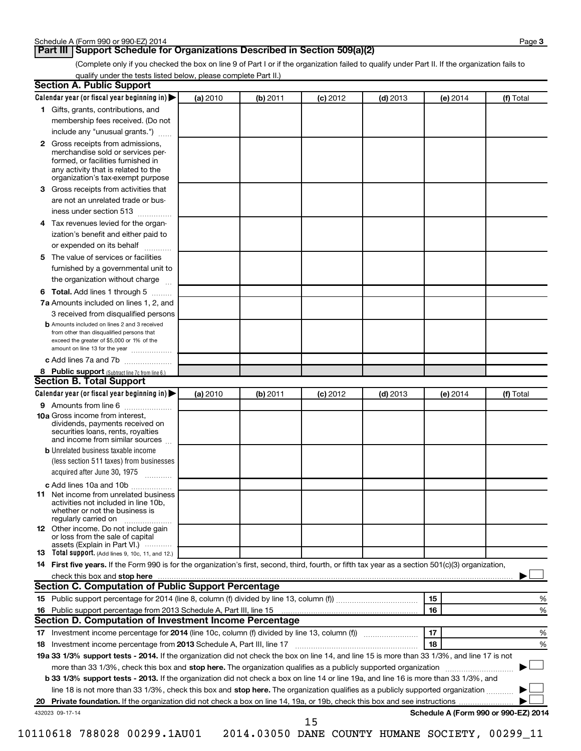## **Part III Support Schedule for Organizations Described in Section 509(a)(2)**

(Complete only if you checked the box on line 9 of Part I or if the organization failed to qualify under Part II. If the organization fails to qualify under the tests listed below, please complete Part II.)

| <b>Section A. Public Support</b>                                                                                                                                                 |          |          |            |            |                                      |           |
|----------------------------------------------------------------------------------------------------------------------------------------------------------------------------------|----------|----------|------------|------------|--------------------------------------|-----------|
| Calendar year (or fiscal year beginning in)                                                                                                                                      | (a) 2010 | (b) 2011 | $(c)$ 2012 | $(d)$ 2013 | (e) 2014                             | (f) Total |
| 1 Gifts, grants, contributions, and                                                                                                                                              |          |          |            |            |                                      |           |
| membership fees received. (Do not                                                                                                                                                |          |          |            |            |                                      |           |
| include any "unusual grants.")                                                                                                                                                   |          |          |            |            |                                      |           |
| 2 Gross receipts from admissions,<br>merchandise sold or services per-<br>formed, or facilities furnished in<br>any activity that is related to the                              |          |          |            |            |                                      |           |
| organization's tax-exempt purpose<br>3 Gross receipts from activities that                                                                                                       |          |          |            |            |                                      |           |
| are not an unrelated trade or bus-                                                                                                                                               |          |          |            |            |                                      |           |
| iness under section 513                                                                                                                                                          |          |          |            |            |                                      |           |
|                                                                                                                                                                                  |          |          |            |            |                                      |           |
| 4 Tax revenues levied for the organ-                                                                                                                                             |          |          |            |            |                                      |           |
| ization's benefit and either paid to<br>or expended on its behalf                                                                                                                |          |          |            |            |                                      |           |
| .<br>5 The value of services or facilities                                                                                                                                       |          |          |            |            |                                      |           |
| furnished by a governmental unit to                                                                                                                                              |          |          |            |            |                                      |           |
| the organization without charge                                                                                                                                                  |          |          |            |            |                                      |           |
| 6 Total. Add lines 1 through 5                                                                                                                                                   |          |          |            |            |                                      |           |
| 7a Amounts included on lines 1, 2, and                                                                                                                                           |          |          |            |            |                                      |           |
| 3 received from disqualified persons                                                                                                                                             |          |          |            |            |                                      |           |
| <b>b</b> Amounts included on lines 2 and 3 received<br>from other than disqualified persons that<br>exceed the greater of \$5,000 or 1% of the<br>amount on line 13 for the year |          |          |            |            |                                      |           |
| c Add lines 7a and 7b                                                                                                                                                            |          |          |            |            |                                      |           |
| 8 Public support (Subtract line 7c from line 6.)                                                                                                                                 |          |          |            |            |                                      |           |
| <b>Section B. Total Support</b>                                                                                                                                                  |          |          |            |            |                                      |           |
| Calendar year (or fiscal year beginning in)                                                                                                                                      | (a) 2010 | (b) 2011 | $(c)$ 2012 | $(d)$ 2013 | (e) 2014                             | (f) Total |
| 9 Amounts from line 6                                                                                                                                                            |          |          |            |            |                                      |           |
| <b>10a</b> Gross income from interest,<br>dividends, payments received on<br>securities loans, rents, royalties<br>and income from similar sources                               |          |          |            |            |                                      |           |
| <b>b</b> Unrelated business taxable income                                                                                                                                       |          |          |            |            |                                      |           |
| (less section 511 taxes) from businesses                                                                                                                                         |          |          |            |            |                                      |           |
| acquired after June 30, 1975<br>$\overline{\phantom{a}}$                                                                                                                         |          |          |            |            |                                      |           |
| c Add lines 10a and 10b                                                                                                                                                          |          |          |            |            |                                      |           |
| <b>11</b> Net income from unrelated business<br>activities not included in line 10b.<br>whether or not the business is<br>regularly carried on                                   |          |          |            |            |                                      |           |
| 12 Other income. Do not include gain<br>or loss from the sale of capital<br>assets (Explain in Part VI.)                                                                         |          |          |            |            |                                      |           |
| <b>13</b> Total support. (Add lines 9, 10c, 11, and 12.)                                                                                                                         |          |          |            |            |                                      |           |
| 14 First five years. If the Form 990 is for the organization's first, second, third, fourth, or fifth tax year as a section 501(c)(3) organization,                              |          |          |            |            |                                      |           |
| check this box and stop here                                                                                                                                                     |          |          |            |            |                                      |           |
| <b>Section C. Computation of Public Support Percentage</b>                                                                                                                       |          |          |            |            |                                      |           |
|                                                                                                                                                                                  |          |          |            |            | 15                                   | %         |
|                                                                                                                                                                                  |          |          |            |            | 16                                   | %         |
| Section D. Computation of Investment Income Percentage                                                                                                                           |          |          |            |            |                                      |           |
|                                                                                                                                                                                  |          |          |            |            | 17                                   | %         |
| 18 Investment income percentage from 2013 Schedule A, Part III, line 17                                                                                                          |          |          |            |            | 18                                   | %         |
| 19a 33 1/3% support tests - 2014. If the organization did not check the box on line 14, and line 15 is more than 33 1/3%, and line 17 is not                                     |          |          |            |            |                                      |           |
| more than 33 1/3%, check this box and stop here. The organization qualifies as a publicly supported organization                                                                 |          |          |            |            |                                      |           |
| b 33 1/3% support tests - 2013. If the organization did not check a box on line 14 or line 19a, and line 16 is more than 33 1/3%, and                                            |          |          |            |            |                                      |           |
| line 18 is not more than 33 1/3%, check this box and stop here. The organization qualifies as a publicly supported organization <i></i>                                          |          |          |            |            |                                      |           |
|                                                                                                                                                                                  |          |          |            |            |                                      |           |
| 432023 09-17-14                                                                                                                                                                  |          |          | 15         |            | Schedule A (Form 990 or 990-EZ) 2014 |           |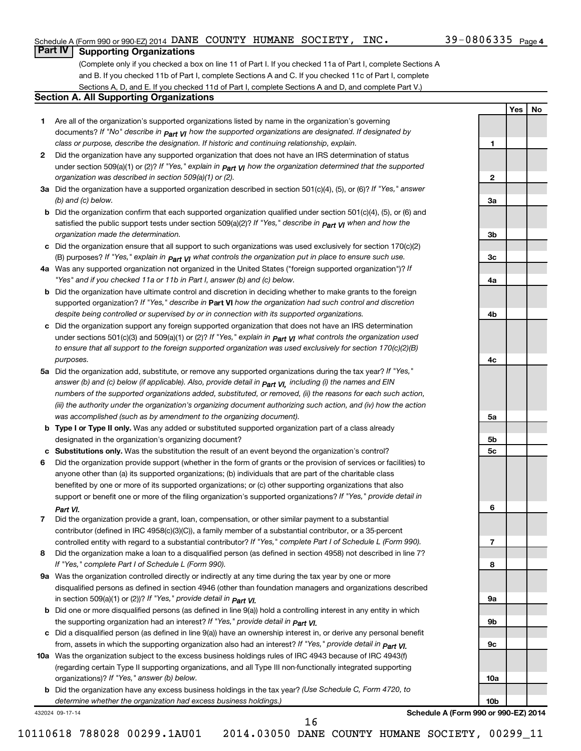**1**

**2**

**3a**

**3b**

**3c**

**4a**

**4b**

**4c**

**5a**

**5b 5c**

**6**

**7**

**8**

**9a**

**9b**

**9c**

**10a**

**10b**

**Yes No**

# **Part IV Supporting Organizations**

(Complete only if you checked a box on line 11 of Part I. If you checked 11a of Part I, complete Sections A and B. If you checked 11b of Part I, complete Sections A and C. If you checked 11c of Part I, complete Sections A, D, and E. If you checked 11d of Part I, complete Sections A and D, and complete Part V.)

### **Section A. All Supporting Organizations**

- **1** Are all of the organization's supported organizations listed by name in the organization's governing documents? If "No" describe in  $_{\mathsf{Part}}$   $_{\mathsf{V}}$  how the supported organizations are designated. If designated by *class or purpose, describe the designation. If historic and continuing relationship, explain.*
- **2** Did the organization have any supported organization that does not have an IRS determination of status under section 509(a)(1) or (2)? If "Yes," explain in  $_{\sf Part}$   $_{\sf VI}$  how the organization determined that the supported *organization was described in section 509(a)(1) or (2).*
- **3a** Did the organization have a supported organization described in section 501(c)(4), (5), or (6)? If "Yes," answer *(b) and (c) below.*
- **b** Did the organization confirm that each supported organization qualified under section 501(c)(4), (5), or (6) and satisfied the public support tests under section 509(a)(2)? If "Yes," describe in  $_{\rm Part}$   $_{\rm VI}$  when and how the *organization made the determination.*
- **c** Did the organization ensure that all support to such organizations was used exclusively for section 170(c)(2) (B) purposes? If "Yes," explain in  $_{\mathsf{Part}}$   $_{\mathsf{V}}$  what controls the organization put in place to ensure such use.
- **4 a** *If* Was any supported organization not organized in the United States ("foreign supported organization")? *"Yes" and if you checked 11a or 11b in Part I, answer (b) and (c) below.*
- **b** Did the organization have ultimate control and discretion in deciding whether to make grants to the foreign supported organization? If "Yes," describe in Part VI how the organization had such control and discretion *despite being controlled or supervised by or in connection with its supported organizations.*
- **c** Did the organization support any foreign supported organization that does not have an IRS determination under sections 501(c)(3) and 509(a)(1) or (2)? If "Yes," ex*plain in*  $_{\sf Part}$  *v*J what controls the organization used *to ensure that all support to the foreign supported organization was used exclusively for section 170(c)(2)(B) purposes.*
- **5a** Did the organization add, substitute, or remove any supported organizations during the tax year? If "Yes," answer (b) and (c) below (if applicable). Also, provide detail in  $_{\mathsf{Part}}$   $_{\mathsf{V{\mathsf{I}}}}$ , including (i) the names and EIN *numbers of the supported organizations added, substituted, or removed, (ii) the reasons for each such action, (iii) the authority under the organization's organizing document authorizing such action, and (iv) how the action was accomplished (such as by amendment to the organizing document).*
- **b Type I or Type II only.** Was any added or substituted supported organization part of a class already designated in the organization's organizing document?
- **c Substitutions only.**  Was the substitution the result of an event beyond the organization's control?
- **6** Did the organization provide support (whether in the form of grants or the provision of services or facilities) to support or benefit one or more of the filing organization's supported organizations? If "Yes," provide detail in anyone other than (a) its supported organizations; (b) individuals that are part of the charitable class benefited by one or more of its supported organizations; or (c) other supporting organizations that also *Part VI.*
- **7** Did the organization provide a grant, loan, compensation, or other similar payment to a substantial controlled entity with regard to a substantial contributor? If "Yes," complete Part I of Schedule L (Form 990). contributor (defined in IRC 4958(c)(3)(C)), a family member of a substantial contributor, or a 35-percent
- **8** Did the organization make a loan to a disqualified person (as defined in section 4958) not described in line 7? *If "Yes," complete Part I of Schedule L (Form 990).*
- **9 a** Was the organization controlled directly or indirectly at any time during the tax year by one or more *If "Yes," provide detail in*  in section 509(a)(1) or (2))? *Part VI.* disqualified persons as defined in section 4946 (other than foundation managers and organizations described
- **b** Did one or more disqualified persons (as defined in line 9(a)) hold a controlling interest in any entity in which  *If "Yes," provide detail in*  the supporting organization had an interest? *Part VI.*
- **c** Did a disqualified person (as defined in line 9(a)) have an ownership interest in, or derive any personal benefit from, assets in which the supporting organization also had an interest? If "Yes," *provide detail in Part VI.*
- **10 a** Was the organization subject to the excess business holdings rules of IRC 4943 because of IRC 4943(f)  *If "Yes," answer (b) below.* organizations)? (regarding certain Type II supporting organizations, and all Type III non-functionally integrated supporting
	- **b** Did the organization have any excess business holdings in the tax year? (Use Schedule C, Form 4720, to *determine whether the organization had excess business holdings.)*

432024 09-17-14

**Schedule A (Form 990 or 990-EZ) 2014**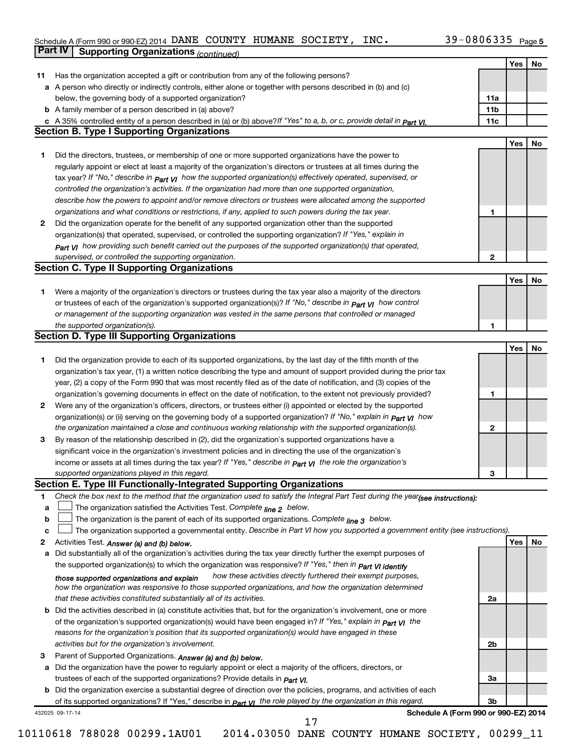#### Schedule A (Form 990 or 990-EZ) 2014 DANE COUNTY HUMANE SOCIETY, INC.  $39-0800335$  Page DANE COUNTY HUMANE SOCIETY, INC. 39-0806335

|              | Part IV<br><b>Supporting Organizations (continued)</b>                                                                                                                       |                 |     |    |
|--------------|------------------------------------------------------------------------------------------------------------------------------------------------------------------------------|-----------------|-----|----|
|              |                                                                                                                                                                              |                 | Yes | No |
| 11           | Has the organization accepted a gift or contribution from any of the following persons?                                                                                      |                 |     |    |
|              | a A person who directly or indirectly controls, either alone or together with persons described in (b) and (c)                                                               |                 |     |    |
|              | below, the governing body of a supported organization?                                                                                                                       | 11a             |     |    |
|              | <b>b</b> A family member of a person described in (a) above?                                                                                                                 | 11 <sub>b</sub> |     |    |
|              | c A 35% controlled entity of a person described in (a) or (b) above?If "Yes" to a, b, or c, provide detail in Part VI.                                                       | 11c             |     |    |
|              | <b>Section B. Type I Supporting Organizations</b>                                                                                                                            |                 |     |    |
|              |                                                                                                                                                                              |                 | Yes | No |
| 1            | Did the directors, trustees, or membership of one or more supported organizations have the power to                                                                          |                 |     |    |
|              | regularly appoint or elect at least a majority of the organization's directors or trustees at all times during the                                                           |                 |     |    |
|              |                                                                                                                                                                              |                 |     |    |
|              | tax year? If "No," describe in $p_{art}$ VI how the supported organization(s) effectively operated, supervised, or                                                           |                 |     |    |
|              | controlled the organization's activities. If the organization had more than one supported organization,                                                                      |                 |     |    |
|              | describe how the powers to appoint and/or remove directors or trustees were allocated among the supported                                                                    |                 |     |    |
|              | organizations and what conditions or restrictions, if any, applied to such powers during the tax year.                                                                       | 1               |     |    |
| 2            | Did the organization operate for the benefit of any supported organization other than the supported                                                                          |                 |     |    |
|              | organization(s) that operated, supervised, or controlled the supporting organization? If "Yes," explain in                                                                   |                 |     |    |
|              | Part VI how providing such benefit carried out the purposes of the supported organization(s) that operated,                                                                  |                 |     |    |
|              | supervised, or controlled the supporting organization.                                                                                                                       | 2               |     |    |
|              | <b>Section C. Type II Supporting Organizations</b>                                                                                                                           |                 |     |    |
|              |                                                                                                                                                                              |                 | Yes | No |
| 1.           | Were a majority of the organization's directors or trustees during the tax year also a majority of the directors                                                             |                 |     |    |
|              | or trustees of each of the organization's supported organization(s)? If "No," describe in <b>Part VI</b> how control                                                         |                 |     |    |
|              | or management of the supporting organization was vested in the same persons that controlled or managed                                                                       |                 |     |    |
|              | the supported organization(s).                                                                                                                                               | 1               |     |    |
|              | <b>Section D. Type III Supporting Organizations</b>                                                                                                                          |                 |     |    |
|              |                                                                                                                                                                              |                 | Yes | No |
| 1            | Did the organization provide to each of its supported organizations, by the last day of the fifth month of the                                                               |                 |     |    |
|              | organization's tax year, (1) a written notice describing the type and amount of support provided during the prior tax                                                        |                 |     |    |
|              | year, (2) a copy of the Form 990 that was most recently filed as of the date of notification, and (3) copies of the                                                          |                 |     |    |
|              | organization's governing documents in effect on the date of notification, to the extent not previously provided?                                                             | 1               |     |    |
| $\mathbf{2}$ | Were any of the organization's officers, directors, or trustees either (i) appointed or elected by the supported                                                             |                 |     |    |
|              | organization(s) or (ii) serving on the governing body of a supported organization? If "No," explain in part VI how                                                           |                 |     |    |
|              | the organization maintained a close and continuous working relationship with the supported organization(s).                                                                  | 2               |     |    |
| 3            | By reason of the relationship described in (2), did the organization's supported organizations have a                                                                        |                 |     |    |
|              | significant voice in the organization's investment policies and in directing the use of the organization's                                                                   |                 |     |    |
|              | income or assets at all times during the tax year? If "Yes," describe in $P_{\text{art } VI}$ the role the organization's                                                    |                 |     |    |
|              | supported organizations played in this regard.                                                                                                                               | з               |     |    |
|              | Section E. Type III Functionally-Integrated Supporting Organizations                                                                                                         |                 |     |    |
| 1            | Check the box next to the method that the organization used to satisfy the Integral Part Test during the year(see instructions):                                             |                 |     |    |
| а            | The organization satisfied the Activities Test. Complete line 2 below.                                                                                                       |                 |     |    |
| b            | The organization is the parent of each of its supported organizations. Complete $_{\text{line 3}}$ below.                                                                    |                 |     |    |
| c            | The organization supported a governmental entity. Describe in Part VI how you supported a government entity (see instructions).                                              |                 |     |    |
|              |                                                                                                                                                                              |                 | Yes |    |
| 2            | Activities Test. Answer (a) and (b) below.<br>Did substantially all of the organization's activities during the tax year directly further the exempt purposes of             |                 |     | No |
| а            |                                                                                                                                                                              |                 |     |    |
|              | the supported organization(s) to which the organization was responsive? If "Yes," then in Part VI identify<br>how these activities directly furthered their exempt purposes, |                 |     |    |
|              | those supported organizations and explain                                                                                                                                    |                 |     |    |
|              | how the organization was responsive to those supported organizations, and how the organization determined                                                                    |                 |     |    |
|              | that these activities constituted substantially all of its activities.                                                                                                       | 2a              |     |    |
| b            | Did the activities described in (a) constitute activities that, but for the organization's involvement, one or more                                                          |                 |     |    |
|              | of the organization's supported organization(s) would have been engaged in? If "Yes," explain in <b>Part VI</b> the                                                          |                 |     |    |
|              | reasons for the organization's position that its supported organization(s) would have engaged in these                                                                       |                 |     |    |
|              | activities but for the organization's involvement.                                                                                                                           | 2b              |     |    |
| З            | Parent of Supported Organizations. Answer (a) and (b) below.                                                                                                                 |                 |     |    |
| а            | Did the organization have the power to regularly appoint or elect a majority of the officers, directors, or                                                                  |                 |     |    |
|              | trustees of each of the supported organizations? Provide details in <i>Part VI.</i>                                                                                          | За              |     |    |
|              | <b>b</b> Did the organization exercise a substantial degree of direction over the policies, programs, and activities of each                                                 |                 |     |    |
|              | of its supported organizations? If "Yes," describe in $P_{\text{diff}}$ $y_1$ the role played by the organization in this regard.                                            | 3b              |     |    |
|              | Schedule A (Form 990 or 990-EZ) 2014<br>432025 09-17-14<br>17                                                                                                                |                 |     |    |

 $\perp$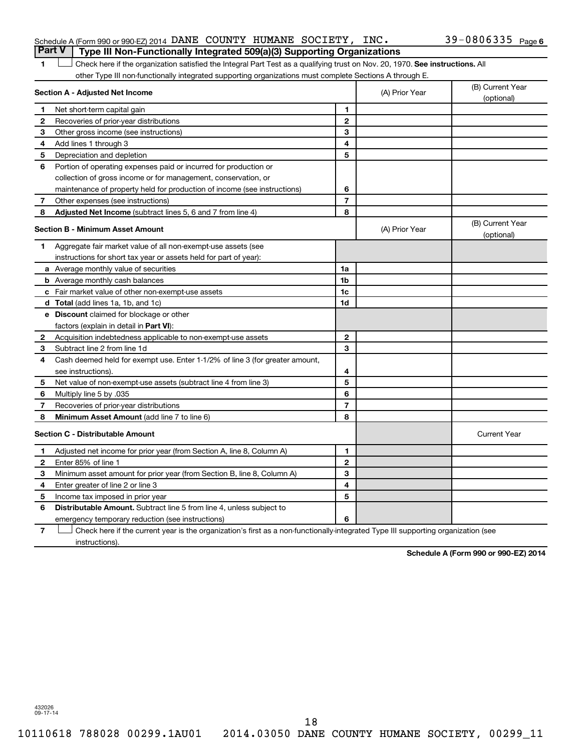### Schedule A (Form 990 or 990-EZ) 2014 DANE COUNTY HUMANE SOCIETY, INC.  $39-0806335$   $_{\rm Page}$ **Part V Type III Non-Functionally Integrated 509(a)(3) Supporting Organizations**

1 **Letter on Reck here if the organization satisfied the Integral Part Test as a qualifying trust on Nov. 20, 1970. See instructions. All** other Type III non-functionally integrated supporting organizations must complete Sections A through E.

| Section A - Adjusted Net Income |                                                                              |                | (A) Prior Year | (B) Current Year<br>(optional) |
|---------------------------------|------------------------------------------------------------------------------|----------------|----------------|--------------------------------|
| 1                               | Net short-term capital gain                                                  | 1              |                |                                |
| 2                               | Recoveries of prior-year distributions                                       | $\mathbf{2}$   |                |                                |
| З                               | Other gross income (see instructions)                                        | 3              |                |                                |
| 4                               | Add lines 1 through 3                                                        | 4              |                |                                |
| 5                               | Depreciation and depletion                                                   | 5              |                |                                |
| 6                               | Portion of operating expenses paid or incurred for production or             |                |                |                                |
|                                 | collection of gross income or for management, conservation, or               |                |                |                                |
|                                 | maintenance of property held for production of income (see instructions)     | 6              |                |                                |
| 7                               | Other expenses (see instructions)                                            | $\overline{7}$ |                |                                |
| 8                               | Adjusted Net Income (subtract lines 5, 6 and 7 from line 4)                  | 8              |                |                                |
|                                 | <b>Section B - Minimum Asset Amount</b>                                      |                | (A) Prior Year | (B) Current Year<br>(optional) |
| 1                               | Aggregate fair market value of all non-exempt-use assets (see                |                |                |                                |
|                                 | instructions for short tax year or assets held for part of year):            |                |                |                                |
|                                 | a Average monthly value of securities                                        | 1a             |                |                                |
|                                 | <b>b</b> Average monthly cash balances                                       | 1 <sub>b</sub> |                |                                |
|                                 | <b>c</b> Fair market value of other non-exempt-use assets                    | 1c             |                |                                |
|                                 | d Total (add lines 1a, 1b, and 1c)                                           | 1d             |                |                                |
|                                 | e Discount claimed for blockage or other                                     |                |                |                                |
|                                 | factors (explain in detail in Part VI):                                      |                |                |                                |
| 2                               | Acquisition indebtedness applicable to non-exempt-use assets                 | $\mathbf{2}$   |                |                                |
| 3                               | Subtract line 2 from line 1d                                                 | 3              |                |                                |
| 4                               | Cash deemed held for exempt use. Enter 1-1/2% of line 3 (for greater amount, |                |                |                                |
|                                 | see instructions).                                                           | 4              |                |                                |
| 5                               | Net value of non-exempt-use assets (subtract line 4 from line 3)             | 5              |                |                                |
| 6                               | Multiply line 5 by .035                                                      | 6              |                |                                |
| 7                               | Recoveries of prior-year distributions                                       | $\overline{7}$ |                |                                |
| 8                               | <b>Minimum Asset Amount (add line 7 to line 6)</b>                           | 8              |                |                                |
|                                 | <b>Section C - Distributable Amount</b>                                      |                |                | <b>Current Year</b>            |
| 1                               | Adjusted net income for prior year (from Section A, line 8, Column A)        | 1              |                |                                |
| $\mathbf{2}$                    | Enter 85% of line 1                                                          | $\mathbf{2}$   |                |                                |
| З                               | Minimum asset amount for prior year (from Section B, line 8, Column A)       | 3              |                |                                |
| 4                               | Enter greater of line 2 or line 3                                            | 4              |                |                                |
| 5                               | Income tax imposed in prior year                                             | 5              |                |                                |
| 6                               | <b>Distributable Amount.</b> Subtract line 5 from line 4, unless subject to  |                |                |                                |
|                                 | emergency temporary reduction (see instructions)                             | 6              |                |                                |
|                                 |                                                                              |                |                |                                |

**7** Check here if the current year is the organization's first as a non-functionally-integrated Type III supporting organization (see † instructions).

**Schedule A (Form 990 or 990-EZ) 2014**

432026 09-17-14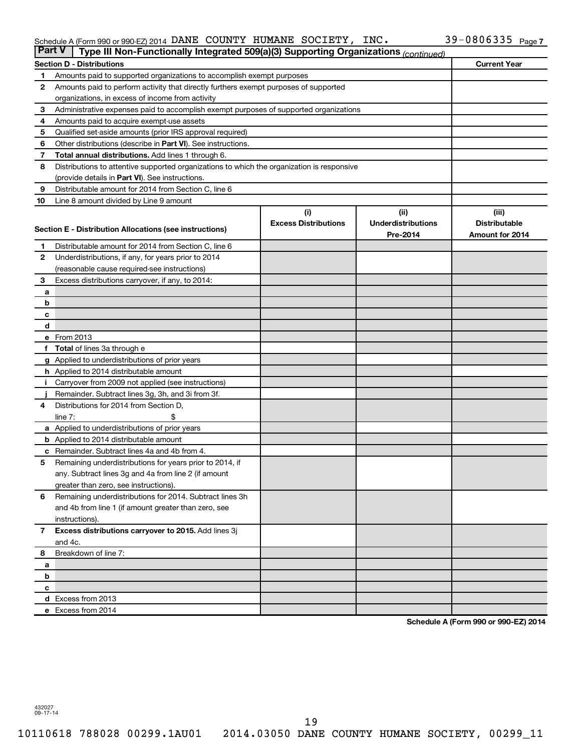#### Schedule A (Form 990 or 990-EZ) 2014 DANE COUNTY HUMANE SOCIETY, INC.  $39-0800335$  Page DANE COUNTY HUMANE SOCIETY, INC. 39-0806335

| <b>Part V</b>  | Type III Non-Functionally Integrated 509(a)(3) Supporting Organizations (continued)        |                             |                           |                      |
|----------------|--------------------------------------------------------------------------------------------|-----------------------------|---------------------------|----------------------|
|                | <b>Section D - Distributions</b>                                                           |                             |                           | <b>Current Year</b>  |
| 1              | Amounts paid to supported organizations to accomplish exempt purposes                      |                             |                           |                      |
| $\mathbf{2}$   | Amounts paid to perform activity that directly furthers exempt purposes of supported       |                             |                           |                      |
|                | organizations, in excess of income from activity                                           |                             |                           |                      |
| 3              | Administrative expenses paid to accomplish exempt purposes of supported organizations      |                             |                           |                      |
| 4              | Amounts paid to acquire exempt-use assets                                                  |                             |                           |                      |
| 5              | Qualified set-aside amounts (prior IRS approval required)                                  |                             |                           |                      |
| 6              | Other distributions (describe in Part VI). See instructions.                               |                             |                           |                      |
| 7              | Total annual distributions. Add lines 1 through 6.                                         |                             |                           |                      |
| 8              | Distributions to attentive supported organizations to which the organization is responsive |                             |                           |                      |
|                | (provide details in Part VI). See instructions.                                            |                             |                           |                      |
| 9              | Distributable amount for 2014 from Section C, line 6                                       |                             |                           |                      |
| 10             | Line 8 amount divided by Line 9 amount                                                     |                             |                           |                      |
|                |                                                                                            | (i)                         | (ii)                      | (iii)                |
|                |                                                                                            | <b>Excess Distributions</b> | <b>Underdistributions</b> | <b>Distributable</b> |
|                | Section E - Distribution Allocations (see instructions)                                    |                             | Pre-2014                  | Amount for 2014      |
| 1              | Distributable amount for 2014 from Section C, line 6                                       |                             |                           |                      |
| $\mathbf{2}$   | Underdistributions, if any, for years prior to 2014                                        |                             |                           |                      |
|                | (reasonable cause required-see instructions)                                               |                             |                           |                      |
| 3              | Excess distributions carryover, if any, to 2014:                                           |                             |                           |                      |
| а              |                                                                                            |                             |                           |                      |
| b              |                                                                                            |                             |                           |                      |
| с              |                                                                                            |                             |                           |                      |
| d              |                                                                                            |                             |                           |                      |
|                | e From 2013                                                                                |                             |                           |                      |
|                | f Total of lines 3a through e                                                              |                             |                           |                      |
|                | g Applied to underdistributions of prior years                                             |                             |                           |                      |
|                | h Applied to 2014 distributable amount                                                     |                             |                           |                      |
| Ť.             | Carryover from 2009 not applied (see instructions)                                         |                             |                           |                      |
|                | Remainder. Subtract lines 3g, 3h, and 3i from 3f.                                          |                             |                           |                      |
| 4              | Distributions for 2014 from Section D,                                                     |                             |                           |                      |
|                | line $7:$                                                                                  |                             |                           |                      |
|                | a Applied to underdistributions of prior years                                             |                             |                           |                      |
|                | <b>b</b> Applied to 2014 distributable amount                                              |                             |                           |                      |
|                | <b>c</b> Remainder. Subtract lines 4a and 4b from 4.                                       |                             |                           |                      |
| 5              | Remaining underdistributions for years prior to 2014, if                                   |                             |                           |                      |
|                | any. Subtract lines 3g and 4a from line 2 (if amount                                       |                             |                           |                      |
|                | greater than zero, see instructions).                                                      |                             |                           |                      |
| 6              | Remaining underdistributions for 2014. Subtract lines 3h                                   |                             |                           |                      |
|                | and 4b from line 1 (if amount greater than zero, see                                       |                             |                           |                      |
|                | instructions).                                                                             |                             |                           |                      |
| $\overline{7}$ | Excess distributions carryover to 2015. Add lines 3j                                       |                             |                           |                      |
|                | and 4c.                                                                                    |                             |                           |                      |
| 8              | Breakdown of line 7:                                                                       |                             |                           |                      |
| а              |                                                                                            |                             |                           |                      |
| b              |                                                                                            |                             |                           |                      |
| c              |                                                                                            |                             |                           |                      |
|                | d Excess from 2013                                                                         |                             |                           |                      |
|                | e Excess from 2014                                                                         |                             |                           |                      |

**Schedule A (Form 990 or 990-EZ) 2014**

432027 09-17-14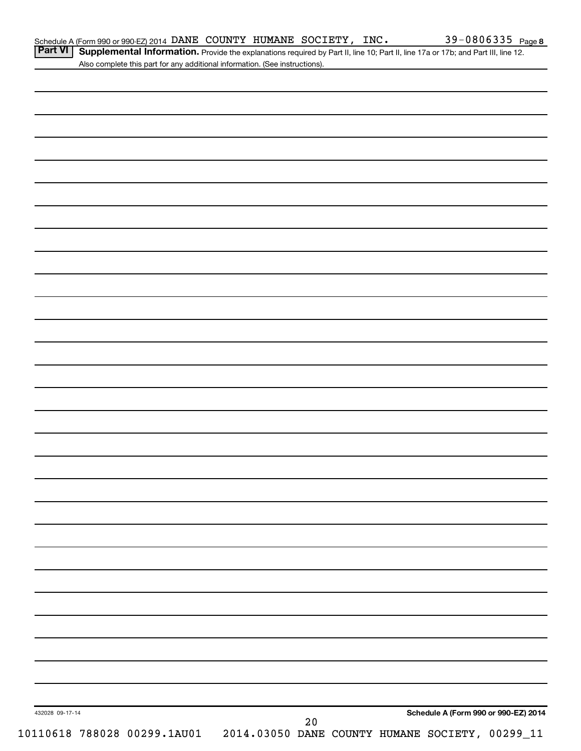Part VI | Supplemental Information. Provide the explanations required by Part II, line 10; Part II, line 17a or 17b; and Part III, line 12. Also complete this part for any additional information. (See instructions).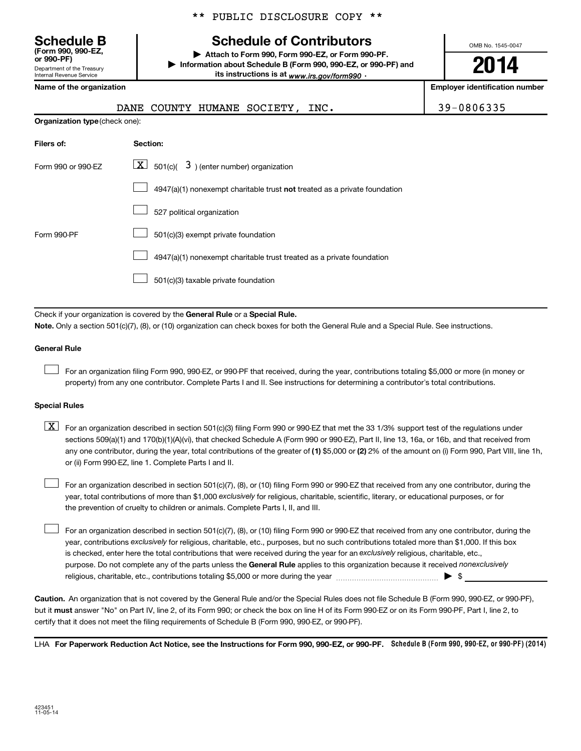**(Form 990, 990-EZ,**

Department of the Treasury Internal Revenue Service

**Organization type** (check one):

\*\* PUBLIC DISCLOSURE COPY \*\*

# **Schedule B Schedule of Contributors**

**or 990-PF) | Attach to Form 990, Form 990-EZ, or Form 990-PF. | Information about Schedule B (Form 990, 990-EZ, or 990-PF) and** its instructions is at <sub>www.irs.gov/form990  $\cdot$ </sub>

OMB No. 1545-0047

# **2014**

**Name of the organization Employer identification number**

|  |  | DANE COUNTY HUMANE SOCIETY, |  |
|--|--|-----------------------------|--|
|  |  |                             |  |

| 39-0806335 |  |  |  |
|------------|--|--|--|
|            |  |  |  |

| Filers of:         | <b>Section:</b>                                                                    |
|--------------------|------------------------------------------------------------------------------------|
| Form 990 or 990-FZ | $\lfloor \mathbf{X} \rfloor$ 501(c)( 3) (enter number) organization                |
|                    | $4947(a)(1)$ nonexempt charitable trust <b>not</b> treated as a private foundation |
|                    | 527 political organization                                                         |
| Form 990-PF        | 501(c)(3) exempt private foundation                                                |
|                    | 4947(a)(1) nonexempt charitable trust treated as a private foundation              |
|                    | 501(c)(3) taxable private foundation                                               |

Check if your organization is covered by the General Rule or a Special Rule.

**Note.**  Only a section 501(c)(7), (8), or (10) organization can check boxes for both the General Rule and a Special Rule. See instructions.

### **General Rule**

 $\Box$ 

For an organization filing Form 990, 990-EZ, or 990-PF that received, during the year, contributions totaling \$5,000 or more (in money or property) from any one contributor. Complete Parts I and II. See instructions for determining a contributor's total contributions.

### **Special Rules**

any one contributor, during the year, total contributions of the greater of **(1)** \$5,000 or **(2)** 2% of the amount on (i) Form 990, Part VIII, line 1h,  $\boxed{\text{X}}$  For an organization described in section 501(c)(3) filing Form 990 or 990-EZ that met the 33 1/3% support test of the regulations under sections 509(a)(1) and 170(b)(1)(A)(vi), that checked Schedule A (Form 990 or 990-EZ), Part II, line 13, 16a, or 16b, and that received from or (ii) Form 990-EZ, line 1. Complete Parts I and II.

year, total contributions of more than \$1,000 *exclusively* for religious, charitable, scientific, literary, or educational purposes, or for For an organization described in section 501(c)(7), (8), or (10) filing Form 990 or 990-EZ that received from any one contributor, during the the prevention of cruelty to children or animals. Complete Parts I, II, and III.  $\Box$ 

purpose. Do not complete any of the parts unless the General Rule applies to this organization because it received nonexclusively year, contributions exclusively for religious, charitable, etc., purposes, but no such contributions totaled more than \$1,000. If this box is checked, enter here the total contributions that were received during the year for an exclusively religious, charitable, etc., For an organization described in section 501(c)(7), (8), or (10) filing Form 990 or 990-EZ that received from any one contributor, during the religious, charitable, etc., contributions totaling \$5,000 or more during the year  $\ldots$  $\ldots$  $\ldots$  $\ldots$  $\ldots$  $\ldots$  $\Box$ 

**Caution.** An organization that is not covered by the General Rule and/or the Special Rules does not file Schedule B (Form 990, 990-EZ, or 990-PF),  **must** but it answer "No" on Part IV, line 2, of its Form 990; or check the box on line H of its Form 990-EZ or on its Form 990-PF, Part I, line 2, to certify that it does not meet the filing requirements of Schedule B (Form 990, 990-EZ, or 990-PF).

LHA For Paperwork Reduction Act Notice, see the Instructions for Form 990, 990-EZ, or 990-PF. Schedule B (Form 990, 990-EZ, or 990-PF) (2014)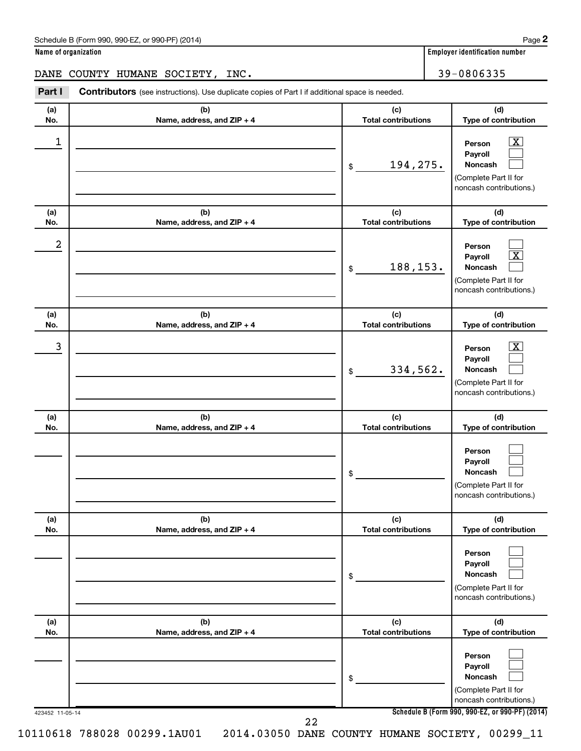| Schedule B (Form 990, 990-EZ, or 990-PF) (2014) | Page |
|-------------------------------------------------|------|
|-------------------------------------------------|------|

**Name of organization Employer identification number**

DANE COUNTY HUMANE SOCIETY, INC. 39-0806335

**Part I** Contributors (see instructions). Use duplicate copies of Part I if additional space is needed. **(a) (b) (c)**  $\perp$ **No. Name, address, and ZIP + 4**

| (a)<br>No.       | (b)<br>Name, address, and ZIP + 4 | (c)<br><b>Total contributions</b> | (d)<br>Type of contribution                                                                                                         |
|------------------|-----------------------------------|-----------------------------------|-------------------------------------------------------------------------------------------------------------------------------------|
| 1                |                                   | 194,275.<br>\$                    | $\overline{\mathbf{X}}$<br>Person<br>Payroll<br><b>Noncash</b><br>(Complete Part II for<br>noncash contributions.)                  |
| (a)<br>No.       | (b)<br>Name, address, and ZIP + 4 | (c)<br><b>Total contributions</b> | (d)<br>Type of contribution                                                                                                         |
| $\boldsymbol{2}$ |                                   | 188,153.<br>\$                    | Person<br>$\overline{\textbf{x}}$<br>Payroll<br>Noncash<br>(Complete Part II for<br>noncash contributions.)                         |
| (a)<br>No.       | (b)<br>Name, address, and ZIP + 4 | (c)<br><b>Total contributions</b> | (d)<br>Type of contribution                                                                                                         |
| 3                |                                   | 334,562.<br>\$                    | $\overline{\textbf{X}}$<br>Person<br>Payroll<br><b>Noncash</b><br>(Complete Part II for<br>noncash contributions.)                  |
| (a)<br>No.       | (b)<br>Name, address, and ZIP + 4 | (c)<br><b>Total contributions</b> | (d)<br>Type of contribution                                                                                                         |
|                  |                                   | \$                                | Person<br>Payroll<br>Noncash<br>(Complete Part II for<br>noncash contributions.)                                                    |
| (a)<br>No.       | (b)<br>Name, address, and ZIP + 4 | (c)<br><b>Total contributions</b> | (d)<br>Type of contribution                                                                                                         |
|                  |                                   | \$                                | Person<br>Payroll<br>Noncash<br>(Complete Part II for<br>noncash contributions.)                                                    |
| (a)<br>No.       | (b)<br>Name, address, and ZIP + 4 | (c)<br><b>Total contributions</b> | (d)<br>Type of contribution                                                                                                         |
| 423452 11-05-14  |                                   | \$                                | Person<br>Payroll<br>Noncash<br>(Complete Part II for<br>noncash contributions.)<br>Schedule B (Form 990, 990-EZ, or 990-PF) (2014) |
|                  | 22                                |                                   |                                                                                                                                     |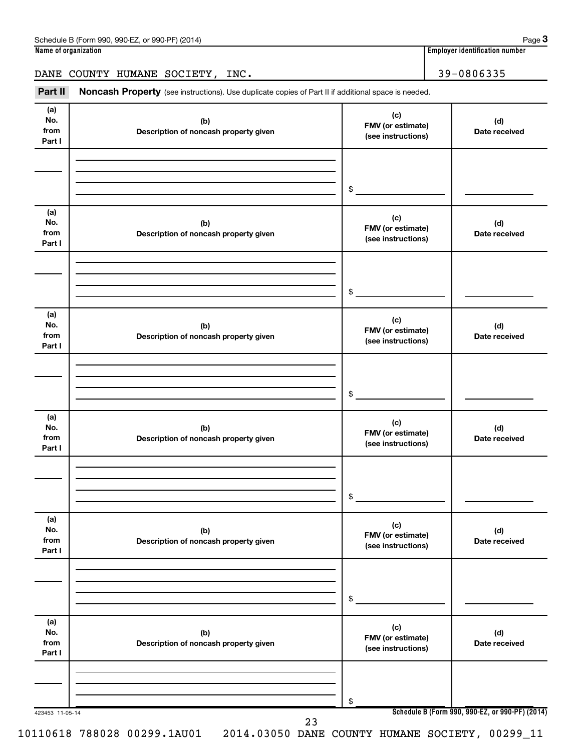## DANE COUNTY HUMANE SOCIETY, INC. 39-0806335

Part II Noncash Property (see instructions). Use duplicate copies of Part II if additional space is needed.

| (a)<br>No.<br>from           | (b)<br>Description of noncash property given | (c)<br>FMV (or estimate)<br>(see instructions) | (d)<br>Date received                            |
|------------------------------|----------------------------------------------|------------------------------------------------|-------------------------------------------------|
| Part I                       |                                              |                                                |                                                 |
|                              |                                              |                                                |                                                 |
|                              |                                              | $\frac{1}{2}$                                  |                                                 |
|                              |                                              |                                                |                                                 |
| (a)<br>No.<br>from<br>Part I | (b)<br>Description of noncash property given | (c)<br>FMV (or estimate)<br>(see instructions) | (d)<br>Date received                            |
|                              |                                              |                                                |                                                 |
|                              |                                              |                                                |                                                 |
|                              |                                              | $\frac{1}{2}$                                  |                                                 |
| (a)                          |                                              |                                                |                                                 |
| No.<br>from<br>Part I        | (b)<br>Description of noncash property given | (c)<br>FMV (or estimate)<br>(see instructions) | (d)<br>Date received                            |
|                              |                                              |                                                |                                                 |
|                              |                                              |                                                |                                                 |
|                              |                                              | $\frac{1}{2}$                                  |                                                 |
| (a)                          |                                              | (c)                                            |                                                 |
| No.<br>from                  | (b)<br>Description of noncash property given | FMV (or estimate)                              | (d)<br>Date received                            |
| Part I                       |                                              | (see instructions)                             |                                                 |
|                              |                                              |                                                |                                                 |
|                              |                                              | $\frac{1}{2}$                                  |                                                 |
|                              |                                              |                                                |                                                 |
| (a)<br>No.                   | (b)                                          | (c)                                            | (d)                                             |
| from                         | Description of noncash property given        | FMV (or estimate)<br>(see instructions)        | Date received                                   |
| Part I                       |                                              |                                                |                                                 |
|                              |                                              |                                                |                                                 |
|                              |                                              | \$                                             |                                                 |
|                              |                                              |                                                |                                                 |
| (a)<br>No.                   | (b)                                          | (c)<br>FMV (or estimate)                       | (d)                                             |
| from<br>Part I               | Description of noncash property given        | (see instructions)                             | Date received                                   |
|                              |                                              |                                                |                                                 |
|                              |                                              |                                                |                                                 |
|                              |                                              | \$                                             |                                                 |
| 423453 11-05-14              | 23                                           |                                                | Schedule B (Form 990, 990-EZ, or 990-PF) (2014) |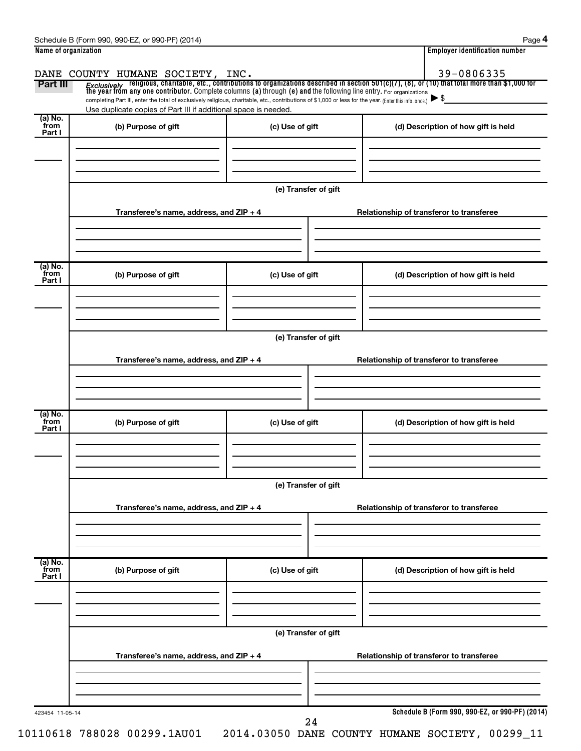| Name of organization      |                                                                                                                                                                                                                                         |                      |                                          | <b>Employer identification number</b>           |  |  |  |  |
|---------------------------|-----------------------------------------------------------------------------------------------------------------------------------------------------------------------------------------------------------------------------------------|----------------------|------------------------------------------|-------------------------------------------------|--|--|--|--|
|                           | DANE COUNTY HUMANE SOCIETY, INC.                                                                                                                                                                                                        |                      |                                          | 39-0806335                                      |  |  |  |  |
| Part III                  | <i>Exclusively</i> religious, charitable, etc., contributions to organizations described in section 501(c)(7), (8), or (10) that total more than \$1,000 for<br>the year from any one contributor. Complete columns (a) through (e) and |                      |                                          |                                                 |  |  |  |  |
|                           | completing Part III, enter the total of exclusively religious, charitable, etc., contributions of \$1,000 or less for the year. (Enter this info. once.)                                                                                |                      |                                          | $\blacktriangleright$ \$                        |  |  |  |  |
| (a) No.                   | Use duplicate copies of Part III if additional space is needed.                                                                                                                                                                         |                      |                                          |                                                 |  |  |  |  |
| from<br>Part I            | (b) Purpose of gift                                                                                                                                                                                                                     | (c) Use of gift      |                                          | (d) Description of how gift is held             |  |  |  |  |
|                           |                                                                                                                                                                                                                                         |                      |                                          |                                                 |  |  |  |  |
|                           |                                                                                                                                                                                                                                         |                      |                                          |                                                 |  |  |  |  |
|                           |                                                                                                                                                                                                                                         |                      |                                          |                                                 |  |  |  |  |
|                           |                                                                                                                                                                                                                                         | (e) Transfer of gift |                                          |                                                 |  |  |  |  |
|                           | Transferee's name, address, and ZIP + 4                                                                                                                                                                                                 |                      | Relationship of transferor to transferee |                                                 |  |  |  |  |
|                           |                                                                                                                                                                                                                                         |                      |                                          |                                                 |  |  |  |  |
|                           |                                                                                                                                                                                                                                         |                      |                                          |                                                 |  |  |  |  |
| (a) No.                   |                                                                                                                                                                                                                                         |                      |                                          |                                                 |  |  |  |  |
| from<br>Part I            | (b) Purpose of gift                                                                                                                                                                                                                     | (c) Use of gift      |                                          | (d) Description of how gift is held             |  |  |  |  |
|                           |                                                                                                                                                                                                                                         |                      |                                          |                                                 |  |  |  |  |
|                           |                                                                                                                                                                                                                                         |                      |                                          |                                                 |  |  |  |  |
|                           |                                                                                                                                                                                                                                         |                      |                                          |                                                 |  |  |  |  |
|                           | (e) Transfer of gift                                                                                                                                                                                                                    |                      |                                          |                                                 |  |  |  |  |
|                           | Transferee's name, address, and ZIP + 4                                                                                                                                                                                                 |                      |                                          | Relationship of transferor to transferee        |  |  |  |  |
|                           |                                                                                                                                                                                                                                         |                      |                                          |                                                 |  |  |  |  |
|                           |                                                                                                                                                                                                                                         |                      |                                          |                                                 |  |  |  |  |
|                           |                                                                                                                                                                                                                                         |                      |                                          |                                                 |  |  |  |  |
| (a) No.<br>from<br>Part I | (b) Purpose of gift                                                                                                                                                                                                                     | (c) Use of gift      |                                          | (d) Description of how gift is held             |  |  |  |  |
|                           |                                                                                                                                                                                                                                         |                      |                                          |                                                 |  |  |  |  |
|                           |                                                                                                                                                                                                                                         |                      |                                          |                                                 |  |  |  |  |
|                           |                                                                                                                                                                                                                                         |                      |                                          |                                                 |  |  |  |  |
|                           | (e) Transfer of gift                                                                                                                                                                                                                    |                      |                                          |                                                 |  |  |  |  |
|                           | Transferee's name, address, and ZIP + 4                                                                                                                                                                                                 |                      |                                          | Relationship of transferor to transferee        |  |  |  |  |
|                           |                                                                                                                                                                                                                                         |                      |                                          |                                                 |  |  |  |  |
|                           |                                                                                                                                                                                                                                         |                      |                                          |                                                 |  |  |  |  |
|                           |                                                                                                                                                                                                                                         |                      |                                          |                                                 |  |  |  |  |
| (a) No.<br>from<br>Part I | (b) Purpose of gift                                                                                                                                                                                                                     | (c) Use of gift      |                                          | (d) Description of how gift is held             |  |  |  |  |
|                           |                                                                                                                                                                                                                                         |                      |                                          |                                                 |  |  |  |  |
|                           |                                                                                                                                                                                                                                         |                      |                                          |                                                 |  |  |  |  |
|                           |                                                                                                                                                                                                                                         |                      |                                          |                                                 |  |  |  |  |
|                           |                                                                                                                                                                                                                                         | (e) Transfer of gift |                                          |                                                 |  |  |  |  |
|                           | Transferee's name, address, and ZIP + 4                                                                                                                                                                                                 |                      |                                          | Relationship of transferor to transferee        |  |  |  |  |
|                           |                                                                                                                                                                                                                                         |                      |                                          |                                                 |  |  |  |  |
|                           |                                                                                                                                                                                                                                         |                      |                                          |                                                 |  |  |  |  |
|                           |                                                                                                                                                                                                                                         |                      |                                          |                                                 |  |  |  |  |
| 423454 11-05-14           |                                                                                                                                                                                                                                         | 24                   |                                          | Schedule B (Form 990, 990-EZ, or 990-PF) (2014) |  |  |  |  |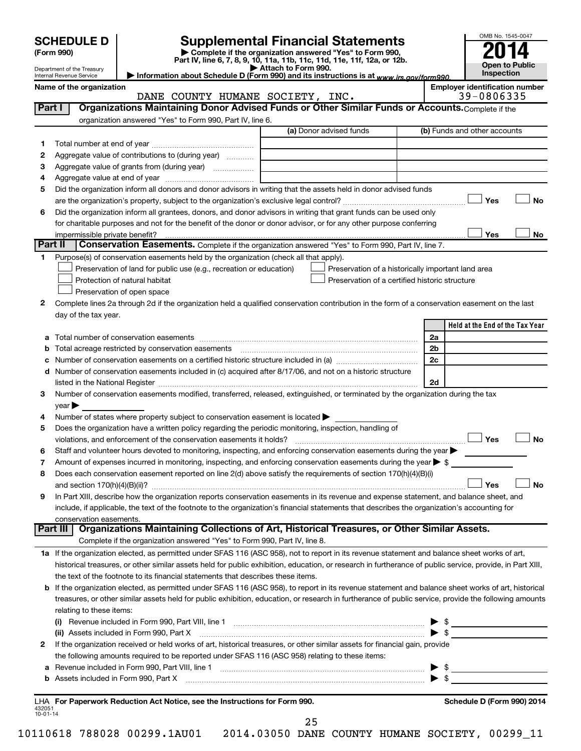|                          | <b>SCHEDULE D</b>               |                                                                                                        | <b>Supplemental Financial Statements</b>                                                                                                                  |                      | OMB No. 1545-0047                                   |
|--------------------------|---------------------------------|--------------------------------------------------------------------------------------------------------|-----------------------------------------------------------------------------------------------------------------------------------------------------------|----------------------|-----------------------------------------------------|
|                          | (Form 990)                      |                                                                                                        | Complete if the organization answered "Yes" to Form 990,                                                                                                  |                      |                                                     |
|                          | Department of the Treasury      |                                                                                                        | Part IV, line 6, 7, 8, 9, 10, 11a, 11b, 11c, 11d, 11e, 11f, 12a, or 12b.<br>Attach to Form 990.                                                           |                      | <b>Open to Public</b>                               |
|                          | <b>Internal Revenue Service</b> |                                                                                                        | Information about Schedule D (Form 990) and its instructions is at www.irs.gov/form990.                                                                   |                      | Inspection                                          |
|                          | Name of the organization        | DANE COUNTY HUMANE SOCIETY, INC.                                                                       |                                                                                                                                                           |                      | <b>Employer identification number</b><br>39-0806335 |
| Part I                   |                                 |                                                                                                        | Organizations Maintaining Donor Advised Funds or Other Similar Funds or Accounts. Complete if the                                                         |                      |                                                     |
|                          |                                 | organization answered "Yes" to Form 990, Part IV, line 6.                                              |                                                                                                                                                           |                      |                                                     |
|                          |                                 |                                                                                                        | (a) Donor advised funds                                                                                                                                   |                      | (b) Funds and other accounts                        |
| 1                        |                                 |                                                                                                        |                                                                                                                                                           |                      |                                                     |
| 2                        |                                 | Aggregate value of contributions to (during year)                                                      |                                                                                                                                                           |                      |                                                     |
| 3                        |                                 |                                                                                                        |                                                                                                                                                           |                      |                                                     |
| 4                        |                                 |                                                                                                        |                                                                                                                                                           |                      |                                                     |
| 5                        |                                 |                                                                                                        | Did the organization inform all donors and donor advisors in writing that the assets held in donor advised funds                                          |                      |                                                     |
|                          |                                 |                                                                                                        |                                                                                                                                                           |                      | <b>No</b><br>Yes                                    |
| 6                        |                                 |                                                                                                        | Did the organization inform all grantees, donors, and donor advisors in writing that grant funds can be used only                                         |                      |                                                     |
|                          | impermissible private benefit?  |                                                                                                        | for charitable purposes and not for the benefit of the donor or donor advisor, or for any other purpose conferring                                        |                      | Yes<br>No                                           |
| Part II                  |                                 |                                                                                                        | Conservation Easements. Complete if the organization answered "Yes" to Form 990, Part IV, line 7.                                                         |                      |                                                     |
| 1                        |                                 | Purpose(s) of conservation easements held by the organization (check all that apply).                  |                                                                                                                                                           |                      |                                                     |
|                          |                                 | Preservation of land for public use (e.g., recreation or education)                                    | Preservation of a historically important land area                                                                                                        |                      |                                                     |
|                          |                                 | Protection of natural habitat                                                                          | Preservation of a certified historic structure                                                                                                            |                      |                                                     |
|                          |                                 | Preservation of open space                                                                             |                                                                                                                                                           |                      |                                                     |
| 2                        |                                 |                                                                                                        | Complete lines 2a through 2d if the organization held a qualified conservation contribution in the form of a conservation easement on the last            |                      |                                                     |
|                          | day of the tax year.            |                                                                                                        |                                                                                                                                                           |                      |                                                     |
|                          |                                 |                                                                                                        |                                                                                                                                                           |                      | Held at the End of the Tax Year                     |
|                          |                                 |                                                                                                        |                                                                                                                                                           | 2a                   |                                                     |
| b                        |                                 | Total acreage restricted by conservation easements                                                     |                                                                                                                                                           | 2 <sub>b</sub><br>2c |                                                     |
|                          |                                 |                                                                                                        | d Number of conservation easements included in (c) acquired after 8/17/06, and not on a historic structure                                                |                      |                                                     |
|                          |                                 |                                                                                                        |                                                                                                                                                           | 2d                   |                                                     |
| 3                        |                                 |                                                                                                        | Number of conservation easements modified, transferred, released, extinguished, or terminated by the organization during the tax                          |                      |                                                     |
|                          | $year \blacktriangleright$      |                                                                                                        |                                                                                                                                                           |                      |                                                     |
| 4                        |                                 | Number of states where property subject to conservation easement is located $\blacktriangleright$      |                                                                                                                                                           |                      |                                                     |
| 5                        |                                 | Does the organization have a written policy regarding the periodic monitoring, inspection, handling of |                                                                                                                                                           |                      |                                                     |
|                          |                                 | violations, and enforcement of the conservation easements it holds?                                    |                                                                                                                                                           |                      | <b>Yes</b><br>No                                    |
| 6                        |                                 |                                                                                                        | Staff and volunteer hours devoted to monitoring, inspecting, and enforcing conservation easements during the year $\blacktriangleright$                   |                      |                                                     |
| 7                        |                                 |                                                                                                        | Amount of expenses incurred in monitoring, inspecting, and enforcing conservation easements during the year $\triangleright$ \$                           |                      |                                                     |
| 8                        |                                 |                                                                                                        | Does each conservation easement reported on line 2(d) above satisfy the requirements of section 170(h)(4)(B)(i)                                           |                      | Yes<br><b>No</b>                                    |
| 9                        |                                 |                                                                                                        | In Part XIII, describe how the organization reports conservation easements in its revenue and expense statement, and balance sheet, and                   |                      |                                                     |
|                          |                                 |                                                                                                        | include, if applicable, the text of the footnote to the organization's financial statements that describes the organization's accounting for              |                      |                                                     |
|                          | conservation easements.         |                                                                                                        |                                                                                                                                                           |                      |                                                     |
|                          | Part III                        |                                                                                                        | Organizations Maintaining Collections of Art, Historical Treasures, or Other Similar Assets.                                                              |                      |                                                     |
|                          |                                 | Complete if the organization answered "Yes" to Form 990, Part IV, line 8.                              |                                                                                                                                                           |                      |                                                     |
|                          |                                 |                                                                                                        | 1a If the organization elected, as permitted under SFAS 116 (ASC 958), not to report in its revenue statement and balance sheet works of art,             |                      |                                                     |
|                          |                                 |                                                                                                        | historical treasures, or other similar assets held for public exhibition, education, or research in furtherance of public service, provide, in Part XIII, |                      |                                                     |
|                          |                                 | the text of the footnote to its financial statements that describes these items.                       |                                                                                                                                                           |                      |                                                     |
| b                        |                                 |                                                                                                        | If the organization elected, as permitted under SFAS 116 (ASC 958), to report in its revenue statement and balance sheet works of art, historical         |                      |                                                     |
|                          | relating to these items:        |                                                                                                        | treasures, or other similar assets held for public exhibition, education, or research in furtherance of public service, provide the following amounts     |                      |                                                     |
|                          |                                 |                                                                                                        | (i) Revenue included in Form 990, Part VIII, line 1 [2000] [2010] Contract the included in Form 990, Part VIII, line 1                                    |                      | $\frac{1}{2}$                                       |
|                          |                                 |                                                                                                        | (ii) Assets included in Form 990, Part X [11] Marson Martin Marson Marson Marson Marson Marson Marson Marson M                                            |                      |                                                     |
| 2                        |                                 |                                                                                                        | If the organization received or held works of art, historical treasures, or other similar assets for financial gain, provide                              |                      |                                                     |
|                          |                                 | the following amounts required to be reported under SFAS 116 (ASC 958) relating to these items:        |                                                                                                                                                           |                      |                                                     |
| а                        |                                 |                                                                                                        |                                                                                                                                                           |                      | $\frac{1}{2}$                                       |
| b                        |                                 |                                                                                                        |                                                                                                                                                           |                      |                                                     |
|                          |                                 |                                                                                                        |                                                                                                                                                           |                      |                                                     |
| 432051<br>$10 - 01 - 14$ |                                 | LHA For Paperwork Reduction Act Notice, see the Instructions for Form 990.                             |                                                                                                                                                           |                      | Schedule D (Form 990) 2014                          |

|  | . .<br>. .<br>۰. |
|--|------------------|
|  |                  |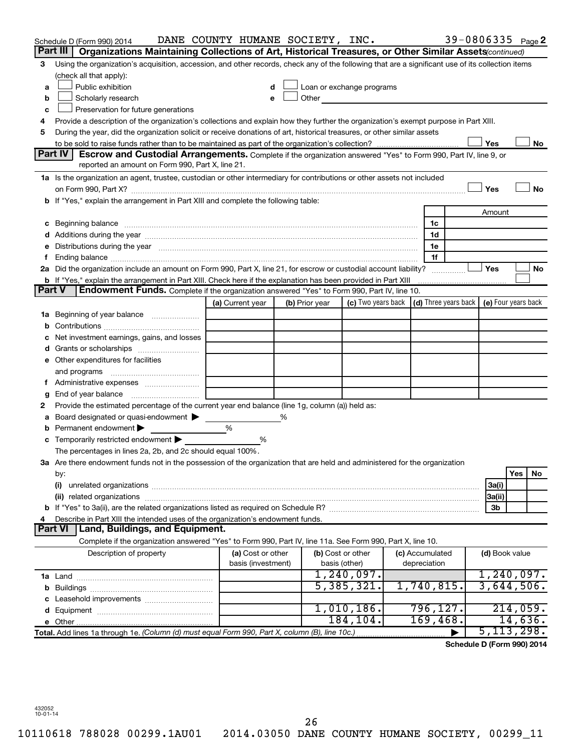|               | Schedule D (Form 990) 2014                                                                                                                                                                                                     | DANE COUNTY HUMANE SOCIETY, INC. |                |                                                                                                                                                                                                                               |                 | 39-0806335 Page 2          |                     |          |           |
|---------------|--------------------------------------------------------------------------------------------------------------------------------------------------------------------------------------------------------------------------------|----------------------------------|----------------|-------------------------------------------------------------------------------------------------------------------------------------------------------------------------------------------------------------------------------|-----------------|----------------------------|---------------------|----------|-----------|
|               | Organizations Maintaining Collections of Art, Historical Treasures, or Other Similar Assets (continued)<br>Part III                                                                                                            |                                  |                |                                                                                                                                                                                                                               |                 |                            |                     |          |           |
| 3             | Using the organization's acquisition, accession, and other records, check any of the following that are a significant use of its collection items                                                                              |                                  |                |                                                                                                                                                                                                                               |                 |                            |                     |          |           |
|               | (check all that apply):                                                                                                                                                                                                        |                                  |                |                                                                                                                                                                                                                               |                 |                            |                     |          |           |
| a             | Public exhibition                                                                                                                                                                                                              |                                  |                | Loan or exchange programs                                                                                                                                                                                                     |                 |                            |                     |          |           |
| b             | Scholarly research                                                                                                                                                                                                             | e                                |                | Other and the contract of the contract of the contract of the contract of the contract of the contract of the contract of the contract of the contract of the contract of the contract of the contract of the contract of the |                 |                            |                     |          |           |
| с             | Preservation for future generations                                                                                                                                                                                            |                                  |                |                                                                                                                                                                                                                               |                 |                            |                     |          |           |
| 4             | Provide a description of the organization's collections and explain how they further the organization's exempt purpose in Part XIII.                                                                                           |                                  |                |                                                                                                                                                                                                                               |                 |                            |                     |          |           |
| 5             | During the year, did the organization solicit or receive donations of art, historical treasures, or other similar assets                                                                                                       |                                  |                |                                                                                                                                                                                                                               |                 |                            |                     |          |           |
|               |                                                                                                                                                                                                                                |                                  |                |                                                                                                                                                                                                                               |                 |                            | Yes                 |          | No        |
|               | Part IV<br>Escrow and Custodial Arrangements. Complete if the organization answered "Yes" to Form 990, Part IV, line 9, or                                                                                                     |                                  |                |                                                                                                                                                                                                                               |                 |                            |                     |          |           |
|               | reported an amount on Form 990, Part X, line 21.                                                                                                                                                                               |                                  |                |                                                                                                                                                                                                                               |                 |                            |                     |          |           |
|               | 1a Is the organization an agent, trustee, custodian or other intermediary for contributions or other assets not included                                                                                                       |                                  |                |                                                                                                                                                                                                                               |                 |                            |                     |          |           |
|               |                                                                                                                                                                                                                                |                                  |                |                                                                                                                                                                                                                               |                 |                            | Yes                 |          | <b>No</b> |
|               | <b>b</b> If "Yes," explain the arrangement in Part XIII and complete the following table:                                                                                                                                      |                                  |                |                                                                                                                                                                                                                               |                 |                            |                     |          |           |
|               |                                                                                                                                                                                                                                |                                  |                |                                                                                                                                                                                                                               |                 |                            | Amount              |          |           |
| с             | Beginning balance manufactured and contract the contract of the contract of the contract of the contract of the                                                                                                                |                                  |                |                                                                                                                                                                                                                               | 1c              |                            |                     |          |           |
|               |                                                                                                                                                                                                                                |                                  |                |                                                                                                                                                                                                                               | 1d              |                            |                     |          |           |
| е             | Distributions during the year manufactured and an account of the state of the state of the state of the state of the state of the state of the state of the state of the state of the state of the state of the state of the s |                                  |                |                                                                                                                                                                                                                               | 1e              |                            |                     |          |           |
| f.            | Ending balance <i>www.communicality.communicality.communicality.communicality.communicality.communicality.com</i>                                                                                                              |                                  |                |                                                                                                                                                                                                                               | 1f              |                            |                     |          |           |
|               | 2a Did the organization include an amount on Form 990, Part X, line 21, for escrow or custodial account liability?                                                                                                             |                                  |                |                                                                                                                                                                                                                               |                 |                            | Yes                 |          | No        |
|               | <b>b</b> If "Yes," explain the arrangement in Part XIII. Check here if the explanation has been provided in Part XIII                                                                                                          |                                  |                |                                                                                                                                                                                                                               |                 |                            |                     |          |           |
| <b>Part V</b> | <b>Endowment Funds.</b> Complete if the organization answered "Yes" to Form 990, Part IV, line 10.                                                                                                                             |                                  |                |                                                                                                                                                                                                                               |                 |                            |                     |          |           |
|               |                                                                                                                                                                                                                                | (a) Current year                 | (b) Prior year | (c) Two years back                                                                                                                                                                                                            |                 | (d) Three years back       | (e) Four years back |          |           |
|               | 1a Beginning of year balance                                                                                                                                                                                                   |                                  |                |                                                                                                                                                                                                                               |                 |                            |                     |          |           |
| b             |                                                                                                                                                                                                                                |                                  |                |                                                                                                                                                                                                                               |                 |                            |                     |          |           |
| с             | Net investment earnings, gains, and losses                                                                                                                                                                                     |                                  |                |                                                                                                                                                                                                                               |                 |                            |                     |          |           |
| d             |                                                                                                                                                                                                                                |                                  |                |                                                                                                                                                                                                                               |                 |                            |                     |          |           |
|               | e Other expenditures for facilities                                                                                                                                                                                            |                                  |                |                                                                                                                                                                                                                               |                 |                            |                     |          |           |
|               | and programs                                                                                                                                                                                                                   |                                  |                |                                                                                                                                                                                                                               |                 |                            |                     |          |           |
|               | f Administrative expenses                                                                                                                                                                                                      |                                  |                |                                                                                                                                                                                                                               |                 |                            |                     |          |           |
| g             |                                                                                                                                                                                                                                |                                  |                |                                                                                                                                                                                                                               |                 |                            |                     |          |           |
| 2             | Provide the estimated percentage of the current year end balance (line 1g, column (a)) held as:                                                                                                                                |                                  |                |                                                                                                                                                                                                                               |                 |                            |                     |          |           |
| а             | Board designated or quasi-endowment                                                                                                                                                                                            |                                  | %              |                                                                                                                                                                                                                               |                 |                            |                     |          |           |
| b             | Permanent endowment                                                                                                                                                                                                            | %                                |                |                                                                                                                                                                                                                               |                 |                            |                     |          |           |
| с             | Temporarily restricted endowment                                                                                                                                                                                               | %                                |                |                                                                                                                                                                                                                               |                 |                            |                     |          |           |
|               | The percentages in lines 2a, 2b, and 2c should equal 100%.                                                                                                                                                                     |                                  |                |                                                                                                                                                                                                                               |                 |                            |                     |          |           |
|               | 3a Are there endowment funds not in the possession of the organization that are held and administered for the organization                                                                                                     |                                  |                |                                                                                                                                                                                                                               |                 |                            |                     |          |           |
|               | by:                                                                                                                                                                                                                            |                                  |                |                                                                                                                                                                                                                               |                 |                            |                     | Yes      | No        |
|               | (i)                                                                                                                                                                                                                            |                                  |                |                                                                                                                                                                                                                               |                 |                            | 3a(i)               |          |           |
|               |                                                                                                                                                                                                                                |                                  |                |                                                                                                                                                                                                                               |                 |                            | 3a(ii)              |          |           |
| b             |                                                                                                                                                                                                                                |                                  |                |                                                                                                                                                                                                                               |                 |                            | 3b                  |          |           |
| 4             | Describe in Part XIII the intended uses of the organization's endowment funds.                                                                                                                                                 |                                  |                |                                                                                                                                                                                                                               |                 |                            |                     |          |           |
|               | Part VI   Land, Buildings, and Equipment.                                                                                                                                                                                      |                                  |                |                                                                                                                                                                                                                               |                 |                            |                     |          |           |
|               | Complete if the organization answered "Yes" to Form 990, Part IV, line 11a. See Form 990, Part X, line 10.                                                                                                                     |                                  |                |                                                                                                                                                                                                                               |                 |                            |                     |          |           |
|               | Description of property                                                                                                                                                                                                        | (a) Cost or other                |                | (b) Cost or other                                                                                                                                                                                                             | (c) Accumulated |                            | (d) Book value      |          |           |
|               |                                                                                                                                                                                                                                | basis (investment)               |                | basis (other)                                                                                                                                                                                                                 | depreciation    |                            |                     |          |           |
|               |                                                                                                                                                                                                                                |                                  |                | 1,240,097.                                                                                                                                                                                                                    |                 |                            | 1,240,097.          |          |           |
| b             |                                                                                                                                                                                                                                |                                  |                | 5,385,321.                                                                                                                                                                                                                    | 1,740,815.      |                            | 3,644,506.          |          |           |
| c             | Leasehold improvements                                                                                                                                                                                                         |                                  |                |                                                                                                                                                                                                                               |                 |                            |                     |          |           |
| d             |                                                                                                                                                                                                                                |                                  |                | 1,010,186.                                                                                                                                                                                                                    | 796, 127.       |                            |                     | 214,059. |           |
|               |                                                                                                                                                                                                                                |                                  |                | 184,104.                                                                                                                                                                                                                      | 169,468.        |                            |                     | 14,636.  |           |
|               | Total. Add lines 1a through 1e. (Column (d) must equal Form 990, Part X, column (B), line 10c.)                                                                                                                                |                                  |                |                                                                                                                                                                                                                               |                 |                            | 5, 113, 298.        |          |           |
|               |                                                                                                                                                                                                                                |                                  |                |                                                                                                                                                                                                                               |                 | Schedule D (Form 990) 2014 |                     |          |           |

432052 10-01-14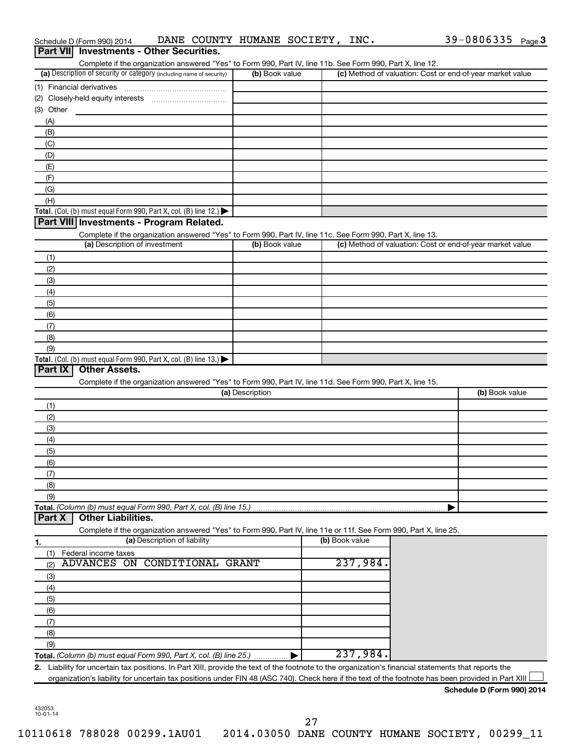|            | Schedule D (Form 990) 2014                                                                                                                                                                                                 |                              | DANE COUNTY HUMANE SOCIETY, INC.                                                                                  |                |                                                           | $39 - 0806335$ Page 3 |  |
|------------|----------------------------------------------------------------------------------------------------------------------------------------------------------------------------------------------------------------------------|------------------------------|-------------------------------------------------------------------------------------------------------------------|----------------|-----------------------------------------------------------|-----------------------|--|
|            | Part VII Investments - Other Securities.                                                                                                                                                                                   |                              |                                                                                                                   |                |                                                           |                       |  |
|            |                                                                                                                                                                                                                            |                              | Complete if the organization answered "Yes" to Form 990, Part IV, line 11b. See Form 990, Part X, line 12.        |                |                                                           |                       |  |
|            | (a) Description of security or category (including name of security)                                                                                                                                                       |                              | (b) Book value                                                                                                    |                | (c) Method of valuation: Cost or end-of-year market value |                       |  |
|            | (1) Financial derivatives                                                                                                                                                                                                  |                              |                                                                                                                   |                |                                                           |                       |  |
|            |                                                                                                                                                                                                                            |                              |                                                                                                                   |                |                                                           |                       |  |
| (3) Other  |                                                                                                                                                                                                                            |                              |                                                                                                                   |                |                                                           |                       |  |
| (A)        |                                                                                                                                                                                                                            |                              |                                                                                                                   |                |                                                           |                       |  |
| (B)        |                                                                                                                                                                                                                            |                              |                                                                                                                   |                |                                                           |                       |  |
| (C)        |                                                                                                                                                                                                                            |                              |                                                                                                                   |                |                                                           |                       |  |
| (D)        |                                                                                                                                                                                                                            |                              |                                                                                                                   |                |                                                           |                       |  |
| (E)        |                                                                                                                                                                                                                            |                              |                                                                                                                   |                |                                                           |                       |  |
| (F)        |                                                                                                                                                                                                                            |                              |                                                                                                                   |                |                                                           |                       |  |
| (G)<br>(H) |                                                                                                                                                                                                                            |                              |                                                                                                                   |                |                                                           |                       |  |
|            | Total. (Col. (b) must equal Form 990, Part X, col. (B) line 12.) $\blacktriangleright$                                                                                                                                     |                              |                                                                                                                   |                |                                                           |                       |  |
|            | Part VIII Investments - Program Related.                                                                                                                                                                                   |                              |                                                                                                                   |                |                                                           |                       |  |
|            |                                                                                                                                                                                                                            |                              | Complete if the organization answered "Yes" to Form 990, Part IV, line 11c. See Form 990, Part X, line 13.        |                |                                                           |                       |  |
|            | (a) Description of investment                                                                                                                                                                                              |                              | (b) Book value                                                                                                    |                | (c) Method of valuation: Cost or end-of-year market value |                       |  |
|            |                                                                                                                                                                                                                            |                              |                                                                                                                   |                |                                                           |                       |  |
| (1)<br>(2) |                                                                                                                                                                                                                            |                              |                                                                                                                   |                |                                                           |                       |  |
| (3)        |                                                                                                                                                                                                                            |                              |                                                                                                                   |                |                                                           |                       |  |
| (4)        |                                                                                                                                                                                                                            |                              |                                                                                                                   |                |                                                           |                       |  |
| (5)        |                                                                                                                                                                                                                            |                              |                                                                                                                   |                |                                                           |                       |  |
| (6)        |                                                                                                                                                                                                                            |                              |                                                                                                                   |                |                                                           |                       |  |
| (7)        |                                                                                                                                                                                                                            |                              |                                                                                                                   |                |                                                           |                       |  |
| (8)        |                                                                                                                                                                                                                            |                              |                                                                                                                   |                |                                                           |                       |  |
| (9)        |                                                                                                                                                                                                                            |                              |                                                                                                                   |                |                                                           |                       |  |
|            | Total. (Col. (b) must equal Form 990, Part X, col. (B) line $13.$ )                                                                                                                                                        |                              |                                                                                                                   |                |                                                           |                       |  |
| Part IX    | <b>Other Assets.</b>                                                                                                                                                                                                       |                              |                                                                                                                   |                |                                                           |                       |  |
|            |                                                                                                                                                                                                                            |                              | Complete if the organization answered "Yes" to Form 990, Part IV, line 11d. See Form 990, Part X, line 15.        |                |                                                           |                       |  |
|            |                                                                                                                                                                                                                            |                              | (a) Description                                                                                                   |                |                                                           | (b) Book value        |  |
| (1)        |                                                                                                                                                                                                                            |                              |                                                                                                                   |                |                                                           |                       |  |
| (2)        |                                                                                                                                                                                                                            |                              |                                                                                                                   |                |                                                           |                       |  |
| (3)        |                                                                                                                                                                                                                            |                              |                                                                                                                   |                |                                                           |                       |  |
| (4)        |                                                                                                                                                                                                                            |                              |                                                                                                                   |                |                                                           |                       |  |
| (5)        |                                                                                                                                                                                                                            |                              |                                                                                                                   |                |                                                           |                       |  |
| (6)        |                                                                                                                                                                                                                            |                              |                                                                                                                   |                |                                                           |                       |  |
| (7)        |                                                                                                                                                                                                                            |                              |                                                                                                                   |                |                                                           |                       |  |
| (8)        |                                                                                                                                                                                                                            |                              |                                                                                                                   |                |                                                           |                       |  |
| (9)        |                                                                                                                                                                                                                            |                              |                                                                                                                   |                |                                                           |                       |  |
|            | Total. (Column (b) must equal Form 990, Part X, col. (B) line 15.)                                                                                                                                                         |                              |                                                                                                                   |                |                                                           |                       |  |
| Part X     | <b>Other Liabilities.</b>                                                                                                                                                                                                  |                              |                                                                                                                   |                |                                                           |                       |  |
|            |                                                                                                                                                                                                                            |                              | Complete if the organization answered "Yes" to Form 990, Part IV, line 11e or 11f. See Form 990, Part X, line 25. |                |                                                           |                       |  |
| 1.         |                                                                                                                                                                                                                            | (a) Description of liability |                                                                                                                   | (b) Book value |                                                           |                       |  |
| (1)        | Federal income taxes                                                                                                                                                                                                       |                              |                                                                                                                   |                |                                                           |                       |  |
| (2)        | <b>ADVANCES ON</b>                                                                                                                                                                                                         | <b>CONDITIONAL GRANT</b>     |                                                                                                                   | 237,984.       |                                                           |                       |  |
| (3)        |                                                                                                                                                                                                                            |                              |                                                                                                                   |                |                                                           |                       |  |
| (4)        |                                                                                                                                                                                                                            |                              |                                                                                                                   |                |                                                           |                       |  |
| (5)        |                                                                                                                                                                                                                            |                              |                                                                                                                   |                |                                                           |                       |  |
| (6)        |                                                                                                                                                                                                                            |                              |                                                                                                                   |                |                                                           |                       |  |
| (7)        |                                                                                                                                                                                                                            |                              |                                                                                                                   |                |                                                           |                       |  |
| (8)        |                                                                                                                                                                                                                            |                              |                                                                                                                   |                |                                                           |                       |  |
| (9)        |                                                                                                                                                                                                                            |                              |                                                                                                                   | 237,984.       |                                                           |                       |  |
|            | Total. (Column (b) must equal Form 990, Part X, col. (B) line 25.)<br>2. Liability for uncertain tax positions. In Part XIII, provide the text of the footnote to the organization's financial statements that reports the |                              |                                                                                                                   |                |                                                           |                       |  |
|            | organization's liability for uncertain tax positions under FIN 48 (ASC 740). Check here if the text of the footnote has been provided in Part XIII                                                                         |                              |                                                                                                                   |                |                                                           |                       |  |
|            |                                                                                                                                                                                                                            |                              |                                                                                                                   |                |                                                           |                       |  |

432053 10-01-14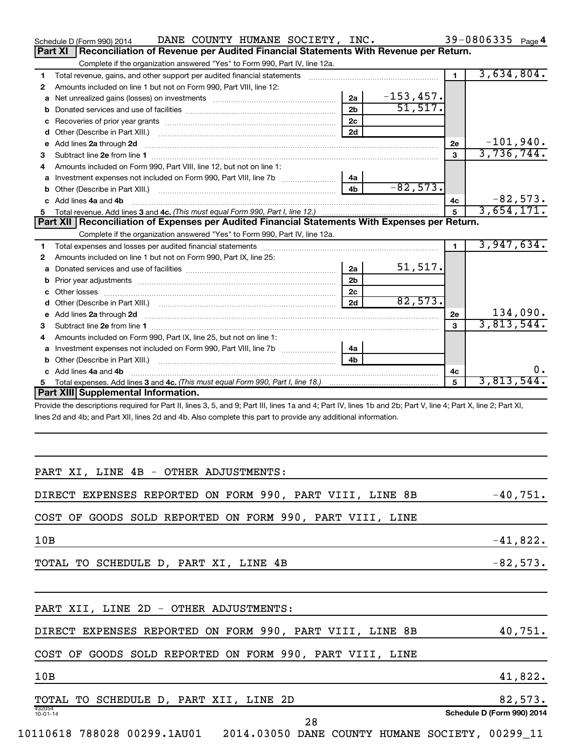| DANE COUNTY HUMANE SOCIETY, INC.<br>Schedule D (Form 990) 2014                                                                                                 |                |              |                | 39-0806335 Page 4 |            |
|----------------------------------------------------------------------------------------------------------------------------------------------------------------|----------------|--------------|----------------|-------------------|------------|
| Reconciliation of Revenue per Audited Financial Statements With Revenue per Return.<br>Part XI                                                                 |                |              |                |                   |            |
| Complete if the organization answered "Yes" to Form 990, Part IV, line 12a.                                                                                    |                |              |                |                   |            |
| 1                                                                                                                                                              |                |              | $\blacksquare$ | 3,634,804.        |            |
| Amounts included on line 1 but not on Form 990, Part VIII, line 12:<br>2                                                                                       |                |              |                |                   |            |
| а                                                                                                                                                              | 2a             | $-153, 457.$ |                |                   |            |
| b                                                                                                                                                              | 2 <sub>b</sub> | 51, 517.     |                |                   |            |
| с                                                                                                                                                              | 2 <sub>c</sub> |              |                |                   |            |
|                                                                                                                                                                | 2d             |              |                |                   |            |
| e Add lines 2a through 2d                                                                                                                                      |                |              | <b>2e</b>      | $-101,940.$       |            |
| 3                                                                                                                                                              |                |              | 3              | 3,736,744.        |            |
| Amounts included on Form 990, Part VIII, line 12, but not on line 1:<br>4                                                                                      |                |              |                |                   |            |
|                                                                                                                                                                | 4a             |              |                |                   |            |
|                                                                                                                                                                | 4 <sub>b</sub> | $-82,573.$   |                |                   |            |
| c Add lines 4a and 4b                                                                                                                                          |                |              | 4c             |                   | $-82,573.$ |
| 5.                                                                                                                                                             |                |              | 5              | 3,654,171.        |            |
| Part XII   Reconciliation of Expenses per Audited Financial Statements With Expenses per Return.                                                               |                |              |                |                   |            |
| Complete if the organization answered "Yes" to Form 990, Part IV, line 12a.                                                                                    |                |              |                |                   |            |
| 1                                                                                                                                                              |                |              | $\blacksquare$ | 3,947,634.        |            |
| Amounts included on line 1 but not on Form 990, Part IX, line 25:<br>2                                                                                         |                |              |                |                   |            |
| а                                                                                                                                                              | 2a             | 51,517.      |                |                   |            |
| b                                                                                                                                                              | 2 <sub>b</sub> |              |                |                   |            |
| с                                                                                                                                                              | 2c             |              |                |                   |            |
|                                                                                                                                                                | 2d             | 82,573.      |                |                   |            |
|                                                                                                                                                                |                |              | 2e             |                   | 134,090.   |
| 3                                                                                                                                                              |                |              | 3              | 3,813,544.        |            |
| Amounts included on Form 990, Part IX, line 25, but not on line 1:<br>4                                                                                        |                |              |                |                   |            |
|                                                                                                                                                                | 4а             |              |                |                   |            |
|                                                                                                                                                                | 4 <sub>b</sub> |              |                |                   |            |
| c Add lines 4a and 4b                                                                                                                                          |                |              | 4c             |                   | υ.         |
| 5.                                                                                                                                                             |                |              | 5              | 3,813,544.        |            |
| Part XIII Supplemental Information.                                                                                                                            |                |              |                |                   |            |
| Provide the descriptions required for Part II, lines 3, 5, and 9; Part III, lines 1a and 4; Part IV, lines 1b and 2b; Part V, line 4; Part X, line 2; Part XI, |                |              |                |                   |            |
| lines 2d and 4b; and Part XII, lines 2d and 4b. Also complete this part to provide any additional information.                                                 |                |              |                |                   |            |
|                                                                                                                                                                |                |              |                |                   |            |
|                                                                                                                                                                |                |              |                |                   |            |
|                                                                                                                                                                |                |              |                |                   |            |
|                                                                                                                                                                |                |              |                |                   |            |
| PART XI, LINE 4B - OTHER ADJUSTMENTS:                                                                                                                          |                |              |                |                   |            |
| DIRECT EXPENSES REPORTED ON FORM 990, PART VIII, LINE 8B                                                                                                       |                |              |                |                   | $-40,751.$ |
|                                                                                                                                                                |                |              |                |                   |            |
| COST OF GOODS SOLD REPORTED ON FORM 990, PART VIII, LINE                                                                                                       |                |              |                |                   |            |
|                                                                                                                                                                |                |              |                |                   |            |
| 10B                                                                                                                                                            |                |              |                |                   | $-41,822.$ |
|                                                                                                                                                                |                |              |                |                   |            |
| TOTAL TO SCHEDULE D, PART XI, LINE 4B                                                                                                                          |                |              |                |                   | $-82,573.$ |
|                                                                                                                                                                |                |              |                |                   |            |
|                                                                                                                                                                |                |              |                |                   |            |
|                                                                                                                                                                |                |              |                |                   |            |
| PART XII, LINE 2D - OTHER ADJUSTMENTS:                                                                                                                         |                |              |                |                   |            |
|                                                                                                                                                                |                |              |                |                   |            |
| DIRECT EXPENSES REPORTED ON FORM 990, PART VIII, LINE 8B                                                                                                       |                |              |                |                   | 40,751.    |
|                                                                                                                                                                |                |              |                |                   |            |
| COST OF GOODS SOLD REPORTED ON FORM 990, PART VIII, LINE                                                                                                       |                |              |                |                   |            |
|                                                                                                                                                                |                |              |                |                   |            |
| 10B                                                                                                                                                            |                |              |                |                   | 41,822.    |

| TOTAL                    | TO SCHEDULE D, PART XII, |  | LINE | 2D |     | 82,573.                    |
|--------------------------|--------------------------|--|------|----|-----|----------------------------|
| 432054<br>$10 - 01 - 14$ |                          |  |      |    |     | Schedule D (Form 990) 2014 |
|                          |                          |  |      |    | ∠ 0 |                            |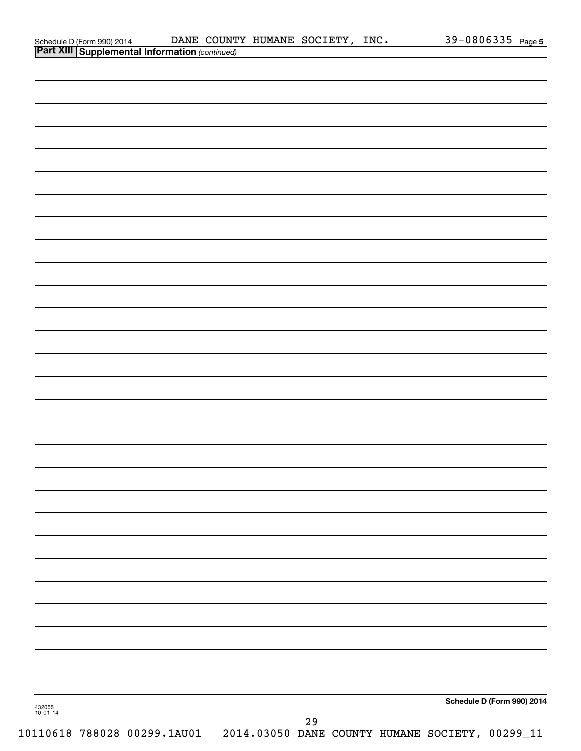|  | Schedule D (Form 990) 2014 DANE COUNT<br>Part XIII Supplemental Information (continued) | DANE COUNTY HUMANE SOCIETY, INC. |  | 39-0806335 Page 5          |
|--|-----------------------------------------------------------------------------------------|----------------------------------|--|----------------------------|
|  |                                                                                         |                                  |  |                            |
|  |                                                                                         |                                  |  |                            |
|  |                                                                                         |                                  |  |                            |
|  |                                                                                         |                                  |  |                            |
|  |                                                                                         |                                  |  |                            |
|  |                                                                                         |                                  |  |                            |
|  |                                                                                         |                                  |  |                            |
|  |                                                                                         |                                  |  |                            |
|  |                                                                                         |                                  |  |                            |
|  |                                                                                         |                                  |  |                            |
|  |                                                                                         |                                  |  |                            |
|  |                                                                                         |                                  |  |                            |
|  |                                                                                         |                                  |  |                            |
|  |                                                                                         |                                  |  |                            |
|  |                                                                                         |                                  |  |                            |
|  |                                                                                         |                                  |  |                            |
|  |                                                                                         |                                  |  |                            |
|  |                                                                                         |                                  |  |                            |
|  |                                                                                         |                                  |  |                            |
|  |                                                                                         |                                  |  |                            |
|  |                                                                                         |                                  |  |                            |
|  |                                                                                         |                                  |  |                            |
|  |                                                                                         |                                  |  |                            |
|  |                                                                                         |                                  |  |                            |
|  |                                                                                         |                                  |  |                            |
|  |                                                                                         |                                  |  |                            |
|  |                                                                                         |                                  |  |                            |
|  |                                                                                         |                                  |  |                            |
|  |                                                                                         |                                  |  |                            |
|  |                                                                                         |                                  |  |                            |
|  |                                                                                         |                                  |  |                            |
|  |                                                                                         |                                  |  |                            |
|  |                                                                                         |                                  |  |                            |
|  |                                                                                         |                                  |  |                            |
|  |                                                                                         |                                  |  |                            |
|  |                                                                                         |                                  |  |                            |
|  |                                                                                         |                                  |  |                            |
|  |                                                                                         |                                  |  |                            |
|  |                                                                                         |                                  |  |                            |
|  |                                                                                         |                                  |  |                            |
|  |                                                                                         |                                  |  |                            |
|  |                                                                                         |                                  |  |                            |
|  |                                                                                         |                                  |  | Schedule D (Form 990) 2014 |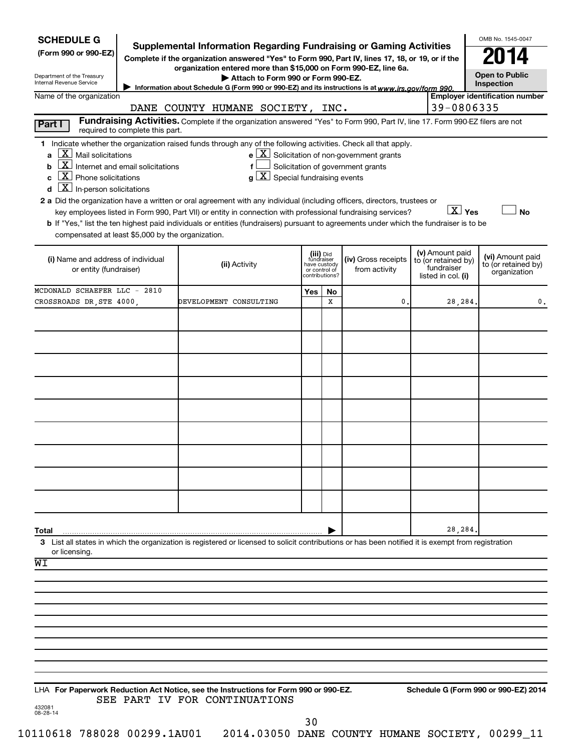| <b>SCHEDULE G</b>                                        |                                               |                                                                                                                                                                                |                                         |         |                                                                                    |                    |                                                      | OMB No. 1545-0047                                   |
|----------------------------------------------------------|-----------------------------------------------|--------------------------------------------------------------------------------------------------------------------------------------------------------------------------------|-----------------------------------------|---------|------------------------------------------------------------------------------------|--------------------|------------------------------------------------------|-----------------------------------------------------|
| (Form 990 or 990-EZ)                                     |                                               | <b>Supplemental Information Regarding Fundraising or Gaming Activities</b><br>Complete if the organization answered "Yes" to Form 990, Part IV, lines 17, 18, or 19, or if the |                                         |         |                                                                                    |                    |                                                      | 2014                                                |
| Department of the Treasury                               |                                               | organization entered more than \$15,000 on Form 990-EZ, line 6a.<br>Attach to Form 990 or Form 990-EZ.                                                                         |                                         |         |                                                                                    |                    |                                                      | <b>Open to Public</b>                               |
| Internal Revenue Service<br>Name of the organization     |                                               | Information about Schedule G (Form 990 or 990-EZ) and its instructions is at www.irs.gov/form 990.                                                                             |                                         |         |                                                                                    |                    |                                                      | Inspection<br><b>Employer identification number</b> |
|                                                          |                                               | DANE COUNTY HUMANE SOCIETY, INC.                                                                                                                                               |                                         |         |                                                                                    |                    | 39-0806335                                           |                                                     |
| Part I                                                   | required to complete this part.               | Fundraising Activities. Complete if the organization answered "Yes" to Form 990, Part IV, line 17. Form 990-EZ filers are not                                                  |                                         |         |                                                                                    |                    |                                                      |                                                     |
|                                                          |                                               | 1 Indicate whether the organization raised funds through any of the following activities. Check all that apply.                                                                |                                         |         |                                                                                    |                    |                                                      |                                                     |
| $\lfloor X \rfloor$ Mail solicitations<br>a<br>b         | $\mathbf{X}$ Internet and email solicitations |                                                                                                                                                                                |                                         |         | $e$ $X$ Solicitation of non-government grants<br>Solicitation of government grants |                    |                                                      |                                                     |
| $X$ Phone solicitations<br>C                             |                                               | $g\left[\frac{\textbf{X}}{\textbf{X}}\right]$ Special fundraising events                                                                                                       |                                         |         |                                                                                    |                    |                                                      |                                                     |
| $\overline{\mathbf{X}}$ In-person solicitations<br>d     |                                               | 2 a Did the organization have a written or oral agreement with any individual (including officers, directors, trustees or                                                      |                                         |         |                                                                                    |                    |                                                      |                                                     |
|                                                          |                                               | key employees listed in Form 990, Part VII) or entity in connection with professional fundraising services?                                                                    |                                         |         |                                                                                    |                    | $X$ Yes                                              | <b>No</b>                                           |
| compensated at least \$5,000 by the organization.        |                                               | b If "Yes," list the ten highest paid individuals or entities (fundraisers) pursuant to agreements under which the fundraiser is to be                                         |                                         |         |                                                                                    |                    |                                                      |                                                     |
|                                                          |                                               |                                                                                                                                                                                |                                         |         |                                                                                    |                    |                                                      |                                                     |
| (i) Name and address of individual                       |                                               | (ii) Activity                                                                                                                                                                  | (iii) Did<br>fundraiser<br>have custody |         | (iv) Gross receipts                                                                |                    | (v) Amount paid<br>to (or retained by)<br>fundraiser | (vi) Amount paid<br>to (or retained by)             |
| or entity (fundraiser)                                   |                                               |                                                                                                                                                                                | or control of<br>contributions?         |         | from activity                                                                      | listed in col. (i) |                                                      | organization                                        |
| MCDONALD SCHAEFER LLC - 2810<br>CROSSROADS DR, STE 4000, |                                               | DEVELOPMENT CONSULTING                                                                                                                                                         | Yes                                     | No<br>x | 0.                                                                                 |                    | 28,284.                                              | 0.                                                  |
|                                                          |                                               |                                                                                                                                                                                |                                         |         |                                                                                    |                    |                                                      |                                                     |
|                                                          |                                               |                                                                                                                                                                                |                                         |         |                                                                                    |                    |                                                      |                                                     |
|                                                          |                                               |                                                                                                                                                                                |                                         |         |                                                                                    |                    |                                                      |                                                     |
|                                                          |                                               |                                                                                                                                                                                |                                         |         |                                                                                    |                    |                                                      |                                                     |
|                                                          |                                               |                                                                                                                                                                                |                                         |         |                                                                                    |                    |                                                      |                                                     |
|                                                          |                                               |                                                                                                                                                                                |                                         |         |                                                                                    |                    |                                                      |                                                     |
|                                                          |                                               |                                                                                                                                                                                |                                         |         |                                                                                    |                    |                                                      |                                                     |
|                                                          |                                               |                                                                                                                                                                                |                                         |         |                                                                                    |                    |                                                      |                                                     |
|                                                          |                                               |                                                                                                                                                                                |                                         |         |                                                                                    |                    |                                                      |                                                     |
|                                                          |                                               |                                                                                                                                                                                |                                         |         |                                                                                    |                    |                                                      |                                                     |
|                                                          |                                               |                                                                                                                                                                                |                                         |         |                                                                                    |                    |                                                      |                                                     |
|                                                          |                                               |                                                                                                                                                                                |                                         |         |                                                                                    |                    |                                                      |                                                     |
|                                                          |                                               |                                                                                                                                                                                |                                         |         |                                                                                    |                    |                                                      |                                                     |
| Total                                                    |                                               |                                                                                                                                                                                |                                         |         |                                                                                    |                    | 28,284.                                              |                                                     |
| or licensing.                                            |                                               | 3 List all states in which the organization is registered or licensed to solicit contributions or has been notified it is exempt from registration                             |                                         |         |                                                                                    |                    |                                                      |                                                     |
| WI                                                       |                                               |                                                                                                                                                                                |                                         |         |                                                                                    |                    |                                                      |                                                     |
|                                                          |                                               |                                                                                                                                                                                |                                         |         |                                                                                    |                    |                                                      |                                                     |
|                                                          |                                               |                                                                                                                                                                                |                                         |         |                                                                                    |                    |                                                      |                                                     |
|                                                          |                                               |                                                                                                                                                                                |                                         |         |                                                                                    |                    |                                                      |                                                     |
|                                                          |                                               |                                                                                                                                                                                |                                         |         |                                                                                    |                    |                                                      |                                                     |
|                                                          |                                               |                                                                                                                                                                                |                                         |         |                                                                                    |                    |                                                      |                                                     |
|                                                          |                                               |                                                                                                                                                                                |                                         |         |                                                                                    |                    |                                                      |                                                     |
|                                                          |                                               | LHA For Paperwork Reduction Act Notice, see the Instructions for Form 990 or 990-EZ.                                                                                           |                                         |         |                                                                                    |                    |                                                      | Schedule G (Form 990 or 990-EZ) 2014                |
|                                                          |                                               | SEE PART IV FOR CONTINUATIONS                                                                                                                                                  |                                         |         |                                                                                    |                    |                                                      |                                                     |
| 432081<br>08-28-14                                       |                                               |                                                                                                                                                                                | 30                                      |         |                                                                                    |                    |                                                      |                                                     |
|                                                          |                                               | 10110618 788028 00299.1AU01  2014.03050 DANE COUNTY HUMANE SOCIETY, 00299 11                                                                                                   |                                         |         |                                                                                    |                    |                                                      |                                                     |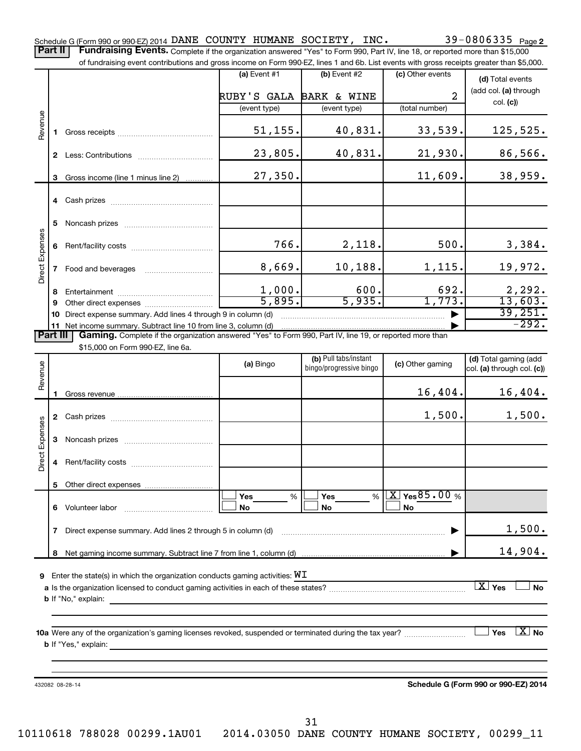|                        |    | of fundraising event contributions and gross income on Form 990-EZ, lines 1 and 6b. List events with gross receipts greater than \$5,000.                                                   |                         |                                                  |                                 |                                                     |  |  |  |  |  |  |
|------------------------|----|---------------------------------------------------------------------------------------------------------------------------------------------------------------------------------------------|-------------------------|--------------------------------------------------|---------------------------------|-----------------------------------------------------|--|--|--|--|--|--|
|                        |    |                                                                                                                                                                                             | $(a)$ Event #1          | $(b)$ Event #2                                   | (c) Other events                | (d) Total events                                    |  |  |  |  |  |  |
|                        |    |                                                                                                                                                                                             | RUBY'S GALA BARK & WINE |                                                  | $\overline{a}$                  | (add col. (a) through                               |  |  |  |  |  |  |
|                        |    |                                                                                                                                                                                             | (event type)            | (event type)                                     | (total number)                  | col. (c)                                            |  |  |  |  |  |  |
| Revenue                | 1  |                                                                                                                                                                                             | 51, 155.                | 40,831.                                          | 33,539.                         | 125,525.                                            |  |  |  |  |  |  |
|                        |    |                                                                                                                                                                                             | 23,805.                 | 40,831.                                          | 21,930.                         | 86,566.                                             |  |  |  |  |  |  |
|                        | 3  | Gross income (line 1 minus line 2)                                                                                                                                                          | 27,350.                 |                                                  | 11,609.                         | 38,959.                                             |  |  |  |  |  |  |
|                        |    |                                                                                                                                                                                             |                         |                                                  |                                 |                                                     |  |  |  |  |  |  |
|                        | 5  |                                                                                                                                                                                             |                         |                                                  |                                 |                                                     |  |  |  |  |  |  |
| <b>Direct Expenses</b> | 6  |                                                                                                                                                                                             | 766.                    | 2,118.                                           | 500.                            | 3,384.                                              |  |  |  |  |  |  |
|                        | 7  | Food and beverages                                                                                                                                                                          | 8,669.                  | 10,188.                                          | 1,115.                          | 19,972.                                             |  |  |  |  |  |  |
|                        | 8  |                                                                                                                                                                                             | $\frac{1,000}{5,895}$ . | 600.                                             | 692.                            | $\frac{2,292}{13,603}$                              |  |  |  |  |  |  |
|                        | 9  |                                                                                                                                                                                             |                         | 5,935.                                           | 1,773.                          |                                                     |  |  |  |  |  |  |
|                        | 10 | Direct expense summary. Add lines 4 through 9 in column (d)                                                                                                                                 |                         |                                                  |                                 | 39,251.<br>$-292.$                                  |  |  |  |  |  |  |
|                        | 11 | Net income summary. Subtract line 10 from line 3, column (d)<br><b>Part III</b><br>Gaming. Complete if the organization answered "Yes" to Form 990, Part IV, line 19, or reported more than |                         |                                                  |                                 |                                                     |  |  |  |  |  |  |
|                        |    | \$15,000 on Form 990-EZ, line 6a.                                                                                                                                                           |                         |                                                  |                                 |                                                     |  |  |  |  |  |  |
| Revenue                |    |                                                                                                                                                                                             | (a) Bingo               | (b) Pull tabs/instant<br>bingo/progressive bingo | (c) Other gaming                | (d) Total gaming (add<br>col. (a) through col. (c)) |  |  |  |  |  |  |
|                        |    |                                                                                                                                                                                             |                         |                                                  | 16,404.                         | 16,404.                                             |  |  |  |  |  |  |
|                        |    |                                                                                                                                                                                             |                         |                                                  | 1,500.                          | 1,500.                                              |  |  |  |  |  |  |
|                        | 3  |                                                                                                                                                                                             |                         |                                                  |                                 |                                                     |  |  |  |  |  |  |
| <b>Direct Expenses</b> | 4  |                                                                                                                                                                                             |                         |                                                  |                                 |                                                     |  |  |  |  |  |  |
|                        | 5  |                                                                                                                                                                                             |                         |                                                  |                                 |                                                     |  |  |  |  |  |  |
|                        |    |                                                                                                                                                                                             | Yes<br>%<br>No          | Yes<br>%<br>No                                   | $X \times 85.00$ %<br><b>No</b> |                                                     |  |  |  |  |  |  |

**7** Direct expense summary. Add lines 2 through 5 in column (d) ~~~~~~~~~~~~~~~~~~~~~~~~ | **8** Net gaming income summary. Subtract line 7 from line 1, column (d) | 1,500. 14,904.

 ${\bf 9}$  Enter the state(s) in which the organization conducts gaming activities:  ${\bf W}{\bf I}$ 

**a** Is the organization licensed to conduct gaming activities in each of these states? ~~~~~~~~~~~~~~~~~~~~ **b** If "No," explain:  $\boxed{\text{X}}$   $\text{Yes}$   $\boxed{\phantom{1}}$  No

**10 a** Were any of the organization's gaming licenses revoked, suspended or terminated during the tax year? ~~~~~~~~~ **b** If "Yes," explain: **No** 

432082 08-28-14

**Schedule G (Form 990 or 990-EZ) 2014**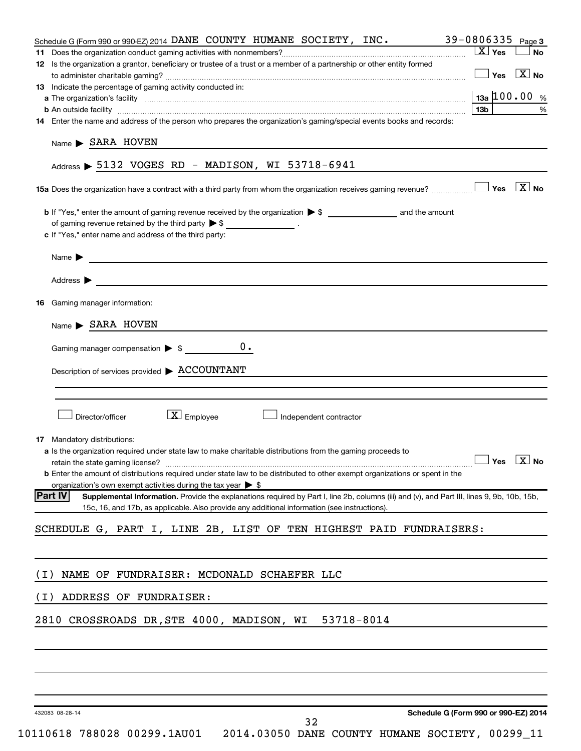|       | 39-0806335 Page 3<br>Schedule G (Form 990 or 990-EZ) 2014 DANE COUNTY HUMANE SOCIETY, INC.                                                                                                                          |
|-------|---------------------------------------------------------------------------------------------------------------------------------------------------------------------------------------------------------------------|
|       | $\boxed{\text{X}}$ Yes<br>No                                                                                                                                                                                        |
|       | 12 Is the organization a grantor, beneficiary or trustee of a trust or a member of a partnership or other entity formed                                                                                             |
|       | $\Box$ Yes $\Box$ No                                                                                                                                                                                                |
|       | 13 Indicate the percentage of gaming activity conducted in:                                                                                                                                                         |
|       | $13a$ 100.00 %                                                                                                                                                                                                      |
|       | 13b<br>%                                                                                                                                                                                                            |
|       | 14 Enter the name and address of the person who prepares the organization's gaming/special events books and records:                                                                                                |
|       |                                                                                                                                                                                                                     |
|       | $Name \triangleright$ SARA HOVEN                                                                                                                                                                                    |
|       |                                                                                                                                                                                                                     |
|       | Address $\triangleright$ 5132 VOGES RD - MADISON, WI 53718-6941                                                                                                                                                     |
|       |                                                                                                                                                                                                                     |
|       |                                                                                                                                                                                                                     |
|       |                                                                                                                                                                                                                     |
|       | of gaming revenue retained by the third party $\triangleright$ \$ ___________________.                                                                                                                              |
|       | c If "Yes," enter name and address of the third party:                                                                                                                                                              |
|       |                                                                                                                                                                                                                     |
|       | Name $\blacktriangleright$<br><u> 1989 - Johann Barbara, martin da basar a shekara 1989 - An tsaran a shekara 1989 - An tsara 1989 - An tsara</u>                                                                   |
|       |                                                                                                                                                                                                                     |
|       | Address $\blacktriangleright$                                                                                                                                                                                       |
|       |                                                                                                                                                                                                                     |
|       | <b>16</b> Gaming manager information:                                                                                                                                                                               |
|       | $Name \triangleright$ SARA HOVEN                                                                                                                                                                                    |
|       |                                                                                                                                                                                                                     |
|       | $0$ .<br>Gaming manager compensation $\triangleright$ \$                                                                                                                                                            |
|       |                                                                                                                                                                                                                     |
|       | Description of services provided > ACCOUNTANT                                                                                                                                                                       |
|       |                                                                                                                                                                                                                     |
|       |                                                                                                                                                                                                                     |
|       |                                                                                                                                                                                                                     |
|       | $\boxed{\textbf{X}}$ Employee<br>Director/officer<br>Independent contractor                                                                                                                                         |
|       |                                                                                                                                                                                                                     |
|       | 17 Mandatory distributions:                                                                                                                                                                                         |
|       | <b>a</b> Is the organization required under state law to make charitable distributions from the gaming proceeds to<br>$\Box$ Yes $\Box$ No                                                                          |
|       |                                                                                                                                                                                                                     |
|       | <b>b</b> Enter the amount of distributions required under state law to be distributed to other exempt organizations or spent in the<br>organization's own exempt activities during the tax year $\triangleright$ \$ |
|       | <b>Part IV</b><br>Supplemental Information. Provide the explanations required by Part I, line 2b, columns (iii) and (v), and Part III, lines 9, 9b, 10b, 15b,                                                       |
|       | 15c, 16, and 17b, as applicable. Also provide any additional information (see instructions).                                                                                                                        |
|       |                                                                                                                                                                                                                     |
|       | SCHEDULE G, PART I, LINE 2B, LIST OF TEN HIGHEST PAID FUNDRAISERS:                                                                                                                                                  |
|       |                                                                                                                                                                                                                     |
|       |                                                                                                                                                                                                                     |
|       |                                                                                                                                                                                                                     |
| ( I ) | NAME OF FUNDRAISER: MCDONALD SCHAEFER LLC                                                                                                                                                                           |
| ( I ) | ADDRESS OF FUNDRAISER:                                                                                                                                                                                              |
|       |                                                                                                                                                                                                                     |
|       | CROSSROADS DR, STE 4000, MADISON, WI 53718-8014<br>2810                                                                                                                                                             |
|       |                                                                                                                                                                                                                     |
|       |                                                                                                                                                                                                                     |
|       |                                                                                                                                                                                                                     |
|       |                                                                                                                                                                                                                     |
|       |                                                                                                                                                                                                                     |
|       |                                                                                                                                                                                                                     |
|       | Schedule G (Form 990 or 990-EZ) 2014                                                                                                                                                                                |
|       | 432083 08-28-14<br>32                                                                                                                                                                                               |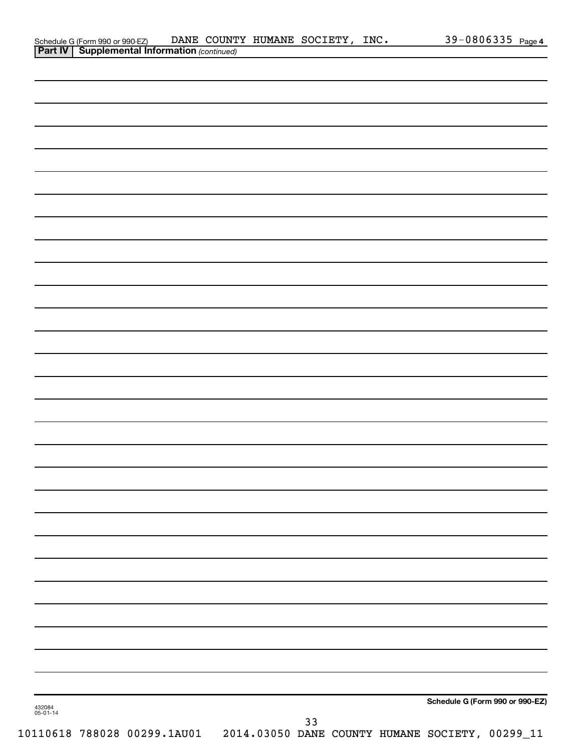|                    |                                                                                                     |  | DANE COUNTY HUMANE SOCIETY, INC. |    |  |                                                                              | 39-0806335 Page 4 |
|--------------------|-----------------------------------------------------------------------------------------------------|--|----------------------------------|----|--|------------------------------------------------------------------------------|-------------------|
|                    | Schedule G (Form 990 or 990-EZ) DANE COUNT<br><b>Part IV   Supplemental Information</b> (continued) |  |                                  |    |  |                                                                              |                   |
|                    |                                                                                                     |  |                                  |    |  |                                                                              |                   |
|                    |                                                                                                     |  |                                  |    |  |                                                                              |                   |
|                    |                                                                                                     |  |                                  |    |  |                                                                              |                   |
|                    |                                                                                                     |  |                                  |    |  |                                                                              |                   |
|                    |                                                                                                     |  |                                  |    |  |                                                                              |                   |
|                    |                                                                                                     |  |                                  |    |  |                                                                              |                   |
|                    |                                                                                                     |  |                                  |    |  |                                                                              |                   |
|                    |                                                                                                     |  |                                  |    |  |                                                                              |                   |
|                    |                                                                                                     |  |                                  |    |  |                                                                              |                   |
|                    |                                                                                                     |  |                                  |    |  |                                                                              |                   |
|                    |                                                                                                     |  |                                  |    |  |                                                                              |                   |
|                    |                                                                                                     |  |                                  |    |  |                                                                              |                   |
|                    |                                                                                                     |  |                                  |    |  |                                                                              |                   |
|                    |                                                                                                     |  |                                  |    |  |                                                                              |                   |
|                    |                                                                                                     |  |                                  |    |  |                                                                              |                   |
|                    |                                                                                                     |  |                                  |    |  |                                                                              |                   |
|                    |                                                                                                     |  |                                  |    |  |                                                                              |                   |
|                    |                                                                                                     |  |                                  |    |  |                                                                              |                   |
|                    |                                                                                                     |  |                                  |    |  |                                                                              |                   |
|                    |                                                                                                     |  |                                  |    |  |                                                                              |                   |
|                    |                                                                                                     |  |                                  |    |  |                                                                              |                   |
|                    |                                                                                                     |  |                                  |    |  |                                                                              |                   |
|                    |                                                                                                     |  |                                  |    |  |                                                                              |                   |
|                    |                                                                                                     |  |                                  |    |  |                                                                              |                   |
|                    |                                                                                                     |  |                                  |    |  |                                                                              |                   |
|                    |                                                                                                     |  |                                  |    |  |                                                                              |                   |
|                    |                                                                                                     |  |                                  |    |  |                                                                              |                   |
|                    |                                                                                                     |  |                                  |    |  |                                                                              |                   |
|                    |                                                                                                     |  |                                  |    |  |                                                                              |                   |
|                    |                                                                                                     |  |                                  |    |  |                                                                              |                   |
|                    |                                                                                                     |  |                                  |    |  |                                                                              |                   |
|                    |                                                                                                     |  |                                  |    |  |                                                                              |                   |
|                    |                                                                                                     |  |                                  |    |  |                                                                              |                   |
|                    |                                                                                                     |  |                                  |    |  |                                                                              |                   |
|                    |                                                                                                     |  |                                  |    |  |                                                                              |                   |
|                    |                                                                                                     |  |                                  |    |  |                                                                              |                   |
|                    |                                                                                                     |  |                                  |    |  |                                                                              |                   |
|                    |                                                                                                     |  |                                  |    |  |                                                                              |                   |
|                    |                                                                                                     |  |                                  |    |  |                                                                              |                   |
|                    |                                                                                                     |  |                                  |    |  |                                                                              |                   |
|                    |                                                                                                     |  |                                  |    |  |                                                                              |                   |
|                    |                                                                                                     |  |                                  |    |  |                                                                              |                   |
|                    |                                                                                                     |  |                                  |    |  |                                                                              |                   |
|                    |                                                                                                     |  |                                  |    |  |                                                                              |                   |
| 432084<br>05-01-14 |                                                                                                     |  |                                  |    |  | Schedule G (Form 990 or 990-EZ)                                              |                   |
|                    |                                                                                                     |  |                                  | 33 |  |                                                                              |                   |
|                    |                                                                                                     |  |                                  |    |  | 10110618 788028 00299.1AU01  2014.03050 DANE COUNTY HUMANE SOCIETY, 00299_11 |                   |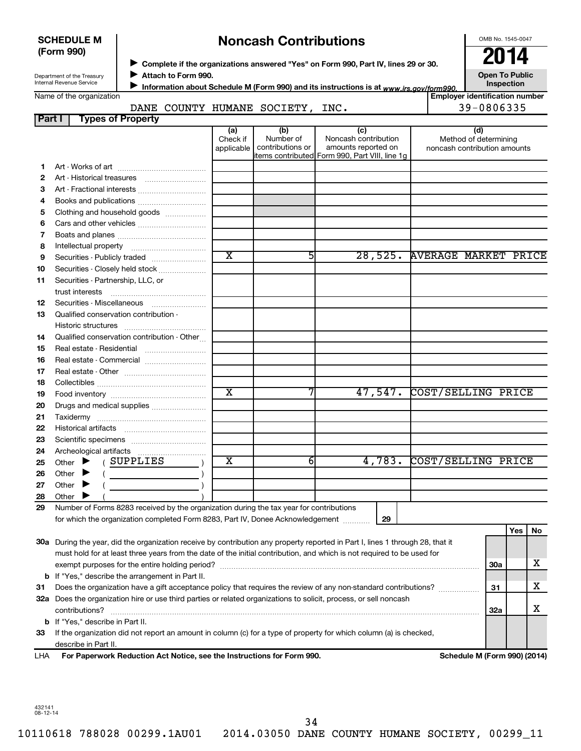| <b>SCHEDULE M</b> |  |
|-------------------|--|
| (Form 990)        |  |

# **Noncash Contributions**

OMB No. 1545-0047

Department of the Treasury Internal Revenue Service

◆ Complete if the organizations answered "Yes" on Form 990, Part IV, lines 29 or 30.<br>▶ Complete if the organizations answered "Yes" on Form 990, Part IV, lines 29 or 30. **Attach to Form 990.**  $\blacktriangleright$ 

**Open To Public**

| Internal Revenue Service | Information about Schedule M (Form 990) and its instructions is at www.irs.gov/form990. | <b>Inspection</b>            |
|--------------------------|-----------------------------------------------------------------------------------------|------------------------------|
| Name of the organization |                                                                                         | l Emplover identification nu |

|                          |                          |  |                             | Information about Schedule M (Form 990) and its instructions is at <sub>www.irs.gov/form990.</sub> | ------------                   |
|--------------------------|--------------------------|--|-----------------------------|----------------------------------------------------------------------------------------------------|--------------------------------|
| Name of the organization |                          |  |                             |                                                                                                    | Employer identification number |
|                          |                          |  | DANE COUNTY HUMANE SOCIETY, | INC.                                                                                               | 39-0806335                     |
| <b>Part I</b>            | <b>Types of Property</b> |  |                             |                                                                                                    |                                |

| , a, c,                                                 | i ypea or i roperty                                                                                                            |                         |                  |                                                 |                              |     |     |    |  |
|---------------------------------------------------------|--------------------------------------------------------------------------------------------------------------------------------|-------------------------|------------------|-------------------------------------------------|------------------------------|-----|-----|----|--|
|                                                         |                                                                                                                                | (a)<br>Check if         | (b)<br>Number of | (c)<br>Noncash contribution                     | (d)<br>Method of determining |     |     |    |  |
|                                                         |                                                                                                                                | applicable              | contributions or | amounts reported on                             | noncash contribution amounts |     |     |    |  |
|                                                         |                                                                                                                                |                         |                  | litems contributed Form 990, Part VIII, line 1g |                              |     |     |    |  |
| 1                                                       |                                                                                                                                |                         |                  |                                                 |                              |     |     |    |  |
| 2                                                       |                                                                                                                                |                         |                  |                                                 |                              |     |     |    |  |
| З                                                       | Art - Fractional interests                                                                                                     |                         |                  |                                                 |                              |     |     |    |  |
| 4                                                       |                                                                                                                                |                         |                  |                                                 |                              |     |     |    |  |
| 5                                                       | Clothing and household goods                                                                                                   |                         |                  |                                                 |                              |     |     |    |  |
| 6                                                       |                                                                                                                                |                         |                  |                                                 |                              |     |     |    |  |
| 7                                                       |                                                                                                                                |                         |                  |                                                 |                              |     |     |    |  |
| 8                                                       |                                                                                                                                |                         |                  |                                                 |                              |     |     |    |  |
| 9                                                       | Securities - Publicly traded                                                                                                   | $\overline{\text{x}}$   | 5                | 28,525.                                         | <b>AVERAGE MARKET PRICE</b>  |     |     |    |  |
| 10                                                      | Securities - Closely held stock                                                                                                |                         |                  |                                                 |                              |     |     |    |  |
| 11                                                      | Securities - Partnership, LLC, or                                                                                              |                         |                  |                                                 |                              |     |     |    |  |
|                                                         |                                                                                                                                |                         |                  |                                                 |                              |     |     |    |  |
| 12                                                      | Securities - Miscellaneous                                                                                                     |                         |                  |                                                 |                              |     |     |    |  |
| 13                                                      | Qualified conservation contribution -                                                                                          |                         |                  |                                                 |                              |     |     |    |  |
|                                                         | Historic structures                                                                                                            |                         |                  |                                                 |                              |     |     |    |  |
| 14                                                      | Qualified conservation contribution - Other                                                                                    |                         |                  |                                                 |                              |     |     |    |  |
| 15                                                      | Real estate - Residential                                                                                                      |                         |                  |                                                 |                              |     |     |    |  |
| 16                                                      | Real estate - Commercial                                                                                                       |                         |                  |                                                 |                              |     |     |    |  |
| 17                                                      |                                                                                                                                |                         |                  |                                                 |                              |     |     |    |  |
| 18                                                      |                                                                                                                                |                         |                  |                                                 |                              |     |     |    |  |
| 19                                                      |                                                                                                                                | $\overline{\text{x}}$   |                  | 47,547.                                         | COST/SELLING PRICE           |     |     |    |  |
| 20                                                      | Drugs and medical supplies                                                                                                     |                         |                  |                                                 |                              |     |     |    |  |
| 21                                                      |                                                                                                                                |                         |                  |                                                 |                              |     |     |    |  |
| 22                                                      |                                                                                                                                |                         |                  |                                                 |                              |     |     |    |  |
| 23                                                      |                                                                                                                                |                         |                  |                                                 |                              |     |     |    |  |
| 24                                                      |                                                                                                                                |                         |                  |                                                 |                              |     |     |    |  |
| 25                                                      | (SUPPLIES<br>Other $\blacktriangleright$                                                                                       | $\overline{\mathbf{X}}$ | 6                | 4,783.                                          | COST/SELLING PRICE           |     |     |    |  |
| 26                                                      | Other $\blacktriangleright$                                                                                                    |                         |                  |                                                 |                              |     |     |    |  |
| 27                                                      | Other<br>▸                                                                                                                     |                         |                  |                                                 |                              |     |     |    |  |
| 28                                                      | Other                                                                                                                          |                         |                  |                                                 |                              |     |     |    |  |
| 29                                                      | Number of Forms 8283 received by the organization during the tax year for contributions                                        |                         |                  |                                                 |                              |     |     |    |  |
|                                                         | for which the organization completed Form 8283, Part IV, Donee Acknowledgement                                                 |                         |                  | 29                                              |                              |     |     |    |  |
|                                                         |                                                                                                                                |                         |                  |                                                 |                              |     | Yes | No |  |
|                                                         | 30a During the year, did the organization receive by contribution any property reported in Part I, lines 1 through 28, that it |                         |                  |                                                 |                              |     |     |    |  |
|                                                         | must hold for at least three years from the date of the initial contribution, and which is not required to be used for         |                         |                  |                                                 |                              |     |     | х  |  |
|                                                         |                                                                                                                                |                         |                  |                                                 |                              |     |     |    |  |
| <b>b</b> If "Yes," describe the arrangement in Part II. |                                                                                                                                |                         |                  |                                                 |                              |     |     |    |  |
| 31                                                      | Does the organization have a gift acceptance policy that requires the review of any non-standard contributions?                |                         |                  |                                                 |                              | 31  |     | x  |  |
|                                                         | 32a Does the organization hire or use third parties or related organizations to solicit, process, or sell noncash              |                         |                  |                                                 |                              |     |     |    |  |
|                                                         |                                                                                                                                |                         |                  |                                                 |                              | 32a |     | х  |  |
|                                                         | b If "Yes," describe in Part II.                                                                                               |                         |                  |                                                 |                              |     |     |    |  |

**33** If the organization did not report an amount in column (c) for a type of property for which column (a) is checked, describe in Part II.

**For Paperwork Reduction Act Notice, see the Instructions for Form 990. Schedule M (Form 990) (2014)** LHA

432141 08-12-14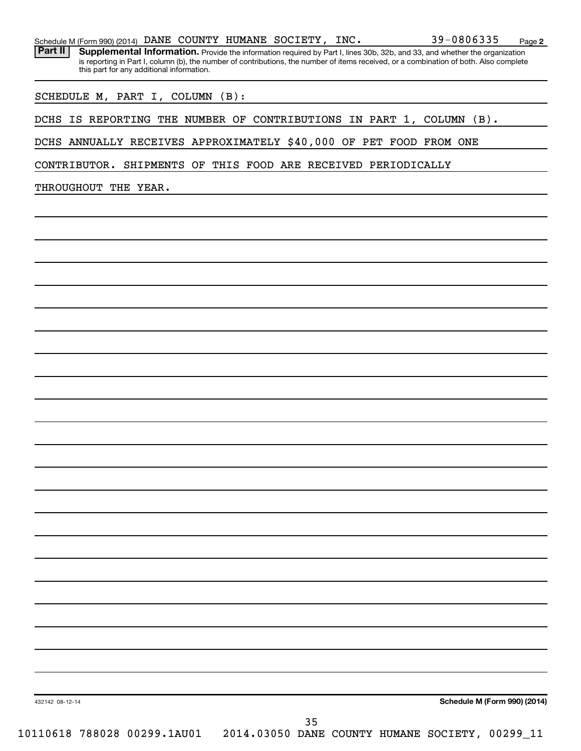|  |  |  |  |  | Schedule M (Form 990) (2014) DANE COUNTY HUMANE SOCIETY, INC. |  | $39 - 0806335$ | Page |  |
|--|--|--|--|--|---------------------------------------------------------------|--|----------------|------|--|
|--|--|--|--|--|---------------------------------------------------------------|--|----------------|------|--|

Part II | Supplemental Information. Provide the information required by Part I, lines 30b, 32b, and 33, and whether the organization is reporting in Part I, column (b), the number of contributions, the number of items received, or a combination of both. Also complete this part for any additional information.

SCHEDULE M, PART I, COLUMN (B):

DCHS IS REPORTING THE NUMBER OF CONTRIBUTIONS IN PART 1, COLUMN (B).

DCHS ANNUALLY RECEIVES APPROXIMATELY \$40,000 OF PET FOOD FROM ONE

CONTRIBUTOR. SHIPMENTS OF THIS FOOD ARE RECEIVED PERIODICALLY

THROUGHOUT THE YEAR.

**Schedule M (Form 990) (2014)**

**2**

432142 08-12-14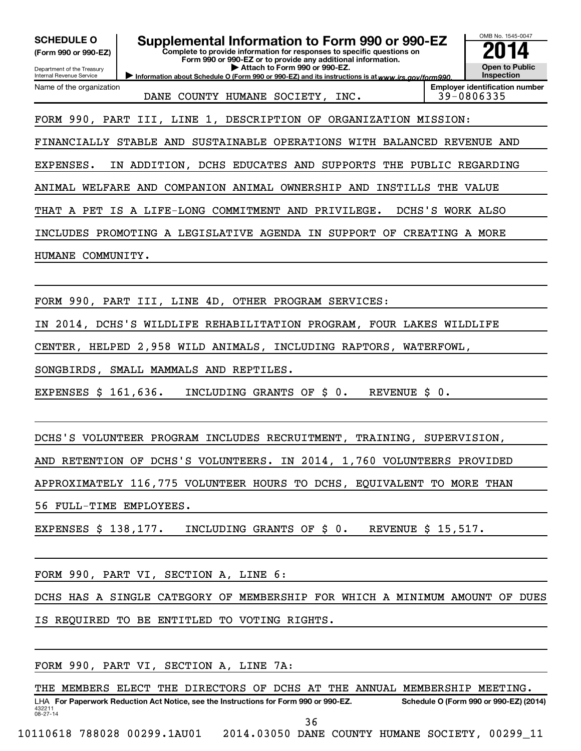| <b>SCHEDULE O</b><br>(Form 990 or 990-EZ)<br>Department of the Treasury<br>Internal Revenue Service |                                              | Supplemental Information to Form 990 or 990-EZ<br>Complete to provide information for responses to specific questions on<br>Form 990 or 990-EZ or to provide any additional information.<br>Attach to Form 990 or 990-EZ.<br>Information about Schedule O (Form 990 or 990-EZ) and its instructions is at www.irs.gov/form990. |               |                  | OMB No. 1545-0047<br><b>Open to Public</b><br>Inspection |
|-----------------------------------------------------------------------------------------------------|----------------------------------------------|--------------------------------------------------------------------------------------------------------------------------------------------------------------------------------------------------------------------------------------------------------------------------------------------------------------------------------|---------------|------------------|----------------------------------------------------------|
| Name of the organization                                                                            |                                              | DANE COUNTY HUMANE SOCIETY, INC.                                                                                                                                                                                                                                                                                               |               |                  | <b>Employer identification number</b><br>39-0806335      |
|                                                                                                     |                                              | FORM 990, PART III, LINE 1, DESCRIPTION OF ORGANIZATION MISSION:                                                                                                                                                                                                                                                               |               |                  |                                                          |
|                                                                                                     |                                              | FINANCIALLY STABLE AND SUSTAINABLE OPERATIONS WITH BALANCED REVENUE AND                                                                                                                                                                                                                                                        |               |                  |                                                          |
| EXPENSES.                                                                                           |                                              | IN ADDITION, DCHS EDUCATES AND SUPPORTS THE PUBLIC REGARDING                                                                                                                                                                                                                                                                   |               |                  |                                                          |
|                                                                                                     |                                              | ANIMAL WELFARE AND COMPANION ANIMAL OWNERSHIP AND INSTILLS THE VALUE                                                                                                                                                                                                                                                           |               |                  |                                                          |
|                                                                                                     |                                              | THAT A PET IS A LIFE-LONG COMMITMENT AND PRIVILEGE.                                                                                                                                                                                                                                                                            |               | DCHS'S WORK ALSO |                                                          |
|                                                                                                     |                                              | INCLUDES PROMOTING A LEGISLATIVE AGENDA IN SUPPORT OF CREATING A MORE                                                                                                                                                                                                                                                          |               |                  |                                                          |
| HUMANE COMMUNITY.                                                                                   |                                              |                                                                                                                                                                                                                                                                                                                                |               |                  |                                                          |
|                                                                                                     |                                              |                                                                                                                                                                                                                                                                                                                                |               |                  |                                                          |
|                                                                                                     |                                              | FORM 990, PART III, LINE 4D, OTHER PROGRAM SERVICES:                                                                                                                                                                                                                                                                           |               |                  |                                                          |
| ΙN                                                                                                  |                                              | 2014, DCHS'S WILDLIFE REHABILITATION PROGRAM, FOUR LAKES WILDLIFE                                                                                                                                                                                                                                                              |               |                  |                                                          |
|                                                                                                     |                                              | CENTER, HELPED 2,958 WILD ANIMALS, INCLUDING RAPTORS, WATERFOWL,                                                                                                                                                                                                                                                               |               |                  |                                                          |
|                                                                                                     | SONGBIRDS, SMALL MAMMALS AND REPTILES.       |                                                                                                                                                                                                                                                                                                                                |               |                  |                                                          |
| EXPENSES \$ 161,636.                                                                                |                                              | INCLUDING GRANTS OF \$ 0.                                                                                                                                                                                                                                                                                                      | REVENUE \$ 0. |                  |                                                          |
|                                                                                                     |                                              |                                                                                                                                                                                                                                                                                                                                |               |                  |                                                          |
|                                                                                                     |                                              | DCHS'S VOLUNTEER PROGRAM INCLUDES RECRUITMENT, TRAINING, SUPERVISION,                                                                                                                                                                                                                                                          |               |                  |                                                          |
|                                                                                                     |                                              | AND RETENTION OF DCHS'S VOLUNTEERS. IN 2014, 1,760 VOLUNTEERS PROVIDED                                                                                                                                                                                                                                                         |               |                  |                                                          |
|                                                                                                     |                                              | APPROXIMATELY 116,775 VOLUNTEER HOURS TO DCHS, EQUIVALENT TO MORE THAN                                                                                                                                                                                                                                                         |               |                  |                                                          |
| 56 FULL-TIME EMPLOYEES.                                                                             |                                              |                                                                                                                                                                                                                                                                                                                                |               |                  |                                                          |
| EXPENSES $$138,177$ .                                                                               |                                              | INCLUDING GRANTS OF \$ 0. REVENUE \$ 15,517.                                                                                                                                                                                                                                                                                   |               |                  |                                                          |
|                                                                                                     |                                              |                                                                                                                                                                                                                                                                                                                                |               |                  |                                                          |
|                                                                                                     | FORM 990, PART VI, SECTION A, LINE 6:        |                                                                                                                                                                                                                                                                                                                                |               |                  |                                                          |
|                                                                                                     |                                              | DCHS HAS A SINGLE CATEGORY OF MEMBERSHIP FOR WHICH A MINIMUM AMOUNT OF DUES                                                                                                                                                                                                                                                    |               |                  |                                                          |
|                                                                                                     | IS REQUIRED TO BE ENTITLED TO VOTING RIGHTS. |                                                                                                                                                                                                                                                                                                                                |               |                  |                                                          |
|                                                                                                     |                                              |                                                                                                                                                                                                                                                                                                                                |               |                  |                                                          |
|                                                                                                     | FORM 990, PART VI, SECTION A, LINE 7A:       |                                                                                                                                                                                                                                                                                                                                |               |                  |                                                          |

432211 08-27-14 LHA For Paperwork Reduction Act Notice, see the Instructions for Form 990 or 990-EZ. Schedule O (Form 990 or 990-EZ) (2014) THE MEMBERS ELECT THE DIRECTORS OF DCHS AT THE ANNUAL MEMBERSHIP MEETING. 36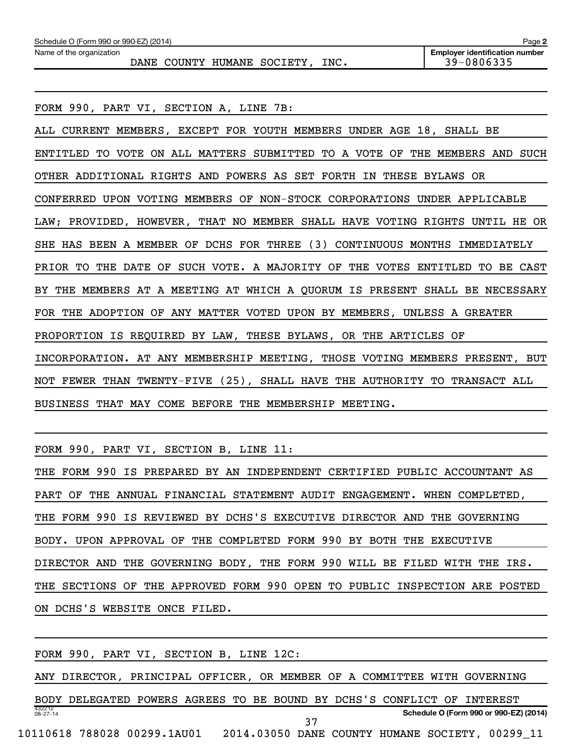| Schedule O (Form 990 or 990-EZ) (2014) | Page 2                                |
|----------------------------------------|---------------------------------------|
| Name of the organization               | <b>Employer identification number</b> |
| INC.<br>DANE COUNTY HUMANE SOCIETY     | 39-0806335                            |

FORM 990, PART VI, SECTION A, LINE 7B:

ALL CURRENT MEMBERS, EXCEPT FOR YOUTH MEMBERS UNDER AGE 18, SHALL BE ENTITLED TO VOTE ON ALL MATTERS SUBMITTED TO A VOTE OF THE MEMBERS AND SUCH OTHER ADDITIONAL RIGHTS AND POWERS AS SET FORTH IN THESE BYLAWS OR CONFERRED UPON VOTING MEMBERS OF NON-STOCK CORPORATIONS UNDER APPLICABLE LAW; PROVIDED, HOWEVER, THAT NO MEMBER SHALL HAVE VOTING RIGHTS UNTIL HE OR SHE HAS BEEN A MEMBER OF DCHS FOR THREE (3) CONTINUOUS MONTHS IMMEDIATELY PRIOR TO THE DATE OF SUCH VOTE. A MAJORITY OF THE VOTES ENTITLED TO BE CAST BY THE MEMBERS AT A MEETING AT WHICH A QUORUM IS PRESENT SHALL BE NECESSARY FOR THE ADOPTION OF ANY MATTER VOTED UPON BY MEMBERS, UNLESS A GREATER PROPORTION IS REQUIRED BY LAW, THESE BYLAWS, OR THE ARTICLES OF INCORPORATION. AT ANY MEMBERSHIP MEETING, THOSE VOTING MEMBERS PRESENT, BUT NOT FEWER THAN TWENTY-FIVE (25), SHALL HAVE THE AUTHORITY TO TRANSACT ALL BUSINESS THAT MAY COME BEFORE THE MEMBERSHIP MEETING.

FORM 990, PART VI, SECTION B, LINE 11:

THE FORM 990 IS PREPARED BY AN INDEPENDENT CERTIFIED PUBLIC ACCOUNTANT AS PART OF THE ANNUAL FINANCIAL STATEMENT AUDIT ENGAGEMENT. WHEN COMPLETED, THE FORM 990 IS REVIEWED BY DCHS'S EXECUTIVE DIRECTOR AND THE GOVERNING BODY. UPON APPROVAL OF THE COMPLETED FORM 990 BY BOTH THE EXECUTIVE DIRECTOR AND THE GOVERNING BODY, THE FORM 990 WILL BE FILED WITH THE IRS. THE SECTIONS OF THE APPROVED FORM 990 OPEN TO PUBLIC INSPECTION ARE POSTED ON DCHS'S WEBSITE ONCE FILED.

432212 08-27-14 **Schedule O (Form 990 or 990-EZ) (2014)** FORM 990, PART VI, SECTION B, LINE 12C: ANY DIRECTOR, PRINCIPAL OFFICER, OR MEMBER OF A COMMITTEE WITH GOVERNING BODY DELEGATED POWERS AGREES TO BE BOUND BY DCHS'S CONFLICT OF INTEREST 10110618 788028 00299.1AU01 2014.03050 DANE COUNTY HUMANE SOCIETY, 00299\_11 37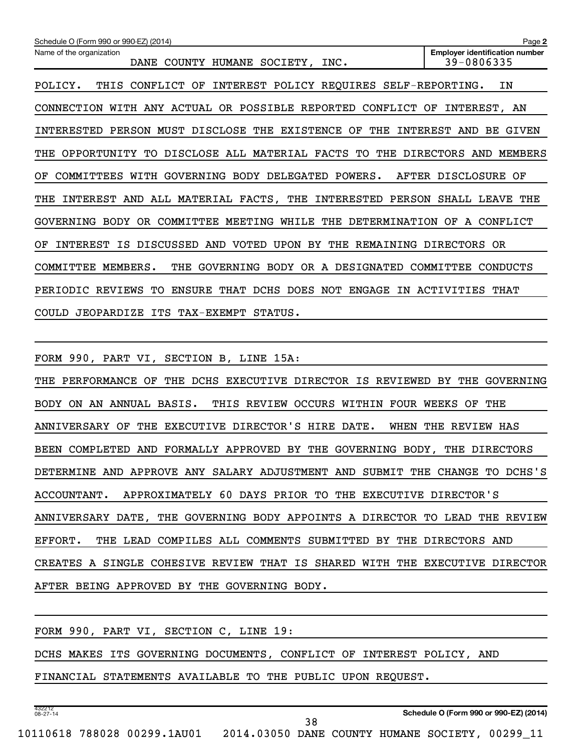| Schedule O (Form 990 or 990-EZ) (2014)<br>Page 2                                       |                                                     |  |  |  |  |  |
|----------------------------------------------------------------------------------------|-----------------------------------------------------|--|--|--|--|--|
| Name of the organization<br>SOCIETY,<br>DANE<br>COUNTY<br><b>HUMANE</b><br>INC.        | <b>Employer identification number</b><br>39-0806335 |  |  |  |  |  |
| INTEREST POLICY REQUIRES SELF-REPORTING.<br>POLICY.<br>THIS<br>CONFLICT<br>OF          | ΙN                                                  |  |  |  |  |  |
| WITH ANY ACTUAL OR POSSIBLE REPORTED<br>CONNECTION<br>CONFLICT                         | INTEREST,<br>OF<br>AN                               |  |  |  |  |  |
| PERSON MUST DISCLOSE THE<br>EXISTENCE<br>OF<br>THE<br>INTERESTED                       | INTEREST<br>AND<br>BE.<br>GIVEN                     |  |  |  |  |  |
| DISCLOSE ALL MATERIAL FACTS<br>OPPORTUNITY<br>TO<br>THE<br>TO.<br>THE                  | <b>DIRECTORS</b><br>AND<br>MEMBERS                  |  |  |  |  |  |
| GOVERNING<br>BODY<br>DELEGATED<br>COMMITTEES<br>WITH<br>POWERS.<br>OF                  | AFTER DISCLOSURE<br>OF                              |  |  |  |  |  |
| AND ALL MATERIAL FACTS, THE<br>INTERESTED<br>INTEREST<br>PERSON<br>THE                 | SHALL LEAVE<br>THE                                  |  |  |  |  |  |
| BODY<br>OR<br>COMMITTEE<br>MEETING<br>WHILE<br>THE<br>DETERMINATION OF<br>GOVERNING    | A CONFLICT                                          |  |  |  |  |  |
| UPON<br>IS DISCUSSED<br>AND VOTED<br>BY<br>THE REMAINING DIRECTORS<br>INTEREST<br>ΟF   | 0 <sub>R</sub>                                      |  |  |  |  |  |
| COMMITTEE<br>MEMBERS.<br>GOVERNING<br>BODY OR A DESIGNATED<br>THE                      | COMMITTEE<br><b>CONDUCTS</b>                        |  |  |  |  |  |
| REVIEWS<br><b>ENSURE</b><br>THAT<br>DCHS<br>DOES NOT<br>ENGAGE<br>PERIODIC<br>TО<br>IN | ACTIVITIES<br>THAT                                  |  |  |  |  |  |
| COULD JEOPARDIZE ITS TAX-EXEMPT<br>STATUS.                                             |                                                     |  |  |  |  |  |

FORM 990, PART VI, SECTION B, LINE 15A:

THE PERFORMANCE OF THE DCHS EXECUTIVE DIRECTOR IS REVIEWED BY THE GOVERNING BODY ON AN ANNUAL BASIS. THIS REVIEW OCCURS WITHIN FOUR WEEKS OF THE ANNIVERSARY OF THE EXECUTIVE DIRECTOR'S HIRE DATE. WHEN THE REVIEW HAS BEEN COMPLETED AND FORMALLY APPROVED BY THE GOVERNING BODY, THE DIRECTORS DETERMINE AND APPROVE ANY SALARY ADJUSTMENT AND SUBMIT THE CHANGE TO DCHS'S ACCOUNTANT. APPROXIMATELY 60 DAYS PRIOR TO THE EXECUTIVE DIRECTOR'S ANNIVERSARY DATE, THE GOVERNING BODY APPOINTS A DIRECTOR TO LEAD THE REVIEW EFFORT. THE LEAD COMPILES ALL COMMENTS SUBMITTED BY THE DIRECTORS AND CREATES A SINGLE COHESIVE REVIEW THAT IS SHARED WITH THE EXECUTIVE DIRECTOR AFTER BEING APPROVED BY THE GOVERNING BODY.

|  |  | FORM 990, PART VI, SECTION C, LINE 19: |  |  |                                                                      |  |
|--|--|----------------------------------------|--|--|----------------------------------------------------------------------|--|
|  |  |                                        |  |  | DCHS MAKES ITS GOVERNING DOCUMENTS, CONFLICT OF INTEREST POLICY, AND |  |
|  |  |                                        |  |  | FINANCIAL STATEMENTS AVAILABLE TO THE PUBLIC UPON REQUEST.           |  |
|  |  |                                        |  |  |                                                                      |  |

**Schedule O (Form 990 or 990-EZ) (2014)**